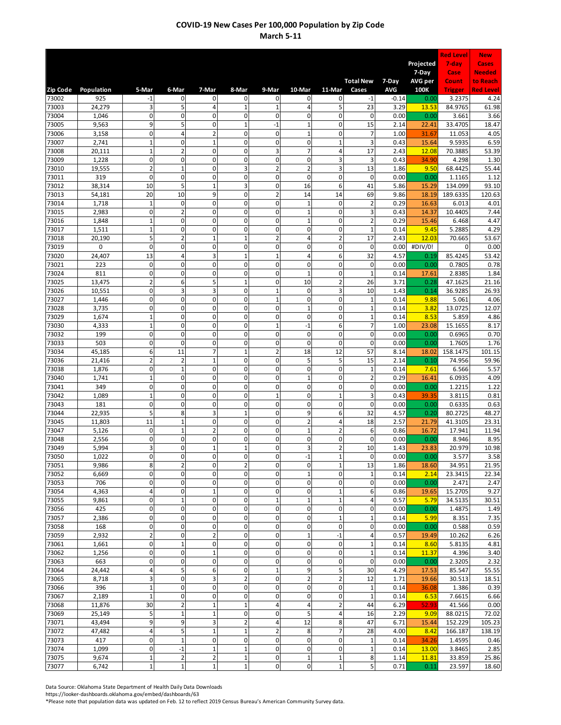|                |                  |                                        |                               |                             |                               |                             |                                  |                             |                             |              |                   | <b>Red Level</b>   | <b>New</b>                |
|----------------|------------------|----------------------------------------|-------------------------------|-----------------------------|-------------------------------|-----------------------------|----------------------------------|-----------------------------|-----------------------------|--------------|-------------------|--------------------|---------------------------|
|                |                  |                                        |                               |                             |                               |                             |                                  |                             |                             |              | Projected         | 7-day              | Cases                     |
|                |                  |                                        |                               |                             |                               |                             |                                  |                             | <b>Total New</b>            | 7-Day        | 7-Day<br>AVG per  | Case<br>Count      | <b>Needed</b><br>to Reach |
| Zip Code       | Population       | 5-Mar                                  | 6-Mar                         | 7-Mar                       | 8-Mar                         | 9-Mar                       | 10-Mar                           | 11-Mar                      | Cases                       | <b>AVG</b>   | 100K              | <b>Trigger</b>     | <b>Red Level</b>          |
| 73002          | 925              | -1                                     | 0                             | 0                           | 0                             | $\mathbf 0$                 | 0                                | 0                           | $-1$                        | $-0.14$      | 0.00              | 3.2375             | 4.24                      |
| 73003          | 24,279           | 3<br>$\mathbf 0$                       | 5                             | 4                           | 1                             | $\mathbf{1}$<br>$\mathbf 0$ | 4<br>$\overline{0}$              | 5                           | 23                          | 3.29         | 13.53             | 84.9765            | 61.98                     |
| 73004<br>73005 | 1,046<br>9,563   | 9                                      | $\mathbf 0$<br>5              | $\mathbf 0$<br>0            | $\mathbf 0$<br>$\overline{1}$ | $-1$                        | $\mathbf{1}$                     | $\mathbf 0$<br>$\mathbf 0$  | $\mathbf 0$<br>15           | 0.00<br>2.14 | 0.00<br>22.41     | 3.661<br>33.4705   | 3.66<br>18.47             |
| 73006          | 3,158            | $\mathbf 0$                            | $\overline{4}$                | $\overline{2}$              | $\mathbf 0$                   | $\mathbf 0$                 | $\overline{1}$                   | $\mathbf 0$                 | $\overline{7}$              | 1.00         | 31.67             | 11.053             | 4.05                      |
| 73007          | 2,741            | $\mathbf{1}$                           | $\mathbf 0$                   | $\mathbf{1}$                | $\mathbf 0$                   | $\mathbf 0$                 | $\mathbf 0$                      | $\mathbf{1}$                | 3                           | 0.43         | 15.64             | 9.5935             | 6.59                      |
| 73008          | 20,111           | $\mathbf 1$                            | $\mathbf 2$                   | 0                           | $\mathbf 0$                   | 3                           | $\overline{7}$                   | $\sqrt{4}$                  | 17                          | 2.43         | 12.08             | 70.3885            | 53.39                     |
| 73009<br>73010 | 1,228<br>19,555  | $\pmb{0}$<br>$\overline{2}$            | $\mathbf 0$<br>$\mathbf 1$    | $\mathbf 0$<br>$\mathbf 0$  | $\mathbf 0$<br>3              | 0<br>$\overline{2}$         | $\mathbf 0$<br>$\overline{2}$    | 3<br>3                      | 3<br>13                     | 0.43<br>1.86 | 34.90<br>9.50     | 4.298<br>68.4425   | 1.30<br>55.44             |
| 73011          | 319              | $\mathbf{0}$                           | $\pmb{0}$                     | $\mathbf{0}$                | $\mathbf 0$                   | $\mathbf 0$                 | $\mathbf{0}$                     | $\mathbf 0$                 | $\mathbf 0$                 | 0.00         | 0.00              | 1.1165             | 1.12                      |
| 73012          | 38,314           | 10                                     | 5                             | $\mathbf{1}$                | 3                             | $\mathbf 0$                 | 16                               | 6                           | 41                          | 5.86         | 15.29             | 134.099            | 93.10                     |
| 73013          | 54,181           | 20                                     | 10                            | 9                           | 0                             | 2                           | 14                               | 14                          | 69                          | 9.86         | 18.19             | 189.6335           | 120.63                    |
| 73014          | 1,718            | $\mathbf 1$<br>$\mathbf 0$             | $\mathbf 0$<br>$\overline{2}$ | $\mathbf{0}$<br>$\mathbf 0$ | $\mathbf 0$<br>$\mathbf 0$    | $\mathbf 0$<br>0            | $\mathbf{1}$<br>$\overline{1}$   | $\mathbf 0$<br>$\mathbf 0$  | $\overline{2}$<br>3         | 0.29<br>0.43 | 16.63             | 6.013<br>10.4405   | 4.01<br>7.44              |
| 73015<br>73016 | 2,983<br>1,848   | $\mathbf{1}$                           | $\mathbf 0$                   | $\mathbf 0$                 | $\mathbf 0$                   | 0                           | $\overline{1}$                   | $\mathbf 0$                 | $\overline{2}$              | 0.29         | 14.37<br>15.46    | 6.468              | 4.47                      |
| 73017          | 1,511            | $\mathbf{1}$                           | $\mathbf 0$                   | 0                           | $\mathbf 0$                   | $\mathbf 0$                 | 0                                | $\mathsf 0$                 | $\mathbf{1}$                | 0.14         | 9.45              | 5.2885             | 4.29                      |
| 73018          | 20,190           | 5                                      | $\overline{2}$                | $\mathbf{1}$                | $\mathbf{1}$                  | $\overline{2}$              | 4                                | $\overline{2}$              | 17                          | 2.43         | 12.03             | 70.665             | 53.67                     |
| 73019          | 0                | $\pmb{0}$                              | $\pmb{0}$                     | 0                           | $\mathbf 0$                   | $\mathbf 0$                 | 0                                | $\mathsf 0$                 | $\mathbf 0$                 | 0.00         | #DIV/0!           | $\mathbf 0$        | 0.00                      |
| 73020<br>73021 | 24,407<br>223    | 13<br>$\mathbf 0$                      | 4<br>$\mathbf 0$              | 3<br>0                      | $\mathbf{1}$<br>$\mathbf 0$   | $\mathbf{1}$<br>$\mathbf 0$ | 4<br>$\mathbf 0$                 | 6<br>$\mathbf 0$            | 32<br>$\mathbf 0$           | 4.57<br>0.00 | 0.19<br>0.00      | 85.4245<br>0.7805  | 53.42<br>0.78             |
| 73024          | 811              | 0                                      | $\mathbf 0$                   | $\mathbf{0}$                | $\mathbf 0$                   | $\mathbf 0$                 | $\overline{1}$                   | $\mathbf 0$                 | $\mathbf{1}$                | 0.14         | 17.61             | 2.8385             | 1.84                      |
| 73025          | 13,475           | $\overline{2}$                         | 6                             | 5                           | $\mathbf{1}$                  | $\mathbf 0$                 | 10                               | $\overline{2}$              | 26                          | 3.71         | 0.28              | 47.1625            | 21.16                     |
| 73026          | 10,551           | 0                                      | 3                             | 3                           | $\mathbf 0$                   | $\mathbf{1}$                | 0                                | 3                           | 10                          | 1.43         | 0.14              | 36.9285            | 26.93                     |
| 73027          | 1,446            | $\mathbf 0$                            | $\pmb{0}$                     | $\mathbf{0}$                | $\mathbf 0$                   | $\mathbf{1}$                | $\mathbf{0}$                     | $\mathsf 0$                 | $\mathbf 1$                 | 0.14         | 9.88              | 5.061              | 4.06                      |
| 73028          | 3,735            | $\mathbf 0$<br>$\mathbf 1$             | $\mathbf 0$<br>$\mathbf 0$    | $\mathbf 0$<br>$\mathbf 0$  | $\Omega$<br>$\mathbf 0$       | 0<br>0                      | $\overline{1}$<br>$\overline{0}$ | $\mathbf 0$<br>$\mathbf 0$  | $\mathbf{1}$<br>$\mathbf 1$ | 0.14         | 3.82              | 13.0725            | 12.07                     |
| 73029<br>73030 | 1,674<br>4,333   | $\mathbf 1$                            | $\mathbf 0$                   | $\mathbf{0}$                | $\mathbf 0$                   | $\mathbf{1}$                | $-1$                             | 6                           | $\overline{7}$              | 0.14<br>1.00 | 8.53<br>23.08     | 5.859<br>15.1655   | 4.86<br>8.17              |
| 73032          | 199              | $\mathbf 0$                            | $\mathbf 0$                   | $\mathbf 0$                 | $\mathbf 0$                   | $\mathbf 0$                 | $\mathbf 0$                      | $\mathbf 0$                 | $\mathbf 0$                 | 0.00         | 0.00              | 0.6965             | 0.70                      |
| 73033          | 503              | $\pmb{0}$                              | $\mathbf 0$                   | 0                           | $\mathbf 0$                   | $\mathbf 0$                 | 0                                | $\mathbf 0$                 | 0                           | 0.00         | 0.00              | 1.7605             | 1.76                      |
| 73034          | 45,185           | 6                                      | 11                            | $\overline{7}$              | $\mathbf{1}$                  | $\overline{2}$              | 18                               | 12                          | 57                          | 8.14         | 18.02             | 158.1475           | 101.15                    |
| 73036          | 21,416           | $\overline{\mathbf{c}}$<br>$\mathbf 0$ | $\overline{2}$<br>$\mathbf 1$ | $\mathbf{1}$<br>0           | $\mathbf 0$<br>$\mathbf 0$    | 0<br>$\mathbf 0$            | 5<br>0                           | 5<br>$\mathsf 0$            | 15<br>$\mathbf{1}$          | 2.14<br>0.14 | 0.10<br>7.61      | 74.956             | 59.96<br>5.57             |
| 73038<br>73040 | 1,876<br>1,741   | $\mathbf{1}$                           | $\mathbf 0$                   | 0                           | $\mathbf 0$                   | $\mathbf 0$                 | $\overline{1}$                   | $\mathbf 0$                 | $\overline{2}$              | 0.29         | 16.41             | 6.566<br>6.0935    | 4.09                      |
| 73041          | 349              | $\mathbf{0}$                           | $\mathbf 0$                   | 0                           | $\mathbf 0$                   | $\mathbf 0$                 | $\pmb{0}$                        | $\mathbf 0$                 | $\mathbf 0$                 | 0.00         | 0.00              | 1.2215             | 1.22                      |
| 73042          | 1,089            | $\mathbf 1$                            | $\mathbf 0$                   | $\mathbf{0}$                | $\mathbf 0$                   | $\mathbf{1}$                | $\overline{0}$                   | $\mathbf{1}$                | 3                           | 0.43         | 39.35             | 3.8115             | 0.81                      |
| 73043          | 181              | 0                                      | $\mathbf 0$                   | 0                           | $\mathbf 0$                   | 0                           | 0                                | 0                           | 0                           | 0.00         | 0.00              | 0.6335             | 0.63                      |
| 73044<br>73045 | 22,935<br>11,803 | 5<br>11                                | 8<br>$\mathbf 1$              | 3<br>$\mathbf{0}$           | $\overline{1}$<br>$\mathbf 0$ | 0<br>$\mathbf 0$            | 9<br>$\overline{c}$              | 6<br>$\sqrt{4}$             | 32<br>18                    | 4.57<br>2.57 | 0.20<br>21.79     | 80.2725<br>41.3105 | 48.27<br>23.31            |
| 73047          | 5,126            | $\mathbf{0}$                           | $\mathbf 1$                   | $\overline{2}$              | $\mathbf 0$                   | $\mathbf 0$                 | $\mathbf{1}$                     | $\overline{2}$              | 6                           | 0.86         | 16.72             | 17.941             | 11.94                     |
| 73048          | 2,556            | 0                                      | $\mathbf 0$                   | 0                           | $\mathbf 0$                   | $\mathbf 0$                 | 0                                | $\mathbf 0$                 | $\mathbf 0$                 | 0.00         | 0.00              | 8.946              | 8.95                      |
| 73049          | 5,994            | 3                                      | $\pmb{0}$                     | $\mathbf{1}$                | $\mathbf{1}$                  | $\mathbf 0$                 | 3                                | $\overline{2}$              | 10                          | 1.43         | 23.83             | 20.979             | 10.98                     |
| 73050<br>73051 | 1,022<br>9,986   | ٥l<br>8                                | 0<br>$\mathbf 2$              | 0<br>0                      | 0<br>$\overline{2}$           | 0<br>$\mathbf 0$            | $-1$<br>0                        | $\mathbf 1$<br>$\mathbf{1}$ | 0<br>13                     | 0.00<br>1.86 | $0.00\,$<br>18.60 | 3.577<br>34.951    | 3.58<br>21.95             |
| 73052          | 6,669            | $\mathbf 0$                            | $\pmb{0}$                     | $\mathbf 0$                 | $\mathbf 0$                   | $\mathbf 0$                 | $\mathbf 1$                      | $\mathbf 0$                 | $\mathbf 1$                 | 0.14         | 2.14              | 23.3415            | 22.34                     |
| 73053          | 706              | $\mathbf{0}$                           | $\pmb{0}$                     | 0                           | $\mathbf 0$                   | $\mathbf 0$                 | $\mathsf{O}\xspace$              | $\mathbf 0$                 | $\pmb{0}$                   | 0.00         | 0.00              | 2.471              | 2.47                      |
| 73054          | 4,363            | $\overline{4}$                         | $\pmb{0}$                     | $\mathbf{1}$                | $\pmb{0}$                     | $\mathbf 0$                 | 0                                | $\mathbf 1$                 | 6                           | 0.86         | 19.65             | 15.2705            | 9.27                      |
| 73055          | 9,861            | 0                                      | $\mathbf 1$                   | 0                           | $\mathbf 0$                   | $\mathbf 1$                 | $\overline{1}$                   | $\mathbf 1$                 | 4                           | 0.57         | 5.79              | 34.5135            | 30.51                     |
| 73056<br>73057 | 425<br>2,386     | 0<br>$\mathbf 0$                       | $\pmb{0}$<br>$\pmb{0}$        | 0<br>0                      | $\mathbf 0$<br>$\pmb{0}$      | $\mathbf 0$<br>$\mathbf 0$  | 0<br>0                           | $\mathsf 0$<br>$\mathbf{1}$ | 0<br>$\mathbf 1$            | 0.00<br>0.14 | 0.00<br>5.99      | 1.4875<br>8.351    | 1.49<br>7.35              |
| 73058          | 168              | $\mathbf 0$                            | $\pmb{0}$                     | $\mathbf 0$                 | $\mathbf 0$                   | $\mathbf 0$                 | $\pmb{0}$                        | $\mathbf 0$                 | $\mathbf 0$                 | 0.00         | 0.00              | 0.588              | 0.59                      |
| 73059          | 2,932            | $\overline{2}$                         | $\pmb{0}$                     | $\overline{\mathbf{c}}$     | $\mathbf 0$                   | $\pmb{0}$                   | $\mathbf 1$                      | $-1$                        | 4                           | 0.57         | 19.49             | 10.262             | 6.26                      |
| 73061          | 1,661            | $\pmb{0}$                              | $\mathbf 1$                   | 0                           | $\mathbf 0$                   | $\pmb{0}$                   | 0                                | $\mathbf 0$                 | $\mathbf 1$                 | 0.14         | 8.60              | 5.8135             | 4.81                      |
| 73062          | 1,256            | $\pmb{0}$                              | $\pmb{0}$                     | $\mathbf{1}$                | $\mathbf 0$                   | $\mathbf 0$                 | 0                                | $\mathbf 0$                 | $\mathbf 1$                 | 0.14         | 11.37             | 4.396              | 3.40                      |
| 73063<br>73064 | 663<br>24,442    | $\mathbf 0$<br>4                       | $\pmb{0}$<br>5                | 0<br>6                      | $\mathbf 0$<br>$\mathbf 0$    | $\mathbf 0$<br>$\mathbf 1$  | 0<br>9                           | $\mathbf 0$<br>5            | $\mathbf 0$<br>30           | 0.00<br>4.29 | 0.00<br>17.53     | 2.3205<br>85.547   | 2.32<br>55.55             |
| 73065          | 8,718            | $\overline{\mathbf{3}}$                | $\pmb{0}$                     | 3                           | $\overline{2}$                | $\overline{0}$              | $\overline{2}$                   | $\overline{2}$              | 12                          | 1.71         | 19.66             | 30.513             | 18.51                     |
| 73066          | 396              | $\mathbf 1$                            | $\pmb{0}$                     | 0                           | $\pmb{0}$                     | $\pmb{0}$                   | 0                                | $\mathbf 0$                 | $\mathbf 1$                 | 0.14         | 36.08             | 1.386              | 0.39                      |
| 73067          | 2,189            | $\mathbf 1$                            | $\pmb{0}$                     | 0                           | $\mathbf 0$                   | $\mathbf 0$                 | 0                                | $\mathsf 0$                 | $\mathbf 1$                 | 0.14         | 6.53              | 7.6615             | 6.66                      |
| 73068          | 11,876           | 30                                     | $\overline{2}$                | $\mathbf{1}$                | $\mathbf{1}$                  | 4                           | 4                                | $\mathbf 2$                 | 44                          | 6.29         | 52.93             | 41.566             | 0.00                      |
| 73069<br>73071 | 25,149<br>43,494 | 5<br>9                                 | $\mathbf 1$<br>9              | $\mathbf{1}$<br>3           | $\pmb{0}$<br>$\overline{2}$   | $\mathbf 0$<br>4            | 5<br>12                          | $\overline{4}$<br>8         | 16<br>47                    | 2.29<br>6.71 | 9.09<br>15.44     | 88.0215<br>152.229 | 72.02<br>105.23           |
| 73072          | 47,482           | $\overline{4}$                         | 5                             | $\mathbf{1}$                | $\mathbf{1}$                  | $\overline{2}$              | 8                                | $\overline{7}$              | 28                          | 4.00         | 8.42              | 166.187            | 138.19                    |
| 73073          | 417              | $\mathbf 0$                            | $\mathbf 1$                   | 0                           | $\pmb{0}$                     | $\pmb{0}$                   | 0                                | $\mathbf 0$                 | $\mathbf 1$                 | 0.14         | 34.26             | 1.4595             | 0.46                      |
| 73074          | 1,099            | $\mathbf 0$                            | $-1$                          | $\mathbf{1}$                | $\mathbf{1}$                  | $\mathbf 0$                 | $\pmb{0}$                        | $\mathbf 0$                 | $\mathbf 1$                 | 0.14         | 13.00             | 3.8465             | 2.85                      |
| 73075          | 9,674            | $\mathbf 1$                            | $\overline{2}$                | $\overline{\mathbf{c}}$     | $\mathbf{1}$                  | $\mathbf 0$                 | $\mathbf 1$                      | $\mathbf 1$                 | 8                           | 1.14         | 11.81             | 33.859             | 25.86                     |
| 73077          | 6,742            | $\mathbf 1$                            | $\mathbf 1$                   | $\mathbf 1$                 | $\mathbf 1$                   | $\mathbf 0$                 | $\mathsf{O}\xspace$              | $\mathbf{1}$                | 5                           | 0.71         | 0.11              | 23.597             | 18.60                     |

Data Source: Oklahoma State Department of Health Daily Data Downloads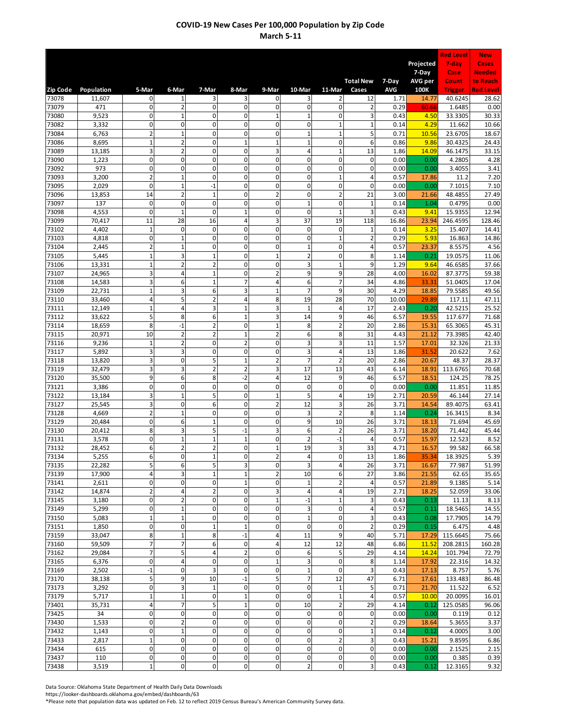|                |                  |                               |                               |                                  |                               |                                  |                     |                              |                    |               |                  | <b>Red Level</b>     | <b>New</b>                |
|----------------|------------------|-------------------------------|-------------------------------|----------------------------------|-------------------------------|----------------------------------|---------------------|------------------------------|--------------------|---------------|------------------|----------------------|---------------------------|
|                |                  |                               |                               |                                  |                               |                                  |                     |                              |                    |               | Projected        | 7-day                | Cases                     |
|                |                  |                               |                               |                                  |                               |                                  |                     |                              | <b>Total New</b>   | 7-Day         | 7-Day<br>AVG per | Case<br>Count        | <b>Needed</b><br>to Reach |
| Zip Code       | Population       | 5-Mar                         | 6-Mar                         | 7-Mar                            | 8-Mar                         | 9-Mar                            | 10-Mar              | 11-Mar                       | Cases              | <b>AVG</b>    | 100K             | <b>Trigger</b>       | <b>Red Level</b>          |
| 73078          | 11,607           | $\mathbf{0}$                  | 1                             | 3                                | 3                             | $\mathbf 0$                      | 3                   | $\overline{2}$               | 12                 | 1.71          | 14.77            | 40.6245              | 28.62                     |
| 73079          | 471              | $\mathbf 0$                   | $\overline{2}$                | 0                                | $\mathbf 0$                   | $\mathbf 0$                      | 0                   | $\mathsf 0$                  | $\overline{2}$     | 0.29          | 60.66            | 1.6485               | 0.00                      |
| 73080<br>73082 | 9,523<br>3,332   | $\mathbf 0$<br>0              | $\mathbf{1}$<br>$\mathbf 0$   | $\mathbf 0$<br>$\mathbf 0$       | $\mathbf 0$<br>$\mathbf 0$    | $\mathbf{1}$<br>0                | $\overline{1}$<br>0 | $\mathbf{0}$<br>$\mathbf{1}$ | 3<br>$\mathbf 1$   | 0.43<br>0.14  | 4.50<br>4.29     | 33.3305<br>11.662    | 30.33<br>10.66            |
| 73084          | 6,763            | $\overline{2}$                | $\mathbf 1$                   | $\mathbf 0$                      | $\mathbf 0$                   | $\mathbf 0$                      | $\overline{1}$      | $\mathbf{1}$                 | 5                  | 0.71          | 10.56            | 23.6705              | 18.67                     |
| 73086          | 8,695            | $\mathbf 1$                   | $\mathbf 2$                   | $\mathbf 0$                      | $\mathbf{1}$                  | $\mathbf 1$                      | $\overline{1}$      | $\mathbf 0$                  | 6                  | 0.86          | 9.86             | 30.4325              | 24.43                     |
| 73089          | 13,185           | 3                             | $\mathbf 2$                   | 0                                | $\mathbf 0$                   | 3                                | 4                   | $\mathbf 1$                  | 13                 | 1.86          | 14.09            | 46.1475              | 33.15                     |
| 73090          | 1,223            | $\pmb{0}$                     | $\mathbf 0$                   | $\mathbf 0$                      | $\mathbf 0$                   | 0                                | $\mathbf{0}$        | $\mathbf 0$                  | $\mathbf 0$        | 0.00          | 0.00             | 4.2805               | 4.28                      |
| 73092<br>73093 | 973<br>3,200     | $\mathbf 0$<br>$\overline{2}$ | $\mathbf 0$<br>$\mathbf 1$    | 0<br>$\mathbf{0}$                | $\mathbf 0$<br>$\mathbf 0$    | 0<br>$\mathbf 0$                 | 0<br>0              | $\mathbf 0$<br>$\mathbf{1}$  | $\mathbf 0$<br>4   | 0.00<br>0.57  | 0.00<br>17.86    | 3.4055<br>11.2       | 3.41<br>7.20              |
| 73095          | 2,029            | $\pmb{0}$                     | $\mathbf 1$                   | $-1$                             | $\mathbf 0$                   | $\mathbf 0$                      | 0                   | $\mathsf 0$                  | $\mathbf 0$        | 0.00          | 0.00             | 7.1015               | 7.10                      |
| 73096          | 13,853           | 14                            | $\overline{2}$                | 1                                | 0                             | 2                                | 0                   | $\overline{2}$               | 21                 | 3.00          | 21.66            | 48.4855              | 27.49                     |
| 73097          | 137              | $\mathbf 0$                   | $\mathbf 0$                   | $\mathbf{0}$                     | $\mathbf 0$                   | $\mathbf 0$                      | $\overline{1}$      | $\mathbf 0$                  | $\mathbf{1}$       | 0.14          | 1.04             | 0.4795               | 0.00                      |
| 73098          | 4,553            | $\mathbf 0$                   | $\mathbf 1$                   | $\mathbf 0$                      | $\overline{1}$                | 0                                | 0                   | $\mathbf{1}$                 | 3                  | 0.43          | 9.41             | 15.9355              | 12.94                     |
| 73099<br>73102 | 70,417<br>4,402  | 11<br>$\mathbf{1}$            | 28<br>$\mathbf 0$             | 16<br>0                          | $\overline{4}$<br>$\mathbf 0$ | 3<br>$\mathbf 0$                 | 37<br>0             | 19<br>$\mathbf 0$            | 118<br>$\mathbf 1$ | 16.86<br>0.14 | 23.94<br>3.25    | 246.4595<br>15.407   | 128.46<br>14.41           |
| 73103          | 4,818            | $\mathbf 0$                   | $\mathbf 1$                   | 0                                | $\mathbf 0$                   | $\mathbf 0$                      | $\pmb{0}$           | $\mathbf 1$                  | $\overline{2}$     | 0.29          | 5.93             | 16.863               | 14.86                     |
| 73104          | 2,445            | $\overline{2}$                | $\mathbf 1$                   | 0                                | $\mathbf 0$                   | $\mathbf 0$                      | $\mathbf{1}$        | $\mathsf 0$                  | 4                  | 0.57          | 23.37            | 8.5575               | 4.56                      |
| 73105          | 5,445            | $\mathbf 1$                   | 3                             | $\mathbf{1}$                     | $\mathbf 0$                   | $\mathbf{1}$                     | $\overline{2}$      | $\mathbf 0$                  | 8                  | 1.14          | 0.21             | 19.0575              | 11.06                     |
| 73106          | 13,331           | $\mathbf 1$                   | $\overline{2}$                | $\overline{2}$                   | $\mathbf 0$                   | $\mathbf 0$                      | 3                   | $\mathbf{1}$                 | 9                  | 1.29          | 9.64             | 46.6585              | 37.66                     |
| 73107<br>73108 | 24,965<br>14,583 | 3<br>3                        | $\overline{4}$<br>6           | $\mathbf{1}$<br>$\mathbf{1}$     | $\mathbf 0$<br>$\overline{7}$ | $\overline{2}$<br>$\overline{4}$ | 9<br>6              | 9<br>$\overline{7}$          | 28<br>34           | 4.00<br>4.86  | 16.02<br>33.31   | 87.3775<br>51.0405   | 59.38<br>17.04            |
| 73109          | 22,731           | $\mathbf{1}$                  | 3                             | 6                                | 3                             | $\mathbf{1}$                     | $\overline{7}$      | 9                            | 30                 | 4.29          | 18.85            | 79.5585              | 49.56                     |
| 73110          | 33,460           | $\overline{4}$                | 5                             | $\overline{a}$                   | $\overline{4}$                | 8                                | 19                  | 28                           | 70                 | 10.00         | 29.89            | 117.11               | 47.11                     |
| 73111          | 12,149           | $\mathbf{1}$                  | $\overline{4}$                | 3                                | $\mathbf{1}$                  | 3                                | $\overline{1}$      | $\overline{4}$               | 17                 | 2.43          | 0.20             | 42.5215              | 25.52                     |
| 73112          | 33,622           | 5                             | 8                             | 6                                | $\mathbf{1}$                  | 3                                | 14                  | 9                            | 46                 | 6.57          | 19.55            | 117.677              | 71.68                     |
| 73114<br>73115 | 18,659<br>20,971 | 8<br>10                       | $-1$<br>$\overline{2}$        | $\overline{2}$<br>$\overline{2}$ | $\mathbf 0$<br>$\mathbf{1}$   | $\mathbf{1}$<br>$\overline{2}$   | 8<br>6              | $\overline{2}$<br>8          | 20<br>31           | 2.86<br>4.43  | 15.31<br>21.12   | 65.3065<br>73.3985   | 45.31<br>42.40            |
| 73116          | 9,236            | $\mathbf 1$                   | $\overline{2}$                | 0                                | $\overline{2}$                | 0                                | 3                   | 3                            | 11                 | 1.57          | 17.01            | 32.326               | 21.33                     |
| 73117          | 5,892            | 3                             | 3                             | $\mathbf 0$                      | $\mathbf 0$                   | $\mathbf 0$                      | 3                   | 4                            | 13                 | 1.86          | 31.52            | 20.622               | 7.62                      |
| 73118          | 13,820           | 3                             | $\mathbf 0$                   | 5                                | $\mathbf{1}$                  | $\overline{\mathbf{c}}$          | $\overline{7}$      | $\overline{2}$               | 20                 | 2.86          | 20.67            | 48.37                | 28.37                     |
| 73119          | 32,479           | 3                             | 3                             | $\overline{2}$                   | $\overline{2}$                | 3                                | 17                  | 13                           | 43                 | 6.14          | 18.91            | 113.6765             | 70.68                     |
| 73120<br>73121 | 35,500<br>3,386  | 9<br>$\mathbf{0}$             | 6<br>$\mathbf 0$              | 8<br>0                           | $-2$<br>$\mathbf 0$           | $\overline{4}$<br>$\mathbf 0$    | 12<br>0             | 9<br>$\mathbf 0$             | 46<br>$\mathbf 0$  | 6.57<br>0.00  | 18.51<br>0.00    | 124.25<br>11.851     | 78.25<br>11.85            |
| 73122          | 13,184           | 3                             | $\mathbf 1$                   | 5                                | $\mathbf 0$                   | $\mathbf{1}$                     | 5                   | $\overline{4}$               | 19                 | 2.71          | 20.59            | 46.144               | 27.14                     |
| 73127          | 25,545           | 3                             | $\mathbf 0$                   | 6                                | $\mathbf 0$                   | $\overline{2}$                   | 12                  | 3                            | 26                 | 3.71          | 14.54            | 89.4075              | 63.41                     |
| 73128          | 4,669            | $\overline{2}$                | $\mathbf 1$                   | $\mathbf 0$                      | $\mathbf 0$                   | 0                                | 3                   | $\overline{2}$               | 8                  | 1.14          | 0.24             | 16.3415              | 8.34                      |
| 73129          | 20,484           | 0                             | 6                             | $\mathbf{1}$                     | $\mathbf 0$                   | $\mathbf 0$                      | 9                   | 10                           | 26                 | 3.71          | 18.13            | 71.694               | 45.69                     |
| 73130<br>73131 | 20,412<br>3,578  | 8<br>0                        | 3<br>$\mathbf 1$              | 5<br>$\mathbf{1}$                | $-1$<br>$\mathbf{1}$          | 3<br>$\mathbf 0$                 | 6<br>$\overline{c}$ | $\overline{2}$<br>$-1$       | 26<br>4            | 3.71<br>0.57  | 18.20<br>15.97   | 71.442<br>12.523     | 45.44<br>8.52             |
| 73132          | 28,452           | 6                             | $\mathbf 2$                   | $\overline{2}$                   | $\mathbf 0$                   | $\mathbf 1$                      | 19                  | 3                            | 33                 | 4.71          | 16.57            | 99.582               | 66.58                     |
| 73134          | 5,255            | $6 \mid$                      | 0                             | $\mathbf 1$                      | 0                             | $\overline{\mathbf{c}}$          |                     | $\mathbf 0$                  | 13                 | 1.86          | 35.34            | 18.3925              | 5.39                      |
| 73135          | 22,282           | 5                             | 6                             | 5                                | 3                             | $\mathbf 0$                      | 3                   | $\sqrt{4}$                   | 26                 | 3.71          | 16.67            | 77.987               | 51.99                     |
| 73139          | 17,900           | $\overline{4}$                | 3                             | $\mathbf 1$                      | $\mathbf{1}$                  | $\overline{2}$                   | 10                  | 6                            | 27                 | 3.86          | 21.55            | 62.65                | 35.65                     |
| 73141<br>73142 | 2,611<br>14,874  | $\pmb{0}$<br>$\overline{2}$   | $\pmb{0}$<br>4                | 0<br>$\overline{c}$              | $\mathbf{1}$<br>$\pmb{0}$     | $\mathbf 0$<br>3                 | $\mathbf 1$<br>4    | $\mathbf 2$<br>$\sqrt{4}$    | $\sqrt{4}$<br>19   | 0.57<br>2.71  | 21.89<br>18.25   | 9.1385<br>52.059     | 5.14<br>33.06             |
| 73145          | 3,180            | 0                             | $\overline{2}$                | 0                                | $\mathbf 0$                   | $\mathbf 1$                      | $-1$                | $\mathbf 1$                  | 3                  | 0.43          | 0.13             | 11.13                | 8.13                      |
| 73149          | 5,299            | 0                             | $\mathbf 1$                   | 0                                | $\mathbf 0$                   | $\mathbf 0$                      | 3                   | $\mathsf 0$                  | 4                  | 0.57          | 0.11             | 18.5465              | 14.55                     |
| 73150          | 5,083            | $\mathbf{1}$                  | $\mathbf 1$                   | 0                                | $\pmb{0}$                     | $\mathbf 0$                      | $\mathbf 1$         | $\mathbf 0$                  | 3                  | 0.43          | 0.08             | 17.7905              | 14.79                     |
| 73151          | 1,850            | $\mathbf 0$                   | $\mathbf 0$                   | $\mathbf{1}$                     | $\mathbf{1}$                  | $\mathbf 0$                      | $\pmb{0}$           | $\mathbf 0$                  | $\overline{2}$     | 0.29          | 0.15             | 6.475                | 4.48                      |
| 73159<br>73160 | 33,047<br>59,509 | 8<br>$\overline{7}$           | $\mathbf 1$<br>$\overline{7}$ | 8<br>6                           | $-1$<br>$\mathbf 0$           | 4<br>4                           | 11<br>12            | 9<br>12                      | 40<br>48           | 5.71<br>6.86  | 17.29<br>11.52   | 115.6645<br>208.2815 | 75.66<br>160.28           |
| 73162          | 29,084           | $\overline{7}$                | 5                             | 4                                | $\overline{2}$                | $\mathbf 0$                      | 6                   | 5                            | 29                 | 4.14          | 14.24            | 101.794              | 72.79                     |
| 73165          | 6,376            | $\mathbf 0$                   | 4                             | $\mathbf 0$                      | $\mathbf 0$                   | $\mathbf 1$                      | 3                   | $\mathbf 0$                  | 8                  | 1.14          | 17.92            | 22.316               | 14.32                     |
| 73169          | 2,502            | $-1$                          | $\pmb{0}$                     | 3                                | $\mathbf 0$                   | $\mathbf 0$                      | $\mathbf 1$         | $\mathbf 0$                  | 3                  | 0.43          | 17.13            | 8.757                | 5.76                      |
| 73170          | 38,138           | 5                             | 9                             | 10                               | $-1$                          | $5\overline{a}$                  | $\overline{7}$      | 12                           | 47                 | 6.71          | 17.61            | 133.483              | 86.48                     |
| 73173<br>73179 | 3,292<br>5,717   | $\mathbf 0$<br>$\mathbf 1$    | 3<br>$\mathbf 1$              | $\mathbf{1}$<br>$\mathbf 0$      | $\pmb{0}$<br>$\mathbf{1}$     | $\mathbf 0$<br>$\mathbf 0$       | 0<br>0              | $\mathbf 1$<br>$\mathbf 1$   | 5<br>4             | 0.71<br>0.57  | 21.70<br>10.00   | 11.522<br>20.0095    | 6.52<br>16.01             |
| 73401          | 35,731           | 4                             | $\overline{7}$                | 5                                | $\mathbf{1}$                  | $\mathbf 0$                      | 10                  | $\overline{2}$               | 29                 | 4.14          | 0.12             | 125.0585             | 96.06                     |
| 73425          | 34               | $\mathbf 0$                   | $\pmb{0}$                     | 0                                | $\mathbf 0$                   | $\mathbf 0$                      | 0                   | $\mathbf 0$                  | 0                  | 0.00          | 0.00             | 0.119                | 0.12                      |
| 73430          | 1,533            | $\mathbf 0$                   | $\overline{2}$                | 0                                | $\mathbf 0$                   | $\mathbf 0$                      | $\mathbf 0$         | $\mathbf 0$                  | $\overline{2}$     | 0.29          | 18.64            | 5.3655               | 3.37                      |
| 73432          | 1,143            | $\mathbf 0$                   | $\mathbf 1$                   | 0                                | $\mathbf 0$                   | $\mathbf 0$                      | 0                   | $\mathbf 0$                  | $\mathbf 1$        | 0.14          | 0.12             | 4.0005               | 3.00                      |
| 73433          | 2,817            | $\mathbf 1$<br>$\mathbf 0$    | $\pmb{0}$<br>$\pmb{0}$        | 0<br>0                           | $\mathbf 0$<br>$\mathbf 0$    | $\mathbf 0$<br>$\pmb{0}$         | 0<br>$\mathbf 0$    | $\mathbf 2$<br>$\mathbf 0$   | 3<br>$\mathbf 0$   | 0.43<br>0.00  | 15.21            | 9.8595               | 6.86                      |
| 73434<br>73437 | 615<br>110       | 0                             | $\pmb{0}$                     | 0                                | $\mathbf 0$                   | $\mathbf 0$                      | 0                   | $\mathbf 0$                  | 0                  | 0.00          | 0.00<br>0.00     | 2.1525<br>0.385      | 2.15<br>0.39              |
| 73438          | 3,519            | $\mathbf{1}$                  | $\pmb{0}$                     | $\mathbf 0$                      | $\pmb{0}$                     | $\mathbf 0$                      | $\overline{2}$      | $\mathbf 0$                  | 3                  | 0.43          | 0.12             | 12.3165              | 9.32                      |

Data Source: Oklahoma State Department of Health Daily Data Downloads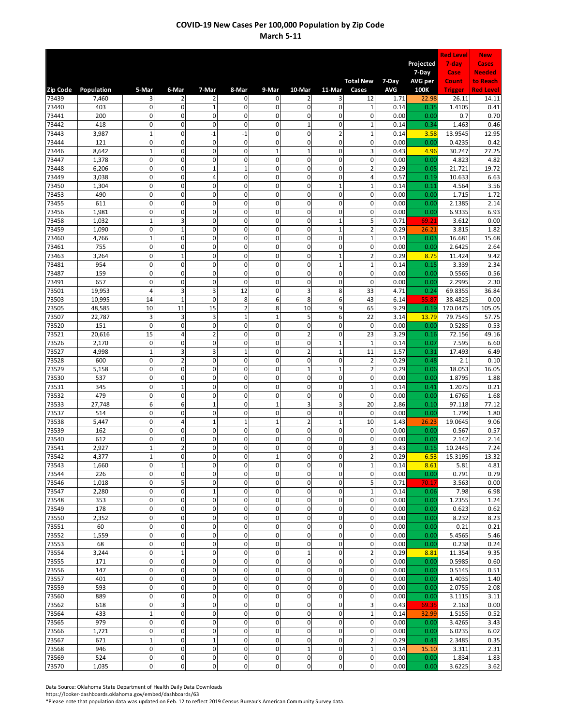|                |                |                             |                               |                               |                             |                             |                         |                             |                                  |              |                  | <b>Red Level</b>  | <b>New</b>                |
|----------------|----------------|-----------------------------|-------------------------------|-------------------------------|-----------------------------|-----------------------------|-------------------------|-----------------------------|----------------------------------|--------------|------------------|-------------------|---------------------------|
|                |                |                             |                               |                               |                             |                             |                         |                             |                                  |              | Projected        | 7-day             | Cases                     |
|                |                |                             |                               |                               |                             |                             |                         |                             | <b>Total New</b>                 | 7-Day        | 7-Day<br>AVG per | Case<br>Count     | <b>Needed</b><br>to Reach |
| Zip Code       | Population     | 5-Mar                       | 6-Mar                         | 7-Mar                         | 8-Mar                       | 9-Mar                       | 10-Mar                  | 11-Mar                      | Cases                            | AVG          | 100K             | <b>Trigger</b>    | <b>Red Level</b>          |
| 73439          | 7,460          | 3                           | 2                             | 2                             | 0                           | $\mathbf 0$                 | 2                       | 3                           | 12                               | 1.71         | 22.98            | 26.11             | 14.11                     |
| 73440<br>73441 | 403<br>200     | $\mathbf 0$<br>$\mathbf 0$  | $\pmb{0}$<br>$\mathbf 0$      | $\mathbf{1}$<br>$\mathbf 0$   | 0<br>$\Omega$               | $\pmb{0}$<br>$\mathbf 0$    | 0<br>0                  | 0<br>$\Omega$               | 1<br>$\mathbf 0$                 | 0.14<br>0.00 | 0.35<br>0.00     | 1.4105<br>0.7     | 0.41<br>0.70              |
| 73442          | 418            | $\mathbf 0$                 | $\mathbf 0$                   | $\mathbf 0$                   | $\mathbf 0$                 | 0                           | $\mathbf{1}$            | $\mathbf 0$                 | $\mathbf 1$                      | 0.14         | 0.34             | 1.463             | 0.46                      |
| 73443          | 3,987          | $\mathbf 1$                 | $\mathbf 0$                   | $-1$                          | $-1$                        | $\mathbf 0$                 | 0                       | $\overline{2}$              | $\mathbf{1}$                     | 0.14         | 3.58             | 13.9545           | 12.95                     |
| 73444          | 121            | $\mathbf 0$                 | $\mathbf 0$                   | $\mathbf 0$                   | $\mathbf 0$                 | $\mathbf 0$                 | 0                       | $\Omega$                    | $\mathbf 0$                      | 0.00         | 0.00             | 0.4235            | 0.42                      |
| 73446<br>73447 | 8,642<br>1,378 | $\mathbf 1$<br>$\mathbf 0$  | $\pmb{0}$<br>$\mathbf 0$      | 0<br>$\mathbf 0$              | $\pmb{0}$<br>$\mathbf 0$    | $\mathbf{1}$<br>$\mathbf 0$ | $\mathbf{1}$<br>0       | 0<br>$\mathbf 0$            | 3<br>$\mathbf 0$                 | 0.43<br>0.00 | 4.96<br>0.00     | 30.247<br>4.823   | 27.25<br>4.82             |
| 73448          | 6,206          | $\mathbf 0$                 | $\mathbf 0$                   | $\mathbf{1}$                  | $\mathbf{1}$                | $\mathbf 0$                 | 0                       | $\mathbf 0$                 | $\overline{2}$                   | 0.29         | 0.05             | 21.721            | 19.72                     |
| 73449          | 3,038          | $\mathbf 0$                 | $\pmb{0}$                     | 4                             | $\mathbf 0$                 | $\pmb{0}$                   | 0                       | $\mathbf 0$                 | $\overline{4}$                   | 0.57         | 0.19             | 10.633            | 6.63                      |
| 73450          | 1,304<br>490   | $\mathbf 0$<br>$\pmb{0}$    | $\mathbf 0$<br>$\pmb{0}$      | $\mathbf 0$<br>0              | $\mathbf 0$<br>$\mathbf 0$  | $\mathbf 0$<br>$\pmb{0}$    | 0<br>0                  | $\mathbf{1}$<br>0           | $\mathbf{1}$<br>0                | 0.14<br>0.00 | 0.11<br>0.00     | 4.564<br>1.715    | 3.56<br>1.72              |
| 73453<br>73455 | 611            | $\mathbf 0$                 | $\mathbf 0$                   | $\mathbf 0$                   | $\mathbf 0$                 | $\pmb{0}$                   | 0                       | $\mathbf 0$                 | 0                                | 0.00         | 0.00             | 2.1385            | 2.14                      |
| 73456          | 1,981          | $\mathbf 0$                 | $\mathbf 0$                   | $\mathbf 0$                   | $\mathbf 0$                 | $\mathbf 0$                 | 0                       | $\mathbf 0$                 | $\mathbf 0$                      | 0.00         | 0.00             | 6.9335            | 6.93                      |
| 73458          | 1,032          | $\mathbf{1}$                | 3                             | $\mathbf 0$                   | $\Omega$                    | $\mathbf 0$                 | 0                       | $\mathbf{1}$                | 5                                | 0.71         | 69.21            | 3.612             | 0.00                      |
| 73459<br>73460 | 1,090<br>4,766 | $\pmb{0}$<br>$\mathbf 1$    | $\mathbf{1}$<br>$\mathbf 0$   | $\overline{0}$<br>$\mathbf 0$ | $\mathbf 0$<br>$\mathbf 0$  | $\mathbf 0$<br>$\pmb{0}$    | 0<br>0                  | $\mathbf{1}$<br>$\mathbf 0$ | $\overline{2}$<br>$\mathbf 1$    | 0.29<br>0.14 | 26.21<br>0.03    | 3.815<br>16.681   | 1.82<br>15.68             |
| 73461          | 755            | $\mathbf 0$                 | $\pmb{0}$                     | $\mathbf 0$                   | $\mathbf 0$                 | $\pmb{0}$                   | 0                       | $\mathbf 0$                 | 0                                | 0.00         | 0.00             | 2.6425            | 2.64                      |
| 73463          | 3,264          | $\mathbf 0$                 | $\mathbf 1$                   | $\mathbf 0$                   | 0                           | $\mathbf 0$                 | 0                       | $\mathbf{1}$                | $\overline{2}$                   | 0.29         | 8.75             | 11.424            | 9.42                      |
| 73481          | 954            | $\mathbf 0$                 | $\mathbf 0$                   | $\mathbf 0$                   | $\mathbf 0$                 | $\mathbf 0$                 | 0                       | $\mathbf{1}$                | $\mathbf 1$                      | 0.14         | 0.15             | 3.339             | 2.34                      |
| 73487<br>73491 | 159<br>657     | $\mathbf 0$<br>$\pmb{0}$    | $\pmb{0}$<br>$\pmb{0}$        | $\overline{0}$<br>$\mathbf 0$ | $\mathbf 0$<br>$\mathbf 0$  | 0<br>$\mathbf 0$            | 0<br>0                  | 0<br>$\mathbf 0$            | 0<br>$\mathsf 0$                 | 0.00<br>0.00 | 0.00<br>0.00     | 0.5565<br>2.2995  | 0.56<br>2.30              |
| 73501          | 19,953         | $\overline{4}$              | 3                             | 3                             | 12                          | $\pmb{0}$                   | 3                       | 8                           | 33                               | 4.71         | 0.24             | 69.8355           | 36.84                     |
| 73503          | 10,995         | 14                          | $\mathbf{1}$                  | $\mathbf 0$                   | 8                           | 6                           | 8                       | 6                           | 43                               | 6.14         | 55.87            | 38.4825           | 0.00                      |
| 73505          | 48,585         | 10                          | 11                            | 15                            | $\overline{2}$              | 8                           | 10                      | 9                           | 65                               | 9.29         | 0.19             | 170.0475          | 105.05                    |
| 73507<br>73520 | 22,787<br>151  | 3<br>$\pmb{0}$              | 3<br>$\mathbf 0$              | 3<br>$\mathbf 0$              | $\mathbf{1}$<br>$\mathbf 0$ | $\mathbf{1}$<br>$\pmb{0}$   | 5<br>0                  | 6<br>$\mathbf 0$            | 22<br>$\mathsf 0$                | 3.14<br>0.00 | 13.79<br>0.00    | 79.7545<br>0.5285 | 57.75<br>0.53             |
| 73521          | 20,616         | 15                          | $\overline{4}$                | $\overline{a}$                | $\mathbf 0$                 | $\mathbf 0$                 | $\overline{2}$          | $\mathbf 0$                 | 23                               | 3.29         | 0.16             | 72.156            | 49.16                     |
| 73526          | 2,170          | $\mathsf 0$                 | 0                             | 0                             | $\mathbf 0$                 | $\pmb{0}$                   | 0                       | $\mathbf{1}$                | $\mathbf{1}$                     | 0.14         | 0.07             | 7.595             | 6.60                      |
| 73527          | 4,998          | $\mathbf 1$<br>$\mathbf 0$  | $\overline{3}$                | 3<br>$\mathbf 0$              | $\mathbf{1}$<br>$\mathbf 0$ | $\mathbf 0$<br>$\mathbf 0$  | $\overline{2}$<br>0     | $\mathbf{1}$<br>$\mathbf 0$ | 11                               | 1.57         | 0.31             | 17.493            | 6.49                      |
| 73528<br>73529 | 600<br>5,158   | $\mathbf 0$                 | $\overline{2}$<br>$\pmb{0}$   | $\mathbf{0}$                  | $\mathbf 0$                 | $\pmb{0}$                   | $\overline{1}$          | $\mathbf{1}$                | $\overline{2}$<br>$\overline{2}$ | 0.29<br>0.29 | 0.48<br>0.06     | 2.1<br>18.053     | 0.10<br>16.05             |
| 73530          | 537            | $\mathbf 0$                 | $\mathbf 0$                   | $\mathbf 0$                   | $\mathbf 0$                 | $\mathbf 0$                 | 0                       | $\mathbf 0$                 | 0                                | 0.00         | 0.00             | 1.8795            | 1.88                      |
| 73531          | 345            | $\mathbf{0}$                | $\mathbf 1$                   | $\mathbf 0$                   | $\mathbf 0$                 | $\mathbf 0$                 | $\mathbf 0$             | $\mathbf{O}$                | $\mathbf 1$                      | 0.14         | 0.41             | 1.2075            | 0.21                      |
| 73532<br>73533 | 479<br>27,748  | $\mathbf 0$<br>6            | $\mathbf 0$<br>6              | $\mathbf 0$<br>$\mathbf{1}$   | $\mathbf 0$<br>$\mathbf 0$  | $\pmb{0}$<br>$\mathbf{1}$   | 0<br>3                  | $\mathbf 0$<br>3            | $\mathbf 0$<br>20                | 0.00<br>2.86 | 0.00<br>0.10     | 1.6765<br>97.118  | 1.68<br>77.12             |
| 73537          | 514            | $\mathbf 0$                 | $\mathbf 0$                   | $\mathbf 0$                   | $\Omega$                    | $\mathbf 0$                 | 0                       | $\Omega$                    | $\mathbf 0$                      | 0.00         | 0.00             | 1.799             | 1.80                      |
| 73538          | 5,447          | 0                           | $\sqrt{4}$                    | $\overline{1}$                | $\mathbf{1}$                | $\mathbf{1}$                | $\overline{\mathbf{c}}$ | $\mathbf{1}$                | 10                               | 1.43         | 26.23            | 19.0645           | 9.06                      |
| 73539          | 162            | $\mathbf{0}$                | $\mathbf 0$                   | $\mathbf 0$                   | $\mathbf 0$                 | $\mathbf 0$                 | 0                       | $\mathbf 0$                 | $\mathbf 0$                      | 0.00         | 0.00             | 0.567             | 0.57                      |
| 73540<br>73541 | 612<br>2,927   | $\mathbf 0$<br>$\mathbf 1$  | $\mathbf 0$<br>$\overline{2}$ | $\mathbf 0$<br>$\mathbf 0$    | $\mathbf 0$<br>0            | $\pmb{0}$<br>$\mathbf 0$    | 0<br>0                  | $\mathbf 0$<br>$\mathbf 0$  | 0<br>3                           | 0.00<br>0.43 | 0.00<br>0.15     | 2.142<br>10.2445  | 2.14<br>7.24              |
| 73542          | 4,377          | $\mathbf 1$                 | $\mathbf{0}$                  | 0                             | 0                           | $\mathbf{1}$                | 0                       | 0                           | $\mathbf 2$                      | 0.29         | 6.53             | 15.3195           | 13.32                     |
| 73543          | 1,660          | $\mathbf 0$                 | $\mathbf{1}$                  | $\mathbf 0$                   | $\mathbf 0$                 | $\mathbf 0$                 | 0                       | $\mathbf 0$                 | $\mathbf 1$                      | 0.14         | 8.61             | 5.81              | 4.81                      |
| 73544          | 226            | $\mathbf 0$                 | $\pmb{0}$                     | 0                             | $\mathbf 0$                 | $\mathbf 0$                 | $\mathbf 0$             | $\mathbf 0$                 | $\mathbf 0$                      | 0.00         | 0.00             | 0.791             | 0.79                      |
| 73546<br>73547 | 1,018<br>2,280 | $\mathbf 0$<br>$\mathbf 0$  | 5<br>$\pmb{0}$                | $\mathbf 0$<br>$\mathbf{1}$   | $\mathbf 0$<br>$\mathbf 0$  | $\pmb{0}$<br>$\mathbf 0$    | $\mathbf 0$<br>0        | $\mathbf 0$<br>$\mathbf 0$  | 5<br>$\mathbf 1$                 | 0.71<br>0.14 | 70.17<br>0.06    | 3.563<br>7.98     | 0.00<br>6.98              |
| 73548          | 353            | $\mathbf 0$                 | $\pmb{0}$                     | $\mathbf 0$                   | $\mathbf 0$                 | $\mathbf 0$                 | 0                       | $\mathbf 0$                 | 0                                | 0.00         | 0.00             | 1.2355            | 1.24                      |
| 73549          | 178            | 0                           | $\pmb{0}$                     | 0                             | $\mathbf 0$                 | $\pmb{0}$                   | 0                       | 0                           | 0                                | 0.00         | 0.00             | 0.623             | 0.62                      |
| 73550          | 2,352          | $\mathbf 0$                 | $\pmb{0}$                     | 0                             | $\mathbf 0$                 | $\mathbf 0$                 | 0                       | $\mathbf 0$                 | 0                                | 0.00         | 0.00             | 8.232             | 8.23                      |
| 73551<br>73552 | 60<br>1,559    | $\mathbf{0}$<br>$\mathbf 0$ | $\mathbf 0$<br>$\pmb{0}$      | $\mathbf 0$<br>0              | $\mathbf 0$<br>$\mathbf 0$  | $\mathbf 0$<br>$\pmb{0}$    | 0<br>$\mathbf 0$        | $\mathbf 0$<br>$\mathbf 0$  | 0<br>0                           | 0.00<br>0.00 | 0.00<br>0.00     | 0.21<br>5.4565    | 0.21<br>5.46              |
| 73553          | 68             | $\pmb{0}$                   | $\pmb{0}$                     | 0                             | $\mathbf 0$                 | $\mathbf 0$                 | 0                       | $\pmb{0}$                   | $\pmb{0}$                        | 0.00         | 0.00             | 0.238             | 0.24                      |
| 73554          | 3,244          | $\mathbf 0$                 | $\mathbf 1$                   | $\mathbf 0$                   | $\mathbf 0$                 | $\mathbf 0$                 | $\mathbf{1}$            | $\mathbf{O}$                | $\mathbf 2$                      | 0.29         | 8.81             | 11.354            | 9.35                      |
| 73555          | 171            | $\pmb{0}$                   | $\pmb{0}$                     | 0                             | $\mathbf 0$                 | $\pmb{0}$                   | 0                       | $\mathbf 0$                 | 0                                | 0.00         | 0.00             | 0.5985            | 0.60                      |
| 73556<br>73557 | 147<br>401     | $\mathbf 0$<br>$\mathbf{0}$ | $\pmb{0}$<br>$\mathbf 0$      | 0<br>0                        | $\mathbf 0$<br>$\mathbf{0}$ | $\mathbf 0$<br>$\mathbf 0$  | 0<br>$\mathbf 0$        | $\mathbf 0$<br>$\mathbf{0}$ | 0<br>$\mathbf 0$                 | 0.00<br>0.00 | 0.00<br>0.00     | 0.5145<br>1.4035  | 0.51<br>1.40              |
| 73559          | 593            | $\mathbf 0$                 | $\pmb{0}$                     | 0                             | $\mathbf 0$                 | $\mathbf 0$                 | 0                       | $\mathbf 0$                 | 0                                | 0.00         | 0.00             | 2.0755            | 2.08                      |
| 73560          | 889            | 0                           | $\pmb{0}$                     | $\mathbf 0$                   | $\mathbf 0$                 | $\mathbf 0$                 | 0                       | $\mathbf 0$                 | 0                                | 0.00         | 0.00             | 3.1115            | 3.11                      |
| 73562          | 618<br>433     | $\mathbf 0$<br>$\mathbf 1$  | 3<br>$\pmb{0}$                | $\mathbf 0$<br>0              | $\mathbf 0$<br>$\mathbf 0$  | $\mathbf 0$<br>$\mathbf 0$  | 0<br>0                  | $\mathbf 0$<br>$\mathbf{O}$ | 3<br>$\mathbf 1$                 | 0.43<br>0.14 | 69.35<br>32.99   | 2.163             | 0.00<br>0.52              |
| 73564<br>73565 | 979            | $\mathbf 0$                 | $\pmb{0}$                     | 0                             | $\mathbf 0$                 | $\mathbf 0$                 | $\mathbf 0$             | $\mathbf 0$                 | 0                                | 0.00         | 0.00             | 1.5155<br>3.4265  | 3.43                      |
| 73566          | 1,721          | $\mathbf 0$                 | $\pmb{0}$                     | 0                             | $\mathbf 0$                 | $\mathbf 0$                 | $\mathbf 0$             | $\mathbf 0$                 | 0                                | 0.00         | 0.00             | 6.0235            | 6.02                      |
| 73567          | 671            | $\mathbf 1$                 | $\pmb{0}$                     | $\mathbf{1}$                  | $\mathbf 0$                 | $\mathbf 0$                 | $\mathbf 0$             | $\mathbf 0$                 | $\overline{2}$                   | 0.29         | 0.43             | 2.3485            | 0.35                      |
| 73568<br>73569 | 946<br>524     | $\mathbf 0$<br>$\mathbf 0$  | $\mathbf 0$<br>$\pmb{0}$      | $\mathbf 0$<br>0              | $\mathbf 0$<br>$\mathbf 0$  | $\mathbf 0$<br>$\mathbf 0$  | $\mathbf 1$<br>0        | $\mathbf 0$<br>$\mathbf 0$  | $\mathbf 1$<br>$\mathbf 0$       | 0.14<br>0.00 | 15.10<br>0.00    | 3.311<br>1.834    | 2.31<br>1.83              |
| 73570          | 1,035          | $\overline{0}$              | $\pmb{0}$                     | $\mathbf 0$                   | $\mathbf 0$                 | $\pmb{0}$                   | $\mathbf 0$             | $\mathbf 0$                 | $\pmb{0}$                        | 0.00         | 0.00             | 3.6225            | 3.62                      |

Data Source: Oklahoma State Department of Health Daily Data Downloads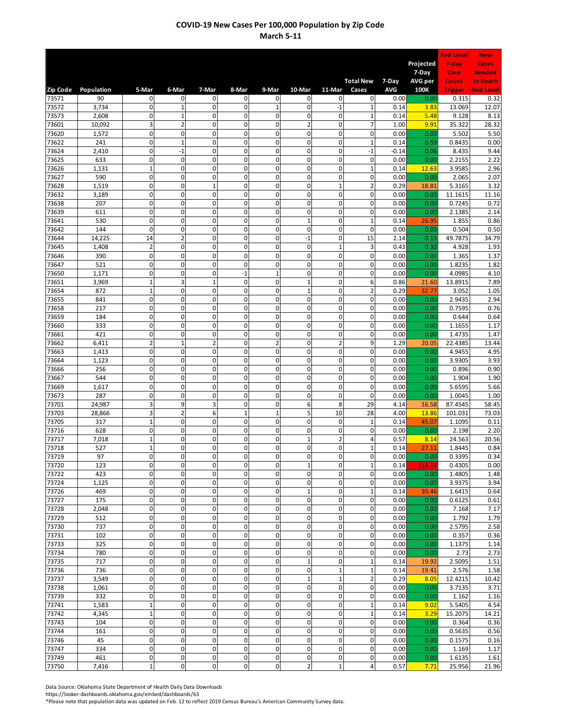|                |                |                             |                                        |                               |                            |                               |                                        |                              |                               |                 |                  | <b>Red Level</b>  | <b>New</b>                |
|----------------|----------------|-----------------------------|----------------------------------------|-------------------------------|----------------------------|-------------------------------|----------------------------------------|------------------------------|-------------------------------|-----------------|------------------|-------------------|---------------------------|
|                |                |                             |                                        |                               |                            |                               |                                        |                              |                               |                 | Projected        | 7-day             | Cases                     |
|                |                |                             |                                        |                               |                            |                               |                                        |                              | <b>Total New</b>              | 7-Day           | 7-Day<br>AVG per | Case<br>Count     | <b>Needed</b><br>to Reach |
| Zip Code       | Population     | 5-Mar                       | 6-Mar                                  | 7-Mar                         | 8-Mar                      | 9-Mar                         | 10-Mar                                 | 11-Mar                       | Cases                         | <b>AVG</b>      | 100K             | <b>Trigger</b>    | <b>Red Level</b>          |
| 73571          | 90             | $\mathbf{0}$                | 0                                      | 0                             | 0                          | $\mathbf 0$                   | 0                                      | 0                            | $\mathbf 0$                   | 0.00            | 0.00             | 0.315             | 0.32                      |
| 73572<br>73573 | 3,734<br>2,608 | $\mathbf 0$<br>$\mathbf 0$  | $\mathbf{1}$<br>$\mathbf 1$            | 0<br>$\mathbf 0$              | $\mathbf 0$<br>$\mathbf 0$ | $\mathbf{1}$<br>$\mathbf 0$   | 0<br>$\overline{0}$                    | $-1$<br>$\mathbf 0$          | 1<br>$\mathbf{1}$             | 0.14<br>0.14    | 3.83<br>5.48     | 13.069<br>9.128   | 12.07<br>8.13             |
| 73601          | 10,092         | 3                           | $\overline{2}$                         | 0                             | $\mathbf 0$                | 0                             | $\overline{c}$                         | $\mathbf 0$                  | 7                             | 1.00            | 9.91             | 35.322            | 28.32                     |
| 73620          | 1,572          | $\mathbf 0$                 | $\mathbf 0$                            | $\mathbf 0$                   | $\mathbf 0$                | $\mathbf 0$                   | $\mathbf 0$                            | $\mathbf 0$                  | $\mathbf 0$                   | 0.00            | 0.00             | 5.502             | 5.50                      |
| 73622          | 241            | $\mathbf{0}$                | $\mathbf 1$                            | $\mathbf 0$                   | $\mathbf 0$                | $\mathbf 0$                   | 0                                      | $\mathbf 0$                  | $\mathbf 1$                   | 0.14            | 0.59             | 0.8435            | 0.00                      |
| 73624<br>73625 | 2,410<br>633   | $\mathbf 0$<br>$\pmb{0}$    | $^{\rm -1}$<br>$\mathbf 0$             | 0<br>$\mathbf 0$              | $\mathbf 0$<br>$\mathbf 0$ | $\mathbf 0$<br>$\mathbf 0$    | 0<br>$\mathbf{0}$                      | $\mathsf 0$<br>$\mathbf 0$   | $-1$<br>$\mathbf 0$           | $-0.14$<br>0.00 | $-0.06$<br>0.00  | 8.435<br>2.2155   | 9.44<br>2.22              |
| 73626          | 1,131          | $\mathbf 1$                 | $\mathbf 0$                            | $\mathbf 0$                   | $\mathbf 0$                | 0                             | 0                                      | $\mathbf 0$                  | $\mathbf 1$                   | 0.14            | 12.63            | 3.9585            | 2.96                      |
| 73627          | 590            | $\mathbf 0$                 | $\pmb{0}$                              | $\mathbf{0}$                  | $\mathbf 0$                | $\mathbf 0$                   | $\mathbf{0}$                           | $\mathbf 0$                  | $\mathbf 0$                   | 0.00            | 0.00             | 2.065             | 2.07                      |
| 73628<br>73632 | 1,519<br>3,189 | $\pmb{0}$<br>$\mathbf 0$    | $\mathbf 0$<br>$\pmb{0}$               | $\mathbf{1}$<br>0             | $\mathbf 0$<br>$\mathbf 0$ | $\mathbf 0$<br>$\mathbf 0$    | $\mathbf 0$<br>0                       | $\mathbf{1}$<br>$\mathsf 0$  | $\overline{2}$<br>0           | 0.29<br>0.00    | 18.81<br>0.00    | 5.3165<br>11.1615 | 3.32<br>11.16             |
| 73638          | 207            | 0                           | $\mathbf 0$                            | $\mathbf{0}$                  | $\mathbf 0$                | $\mathbf 0$                   | $\mathbf{0}$                           | $\mathbf{0}$                 | 0                             | 0.00            | 0.00             | 0.7245            | 0.72                      |
| 73639          | 611            | $\mathbf 0$                 | $\mathbf 0$                            | $\mathbf 0$                   | $\mathbf 0$                | 0                             | 0                                      | $\mathbf 0$                  | $\mathbf 0$                   | 0.00            | 0.00             | 2.1385            | 2.14                      |
| 73641          | 530            | $\mathbf 0$                 | $\mathbf 0$                            | $\mathbf 0$                   | $\mathbf 0$                | 0                             | $\overline{1}$                         | $\mathbf 0$                  | $\mathbf{1}$                  | 0.14            | 26.95            | 1.855             | 0.86                      |
| 73642<br>73644 | 144<br>14,225  | $\pmb{0}$<br>14             | $\mathbf 0$<br>$\overline{2}$          | 0<br>0                        | $\mathbf 0$<br>$\mathbf 0$ | $\mathbf 0$<br>$\mathbf 0$    | 0<br>$-1$                              | $\mathbf 0$<br>$\mathbf 0$   | $\mathbf 0$<br>15             | 0.00<br>2.14    | 0.00<br>0.15     | 0.504<br>49.7875  | 0.50<br>34.79             |
| 73645          | 1,408          | $\overline{2}$              | $\pmb{0}$                              | 0                             | $\mathbf 0$                | $\mathbf 0$                   | 0                                      | $\mathbf{1}$                 | 3                             | 0.43            | 0.30             | 4.928             | 1.93                      |
| 73646          | 390            | $\pmb{0}$                   | $\mathbf 0$                            | 0                             | $\mathbf 0$                | $\mathbf 0$                   | $\mathbf{0}$                           | $\mathbf 0$                  | 0                             | 0.00            | 0.00             | 1.365             | 1.37                      |
| 73647          | 521            | $\mathbf 0$                 | $\mathbf 0$                            | $\mathbf 0$                   | $\mathbf 0$                | $\mathbf 0$                   | $\mathbf 0$                            | $\mathbf 0$                  | $\mathbf 0$                   | 0.00            | 0.00             | 1.8235            | 1.82                      |
| 73650<br>73651 | 1,171<br>3,969 | $\mathbf 0$<br>$\mathbf 1$  | $\mathbf 0$<br>$\overline{\mathbf{3}}$ | $\mathbf{0}$<br>$\mathbf{1}$  | $-1$<br>$\mathbf 0$        | $\mathbf{1}$<br>$\mathbf 0$   | $\overline{0}$<br>$\mathbf{1}$         | $\mathbf 0$<br>$\mathsf 0$   | 0<br>6                        | 0.00<br>0.86    | 0.00<br>21.60    | 4.0985<br>13.8915 | 4.10<br>7.89              |
| 73654          | 872            | $\mathbf{1}$                | $\pmb{0}$                              | 0                             | $\mathbf 0$                | $\mathbf 0$                   | $\mathbf{1}$                           | $\mathbf 0$                  | $\overline{2}$                | 0.29            | 32.77            | 3.052             | 1.05                      |
| 73655          | 841            | $\mathbf 0$                 | $\pmb{0}$                              | $\mathbf{0}$                  | $\mathbf 0$                | $\mathbf 0$                   | $\mathbf{0}$                           | $\mathbf 0$                  | 0                             | 0.00            | 0.00             | 2.9435            | 2.94                      |
| 73658          | 217            | $\mathbf 0$                 | $\mathbf 0$                            | $\mathbf 0$                   | $\mathbf 0$                | 0                             | $\overline{0}$                         | $\mathbf 0$                  | 0                             | 0.00            | 0.00             | 0.7595            | 0.76                      |
| 73659<br>73660 | 184<br>333     | $\mathbf 0$<br>$\mathbf 0$  | $\mathbf 0$<br>$\mathbf 0$             | $\mathbf 0$<br>$\mathbf{0}$   | $\mathbf 0$<br>$\mathbf 0$ | 0<br>$\pmb{0}$                | $\overline{0}$<br>$\mathbf{0}$         | $\mathbf 0$<br>$\mathbf 0$   | 0<br>$\mathbf 0$              | 0.00<br>0.00    | 0.00<br>0.00     | 0.644<br>1.1655   | 0.64<br>1.17              |
| 73661          | 421            | $\mathbf 0$                 | $\mathbf 0$                            | $\mathbf 0$                   | $\mathbf 0$                | $\mathbf 0$                   | 0                                      | $\mathbf 0$                  | $\mathbf 0$                   | 0.00            | 0.00             | 1.4735            | 1.47                      |
| 73662          | 6,411          | $\overline{2}$              | $\mathbf 1$                            | $\overline{c}$                | $\mathbf 0$                | 2                             | 0                                      | $\overline{2}$               | 9                             | 1.29            | 20.05            | 22.4385           | 13.44                     |
| 73663          | 1,413          | $\pmb{0}$<br>$\mathbf 0$    | $\mathbf 0$<br>$\mathbf 0$             | $\overline{0}$<br>$\mathbf 0$ | $\mathbf 0$<br>$\mathbf 0$ | $\mathbf 0$<br>0              | $\overline{0}$<br>$\overline{0}$       | $\mathbf 0$<br>$\mathbf 0$   | $\mathbf 0$<br>$\mathbf 0$    | 0.00            | 0.00             | 4.9455            | 4.95                      |
| 73664<br>73666 | 1,123<br>256   | $\mathbf 0$                 | $\pmb{0}$                              | $\mathbf{0}$                  | $\mathbf 0$                | $\mathbf 0$                   | $\mathbf{0}$                           | $\mathbf 0$                  | $\mathbf 0$                   | 0.00<br>0.00    | 0.00<br>0.00     | 3.9305<br>0.896   | 3.93<br>0.90              |
| 73667          | 544            | $\pmb{0}$                   | $\mathbf 0$                            | 0                             | $\mathbf 0$                | $\mathbf 0$                   | 0                                      | $\mathbf 0$                  | $\mathbf 0$                   | 0.00            | 0.00             | 1.904             | 1.90                      |
| 73669          | 1,617          | $\mathbf{0}$                | $\mathbf 0$                            | $\mathbf 0$                   | $\mathbf 0$                | $\mathbf 0$                   | $\mathbf 0$                            | $\mathbf 0$                  | $\mathbf 0$                   | 0.00            | 0.00             | 5.6595            | $\overline{5.66}$         |
| 73673<br>73701 | 287<br>24,987  | $\mathbf 0$<br>3            | $\mathbf 0$<br>9                       | $\mathbf{0}$<br>3             | $\mathbf 0$<br>$\mathbf 0$ | $\mathbf 0$<br>$\mathbf 0$    | $\mathbf{0}$<br>6                      | $\mathbf 0$<br>8             | $\mathbf 0$<br>29             | 0.00<br>4.14    | 0.00<br>16.58    | 1.0045<br>87.4545 | 1.00<br>58.45             |
| 73703          | 28,866         | 3                           | $\overline{2}$                         | 6                             | $\mathbf{1}$               | $\mathbf{1}$                  | 5                                      | 10                           | 28                            | 4.00            | 13.86            | 101.031           | 73.03                     |
| 73705          | 317            | $\mathbf 1$                 | $\mathbf 0$                            | $\mathbf{0}$                  | $\mathbf 0$                | $\mathbf 0$                   | $\overline{0}$                         | $\mathsf 0$                  | $\mathbf{1}$                  | 0.14            | 45.07            | 1.1095            | 0.11                      |
| 73716          | 628            | $\mathbf{0}$                | $\mathbf 0$                            | $\mathbf 0$                   | $\mathbf 0$                | $\mathbf 0$                   | $\pmb{0}$                              | $\mathbf 0$                  | $\mathbf 0$                   | 0.00            | 0.00             | 2.198             | 2.20                      |
| 73717<br>73718 | 7,018<br>527   | $\mathbf{1}$<br>$\mathbf 1$ | $\mathbf 0$<br>$\pmb{0}$               | $\mathbf 0$<br>0              | $\mathbf 0$<br>0           | $\mathbf 0$<br>$\mathbf 0$    | $\mathbf{1}$<br>0                      | $\overline{2}$<br>0          | 4<br>$\mathbf 1$              | 0.57<br>0.14    | 8.14<br>27.11    | 24.563<br>1.8445  | 20.56<br>0.84             |
| 73719          | 97             | $\mathbf{0}$                | $\overline{\text{o}}$                  | 0                             | 0                          | 0                             | 0                                      | $\mathbf 0$                  | $\mathbf 0$                   | 0.00            | 0.00             | 0.3395            | 0.34                      |
| 73720          | 123            | $\mathbf 0$                 | $\mathbf 0$                            | 0                             | $\mathbf 0$                | $\mathbf 0$                   | $\mathbf{1}$                           | $\mathbf 0$                  | $\mathbf 1$                   | 0.14            | 116.14           | 0.4305            | 0.00                      |
| 73722          | 423            | $\mathbf 0$                 | $\pmb{0}$                              | $\mathbf 0$                   | $\mathbf 0$                | $\mathbf 0$                   | $\mathbf 0$                            | $\mathbf 0$                  | 0                             | 0.00            | 0.00             | 1.4805            | 1.48                      |
| 73724<br>73726 | 1,125<br>469   | $\mathbf{0}$<br>$\mathbf 0$ | $\pmb{0}$<br>$\pmb{0}$                 | 0<br>0                        | $\mathbf 0$<br>$\pmb{0}$   | $\mathbf{0}$<br>$\mathbf 0$   | $\overline{\mathbf{o}}$<br>$\mathbf 1$ | $\mathbf 0$<br>$\mathbf 0$   | $\pmb{0}$<br>$\mathbf 1$      | 0.00<br>0.14    | 0.00<br>30.46    | 3.9375<br>1.6415  | 3.94<br>0.64              |
| 73727          | 175            | $\mathbf 0$                 | $\pmb{0}$                              | 0                             | $\mathbf 0$                | $\mathbf 0$                   | $\mathbf 0$                            | $\mathbf 0$                  | 0                             | 0.00            | 0.00             | 0.6125            | 0.61                      |
| 73728          | 2,048          | 0                           | $\pmb{0}$                              | 0                             | $\mathbf 0$                | $\mathbf 0$                   | 0                                      | $\mathsf 0$                  | 0                             | 0.00            | 0.00             | 7.168             | 7.17                      |
| 73729          | 512            | $\mathbf 0$                 | $\pmb{0}$                              | 0                             | $\pmb{0}$                  | $\mathbf 0$                   | 0                                      | $\mathbf 0$                  | $\pmb{0}$                     | 0.00            | 0.00             | 1.792             | $\overline{1.79}$         |
| 73730<br>73731 | 737<br>102     | $\mathbf{0}$<br>$\mathbf 0$ | $\pmb{0}$<br>$\pmb{0}$                 | $\mathbf 0$<br>0              | $\mathbf 0$<br>$\mathbf 0$ | $\mathbf 0$<br>$\pmb{0}$      | $\pmb{0}$<br>0                         | $\mathbf 0$<br>$\mathbf 0$   | $\mathbf 0$<br>0              | 0.00<br>0.00    | 0.00<br>0.00     | 2.5795<br>0.357   | 2.58<br>0.36              |
| 73733          | 325            | $\pmb{0}$                   | $\pmb{0}$                              | 0                             | $\mathbf 0$                | $\pmb{0}$                     | 0                                      | $\mathbf 0$                  | $\pmb{0}$                     | 0.00            | 0.00             | 1.1375            | 1.14                      |
| 73734          | 780            | $\mathbf{0}$                | $\pmb{0}$                              | 0                             | $\mathbf 0$                | $\mathbf 0$                   | 0                                      | $\mathbf 0$                  | 0                             | 0.00            | 0.00             | 2.73              | 2.73                      |
| 73735          | 717            | $\mathbf 0$                 | $\pmb{0}$                              | 0                             | $\mathbf 0$                | $\mathbf 0$                   | $\overline{1}$                         | $\mathbf 0$                  | $\mathbf 1$                   | 0.14            | 19.92            | 2.5095            | 1.51                      |
| 73736<br>73737 | 736<br>3,549   | $\mathbf 0$<br>$\mathbf 0$  | $\mathbf 0$<br>$\pmb{0}$               | $\mathbf 0$<br>0              | $\mathbf 0$<br>$\mathbf 0$ | $\mathbf 0$<br>$\overline{0}$ | $\mathbf 0$<br>$\mathbf 1$             | $\mathbf{1}$<br>$\mathbf{1}$ | $\mathbf 1$<br>$\overline{2}$ | 0.14<br>0.29    | 19.41<br>8.05    | 2.576<br>12.4215  | 1.58<br>10.42             |
| 73738          | 1,061          | $\mathbf 0$                 | $\pmb{0}$                              | 0                             | $\mathbf 0$                | $\pmb{0}$                     | 0                                      | $\mathbf 0$                  | $\pmb{0}$                     | 0.00            | 0.00             | 3.7135            | 3.71                      |
| 73739          | 332            | $\mathbf 0$                 | $\pmb{0}$                              | 0                             | $\mathbf 0$                | $\mathbf 0$                   | 0                                      | $\mathbf 0$                  | 0                             | 0.00            | 0.00             | 1.162             | 1.16                      |
| 73741          | 1,583          | $\mathbf 1$<br>$\mathbf 1$  | $\pmb{0}$<br>$\pmb{0}$                 | 0<br>0                        | $\mathbf 0$<br>$\mathbf 0$ | $\pmb{0}$<br>$\mathbf 0$      | $\pmb{0}$<br>0                         | $\mathbf 0$<br>$\mathbf 0$   | $\mathbf 1$<br>$\mathbf 1$    | 0.14<br>0.14    | 9.02             | 5.5405            | 4.54<br>14.21             |
| 73742<br>73743 | 4,345<br>104   | $\mathbf 0$                 | $\pmb{0}$                              | $\mathbf 0$                   | $\mathbf 0$                | $\mathbf 0$                   | $\mathbf 0$                            | $\mathbf 0$                  | 0                             | 0.00            | 3.29<br>0.00     | 15.2075<br>0.364  | 0.36                      |
| 73744          | 161            | $\mathbf 0$                 | $\pmb{0}$                              | 0                             | $\mathbf 0$                | $\pmb{0}$                     | 0                                      | $\mathbf 0$                  | 0                             | 0.00            | 0.00             | 0.5635            | 0.56                      |
| 73746          | 45             | $\mathbf 0$                 | $\pmb{0}$                              | 0                             | $\pmb{0}$                  | $\mathbf 0$                   | 0                                      | $\mathbf 0$                  | $\pmb{0}$                     | 0.00            | 0.00             | 0.1575            | 0.16                      |
| 73747<br>73749 | 334<br>461     | $\mathbf 0$<br>0            | $\pmb{0}$<br>$\pmb{0}$                 | 0<br>0                        | $\mathbf 0$<br>$\mathbf 0$ | $\mathbf 0$<br>$\mathbf 0$    | $\mathbf 0$<br>0                       | $\mathbf 0$<br>$\mathbf 0$   | 0<br>0                        | 0.00<br>0.00    | 0.00<br>0.00     | 1.169<br>1.6135   | 1.17<br>1.61              |
| 73750          | 7,416          | $\mathbf{1}$                | $\pmb{0}$                              | $\mathbf 0$                   | $\pmb{0}$                  | $\mathbf 0$                   | $\overline{2}$                         | $\mathbf{1}$                 | 4                             | 0.57            | 7.71             | 25.956            | 21.96                     |

Data Source: Oklahoma State Department of Health Daily Data Downloads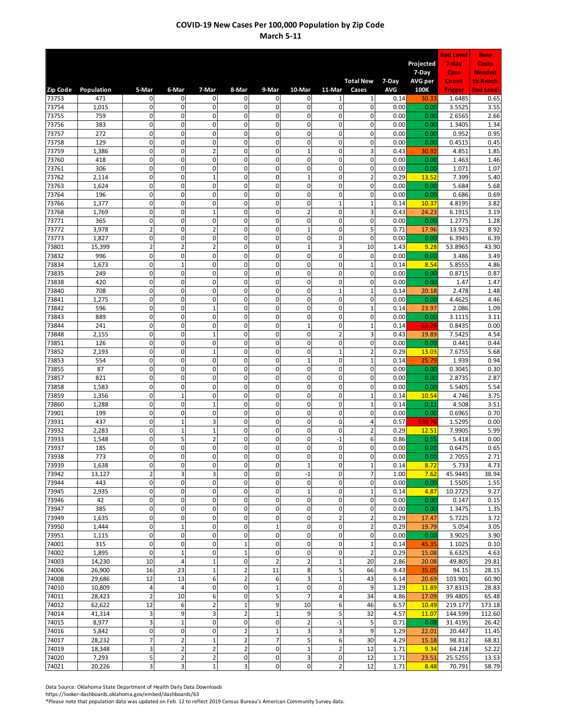|                 |                  |                               |                            |                                        |                             |                            |                                  |                               |                               |              |                  | <b>Red Level</b>   | <b>New</b>                |
|-----------------|------------------|-------------------------------|----------------------------|----------------------------------------|-----------------------------|----------------------------|----------------------------------|-------------------------------|-------------------------------|--------------|------------------|--------------------|---------------------------|
|                 |                  |                               |                            |                                        |                             |                            |                                  |                               |                               |              | Projected        | 7-day              | Cases                     |
|                 |                  |                               |                            |                                        |                             |                            |                                  |                               | <b>Total New</b>              | 7-Day        | 7-Day<br>AVG per | Case<br>Count      | <b>Needed</b><br>to Reach |
| <b>Zip Code</b> | Population       | 5-Mar                         | 6-Mar                      | 7-Mar                                  | 8-Mar                       | 9-Mar                      | 10-Mar                           | 11-Mar                        | Cases                         | <b>AVG</b>   | 100K             | <b>Trigger</b>     | <b>Red Level</b>          |
| 73753           | 471              | $\mathbf{0}$                  | 0                          | 0                                      | 0                           | $\mathbf 0$                | 0                                | $\mathbf{1}$                  | 1                             | 0.14         | 30.33            | 1.6485             | 0.65                      |
| 73754           | 1,015            | $\mathbf 0$<br>$\mathbf 0$    | $\mathbf 0$                | 0                                      | $\mathbf 0$                 | $\mathbf 0$<br>$\mathbf 0$ | 0<br>$\overline{0}$              | $\mathsf 0$<br>$\mathbf 0$    | 0                             | 0.00         | 0.00             | 3.5525             | 3.55                      |
| 73755<br>73756  | 759<br>383       | 0                             | $\mathbf 0$<br>$\mathbf 0$ | $\mathbf 0$<br>$\mathbf 0$             | $\mathbf 0$<br>$\mathbf 0$  | 0                          | 0                                | $\mathbf 0$                   | 0<br>0                        | 0.00<br>0.00 | 0.00<br>0.00     | 2.6565<br>1.3405   | 2.66<br>1.34              |
| 73757           | 272              | $\mathbf 0$                   | $\mathbf 0$                | $\mathbf 0$                            | $\mathbf 0$                 | $\mathbf 0$                | $\mathbf 0$                      | $\mathbf 0$                   | $\mathbf 0$                   | 0.00         | 0.00             | 0.952              | 0.95                      |
| 73758           | 129              | $\mathbf 0$                   | $\mathbf 0$                | $\mathbf 0$                            | $\mathbf 0$                 | $\mathbf 0$                | 0                                | $\mathbf 0$                   | $\mathbf 0$                   | 0.00         | 0.00             | 0.4515             | 0.45                      |
| 73759           | 1,386            | $\mathbf 0$                   | $\pmb{0}$                  | $\overline{a}$                         | $\mathbf 0$                 | $\mathbf 0$                | $\overline{1}$                   | $\mathsf 0$                   | 3                             | 0.43         | 30.92            | 4.851              | 1.85                      |
| 73760           | 418              | $\pmb{0}$<br>$\mathbf 0$      | $\mathbf 0$<br>$\mathbf 0$ | $\mathbf 0$<br>$\mathbf 0$             | $\mathbf 0$<br>$\mathbf 0$  | 0<br>0                     | $\mathbf{0}$<br>0                | $\mathbf 0$<br>$\mathbf 0$    | $\mathbf 0$<br>$\mathbf 0$    | 0.00         | 0.00             | 1.463              | 1.46                      |
| 73761<br>73762  | 306<br>2,114     | $\mathbf 0$                   | $\pmb{0}$                  | $\mathbf{1}$                           | $\mathbf 0$                 | $\mathbf 0$                | $\overline{1}$                   | $\mathbf 0$                   | $\overline{2}$                | 0.00<br>0.29 | 0.00<br>13.52    | 1.071<br>7.399     | 1.07<br>5.40              |
| 73763           | 1,624            | $\pmb{0}$                     | $\mathbf 0$                | 0                                      | $\mathbf 0$                 | $\mathbf 0$                | 0                                | $\mathbf 0$                   | $\mathbf 0$                   | 0.00         | 0.00             | 5.684              | 5.68                      |
| 73764           | 196              | $\mathbf 0$                   | $\pmb{0}$                  | 0                                      | $\mathbf 0$                 | $\mathbf 0$                | 0                                | $\mathsf 0$                   | 0                             | 0.00         | 0.00             | 0.686              | 0.69                      |
| 73766           | 1,377            | 0                             | $\mathbf 0$                | $\mathbf{0}$                           | $\mathbf 0$                 | $\mathbf 0$                | $\mathbf{0}$                     | $\mathbf{1}$                  | $\mathbf{1}$                  | 0.14         | 10.37            | 4.8195             | 3.82                      |
| 73768           | 1,769            | $\mathbf 0$                   | $\mathbf 0$                | $\overline{1}$                         | $\mathbf 0$                 | 0                          | $\overline{2}$                   | $\mathbf 0$                   | 3                             | 0.43         | 24.23            | 6.1915             | 3.19                      |
| 73771<br>73772  | 365<br>3,978     | $\mathbf 0$<br>$\overline{2}$ | $\mathbf 0$<br>$\mathbf 0$ | $\mathbf 0$<br>$\overline{2}$          | $\mathbf 0$<br>$\mathbf 0$  | 0<br>$\mathbf 0$           | $\overline{0}$<br>$\overline{1}$ | $\mathbf 0$<br>$\mathbf 0$    | $\mathbf 0$<br>5              | 0.00<br>0.71 | 0.00<br>17.96    | 1.2775<br>13.923   | 1.28<br>8.92              |
| 73773           | 1,827            | $\mathbf 0$                   | $\pmb{0}$                  | $\mathbf 0$                            | $\mathbf 0$                 | $\mathbf 0$                | $\pmb{0}$                        | $\mathbf 0$                   | $\mathbf 0$                   | 0.00         | 0.00             | 6.3945             | 6.39                      |
| 73801           | 15,399           | $\overline{2}$                | $\overline{2}$             | $\overline{c}$                         | $\mathbf 0$                 | $\mathbf 0$                | $\mathbf{1}$                     | 3                             | 10                            | 1.43         | 9.28             | 53.8965            | 43.90                     |
| 73832           | 996              | $\pmb{0}$                     | $\pmb{0}$                  | 0                                      | $\mathbf 0$                 | $\mathbf 0$                | 0                                | $\mathbf 0$                   | 0                             | 0.00         | 0.00             | 3.486              | 3.49                      |
| 73834           | 1,673            | $\mathbf 0$                   | $\mathbf 1$                | $\mathbf 0$                            | $\mathbf 0$                 | $\mathbf 0$                | $\mathbf 0$                      | $\mathbf 0$                   | $\mathbf{1}$                  | 0.14         | 8.54             | 5.8555             | 4.86                      |
| 73835           | 249              | $\mathbf 0$                   | $\mathbf 0$                | $\overline{0}$                         | $\mathbf 0$                 | $\mathbf 0$                | $\overline{0}$                   | $\mathbf 0$                   | $\mathbf 0$                   | 0.00         | 0.00             | 0.8715             | 0.87                      |
| 73838           | 420              | $\mathbf 0$                   | $\pmb{0}$                  | 0                                      | $\mathbf 0$                 | $\mathbf 0$                | 0                                | $\mathsf 0$                   | $\mathbf 0$                   | 0.00         | 0.00             | 1.47               | 1.47                      |
| 73840<br>73841  | 708<br>1,275     | $\pmb{0}$<br>$\mathbf 0$      | $\mathbf 0$<br>$\mathbf 0$ | 0<br>0                                 | $\mathbf 0$<br>$\mathbf 0$  | $\mathbf 0$<br>$\mathbf 0$ | 0<br>$\mathbf{0}$                | $\mathbf{1}$<br>$\mathbf 0$   | $\mathbf 1$<br>0              | 0.14<br>0.00 | 20.18<br>0.00    | 2.478<br>4.4625    | 1.48<br>4.46              |
| 73842           | 596              | $\mathbf 0$                   | $\mathbf 0$                | $\overline{1}$                         | $\Omega$                    | 0                          | $\overline{0}$                   | $\mathbf 0$                   | $\mathbf{1}$                  | 0.14         | 23.97            | 2.086              | 1.09                      |
| 73843           | 889              | $\mathbf 0$                   | $\mathbf 0$                | $\mathbf 0$                            | $\mathbf 0$                 | 0                          | $\overline{0}$                   | $\mathbf 0$                   | 0                             | 0.00         | 0.00             | 3.1115             | 3.11                      |
| 73844           | 241              | $\mathbf 0$                   | $\mathbf 0$                | $\mathbf{0}$                           | $\mathbf 0$                 | $\mathbf 0$                | $\overline{1}$                   | $\mathbf 0$                   | $\mathbf{1}$                  | 0.14         | 59.28            | 0.8435             | 0.00                      |
| 73848           | 2,155            | $\mathbf 0$                   | $\mathbf 0$                | $\mathbf{1}$                           | $\mathbf 0$                 | $\mathbf 0$                | $\mathbf 0$                      | $\overline{2}$                | 3                             | 0.43         | 19.89            | 7.5425             | 4.54                      |
| 73851           | 126              | $\pmb{0}$                     | $\pmb{0}$                  | 0                                      | $\mathbf 0$                 | $\mathbf 0$                | 0                                | $\mathbf 0$                   | 0                             | 0.00         | 0.00             | 0.441              | 0.44                      |
| 73852<br>73853  | 2,193<br>554     | $\pmb{0}$<br>$\mathbf 0$      | $\mathbf 0$<br>$\mathbf 0$ | $\overline{1}$<br>$\mathbf 0$          | $\mathbf 0$<br>$\mathbf 0$  | $\mathbf 0$<br>0           | $\mathbf{0}$<br>$\mathbf{1}$     | $\mathbf{1}$<br>$\mathbf 0$   | $\overline{2}$<br>$\mathbf 1$ | 0.29<br>0.14 | 13.03<br>25.79   | 7.6755<br>1.939    | 5.68<br>0.94              |
| 73855           | 87               | $\mathbf 0$                   | $\pmb{0}$                  | $\mathbf{0}$                           | $\mathbf 0$                 | $\mathbf 0$                | 0                                | $\mathbf 0$                   | $\mathbf 0$                   | 0.00         | 0.00             | 0.3045             | 0.30                      |
| 73857           | 821              | $\mathbf 0$                   | $\mathbf 0$                | 0                                      | $\mathbf 0$                 | $\mathbf 0$                | 0                                | $\mathbf 0$                   | $\mathbf 0$                   | 0.00         | 0.00             | 2.8735             | 2.87                      |
| 73858           | 1,583            | $\mathbf{0}$                  | $\mathbf 0$                | $\mathbf 0$                            | $\mathbf 0$                 | $\mathbf 0$                | $\mathbf 0$                      | $\mathbf 0$                   | $\mathbf 0$                   | 0.00         | 0.00             | 5.5405             | 5.54                      |
| 73859           | 1,356            | $\mathbf{0}$                  | $\mathbf 1$                | $\mathbf{0}$                           | $\mathbf 0$                 | $\pmb{0}$                  | $\overline{0}$                   | $\mathbf 0$                   | $\mathbf 1$                   | 0.14         | 10.54            | 4.746              | 3.75                      |
| 73860           | 1,288            | $\mathbf 0$                   | $\mathbf 0$                | $\mathbf{1}$                           | $\mathbf 0$                 | $\mathbf 0$                | 0                                | 0                             | $\mathbf 1$                   | 0.14         | 0.11             | 4.508              | 3.51                      |
| 73901<br>73931  | 199<br>437       | $\mathbf 0$<br>0              | $\mathbf 0$<br>$\mathbf 1$ | $\mathbf 0$<br>3                       | $\mathbf 0$<br>$\mathbf 0$  | 0<br>$\mathbf 0$           | $\overline{0}$<br>$\overline{0}$ | $\mathbf 0$<br>$\mathbf 0$    | $\mathbf 0$<br>4              | 0.00<br>0.57 | 0.00<br>130.76   | 0.6965<br>1.5295   | 0.70<br>0.00              |
| 73932           | 2,283            | $\mathbf{0}$                  | $\mathbf 1$                | $\mathbf{1}$                           | $\mathbf 0$                 | $\mathbf 0$                | $\pmb{0}$                        | $\mathbf 0$                   | $\overline{2}$                | 0.29         | 12.51            | 7.9905             | 5.99                      |
| 73933           | 1,548            | 0                             | 5                          | $\overline{\mathbf{c}}$                | $\mathbf 0$                 | $\mathbf 0$                | 0                                | $-1$                          | 6                             | 0.86         | 0.55             | 5.418              | 0.00                      |
| 73937           | 185              | $\pmb{0}$                     | $\pmb{0}$                  | 0                                      | 0                           | $\mathbf 0$                | 0                                | 0                             | 0                             | 0.00         | 0.00             | 0.6475             | 0.65                      |
| 73938           | 773              | $\overline{0}$                | $\overline{\text{o}}$      | 0                                      | 0                           | 0                          | 0                                | $\mathbf 0$                   | $\mathbf 0$                   | 0.00         | 0.00             | 2.7055             | 2.71                      |
| 73939           | 1,638            | 0                             | $\pmb{0}$                  | 0                                      | $\mathbf 0$                 | $\mathbf 0$                | $\overline{1}$                   | $\mathbf 0$                   | $\mathbf 1$                   | 0.14         | 8.72             | 5.733              | 4.73                      |
| 73942<br>73944  | 13,127<br>443    | $\overline{2}$<br>$\mathbf 0$ | 3<br>$\pmb{0}$             | 3<br>0                                 | $\mathbf 0$<br>$\mathbf 0$  | $\mathbf 0$<br>$\mathbf 0$ | $-1$<br>$\mathsf{O}\xspace$      | $\mathbf 0$<br>$\mathbf 0$    | $\overline{7}$<br>$\mathbf 0$ | 1.00<br>0.00 | 7.62<br>0.00     | 45.9445<br>1.5505  | 38.94<br>1.55             |
| 73945           | 2,935            | $\mathbf 0$                   | $\pmb{0}$                  | 0                                      | $\pmb{0}$                   | $\mathbf 0$                | $\mathbf{1}$                     | $\mathbf 0$                   | $\mathbf 1$                   | 0.14         | 4.87             | 10.2725            | 9.27                      |
| 73946           | 42               | 0                             | $\mathbf 0$                | 0                                      | $\mathbf 0$                 | $\mathbf 0$                | 0                                | $\mathsf 0$                   | 0                             | 0.00         | 0.00             | 0.147              | 0.15                      |
| 73947           | 385              | 0                             | $\pmb{0}$                  | 0                                      | $\mathbf 0$                 | $\mathbf 0$                | 0                                | $\pmb{0}$                     | 0                             | 0.00         | 0.00             | 1.3475             | 1.35                      |
| 73949           | 1,635            | $\mathbf 0$                   | $\pmb{0}$                  | 0                                      | $\pmb{0}$                   | $\mathbf 0$                | 0                                | $\overline{2}$                | $\overline{2}$                | 0.29         | 17.47            | 5.7225             | 3.72                      |
| 73950           | 1,444            | $\mathbf 0$                   | $\mathbf 1$                | 0                                      | $\mathbf 0$                 | $\mathbf 1$                | $\pmb{0}$                        | $\mathbf 0$                   | $\overline{2}$                | 0.29         | 19.79            | 5.054              | 3.05                      |
| 73951<br>74001  | 1,115<br>315     | $\mathbf 0$<br>$\mathbf 0$    | $\pmb{0}$<br>$\pmb{0}$     | 0<br>0                                 | $\mathbf 0$<br>$\mathbf{1}$ | $\pmb{0}$<br>$\pmb{0}$     | 0<br>0                           | $\mathbf 0$<br>$\mathbf 0$    | 0<br>$\mathbf 1$              | 0.00<br>0.14 | 0.00<br>45.35    | 3.9025<br>1.1025   | 3.90<br>0.10              |
| 74002           | 1,895            | $\mathbf 0$                   | $\mathbf 1$                | 0                                      | $\mathbf{1}$                | $\mathbf 0$                | 0                                | $\mathbf 0$                   | $\overline{2}$                | 0.29         | 15.08            | 6.6325             | 4.63                      |
| 74003           | 14,230           | 10                            | $\overline{a}$             | $\mathbf{1}$                           | $\mathbf 0$                 | $\overline{2}$             | $\overline{\mathbf{c}}$          | $\mathbf 1$                   | 20                            | 2.86         | 20.08            | 49.805             | 29.81                     |
| 74006           | 26,900           | 16                            | 23                         | $\mathbf{1}$                           | $\overline{2}$              | 11                         | 8                                | 5                             | 66                            | 9.43         | 35.05            | 94.15              | 28.15                     |
| 74008           | 29,686           | 12                            | 13                         | 6                                      | $\overline{2}$              | 6                          | $\overline{\mathbf{3}}$          | $\mathbf{1}$                  | 43                            | 6.14         | 20.69            | 103.901            | 60.90                     |
| 74010           | 10,809           | $\overline{4}$                | $\sqrt{4}$                 | 0                                      | $\pmb{0}$                   | $\mathbf 1$                | 0                                | $\mathbf 0$                   | 9                             | 1.29         | 11.89            | 37.8315            | 28.83                     |
| 74011<br>74012  | 28,423<br>62,622 | $\overline{2}$<br>12          | 10<br>6                    | 6<br>$\overline{\mathbf{c}}$           | $\mathbf 0$<br>$\mathbf{1}$ | 5<br>9                     | $\overline{7}$<br>10             | $\sqrt{4}$<br>6               | 34<br>46                      | 4.86<br>6.57 | 17.09<br>10.49   | 99.4805<br>219.177 | 65.48<br>173.18           |
| 74014           | 41,314           | 3                             | 9                          | 3                                      | $\overline{2}$              | $\mathbf 1$                | 9                                | 5                             | 32                            | 4.57         | 11.07            | 144.599            | 112.60                    |
| 74015           | 8,977            | 3                             | $\mathbf 1$                | $\mathbf 0$                            | $\mathbf 0$                 | $\mathbf 0$                | $\mathbf 2$                      | $-1$                          | 5                             | 0.71         | 0.08             | 31.4195            | 26.42                     |
| 74016           | 5,842            | $\mathbf 0$                   | $\pmb{0}$                  | 0                                      | $\overline{2}$              | $\mathbf 1$                | 3                                | 3                             | 9                             | 1.29         | 22.01            | 20.447             | 11.45                     |
| 74017           | 28,232           | $\overline{7}$                | $\mathbf 2$                | $\mathbf 1$                            | $\overline{2}$              | $\overline{7}$             | 5                                | 6                             | 30                            | 4.29         | 15.18            | 98.812             | 68.81                     |
| 74019           | 18,348           | 3                             | $\overline{2}$             | $\overline{\mathbf{c}}$                | $\overline{2}$              | $\pmb{0}$                  | $\mathbf 1$                      | $\mathbf 2$                   | 12                            | 1.71         | 9.34             | 64.218             | 52.22                     |
| 74020           | 7,293            | 5<br>$\overline{\mathbf{3}}$  | $\mathbf 2$                | $\overline{\mathbf{c}}$<br>$\mathbf 1$ | $\mathbf 0$                 | $\mathbf 0$                | 3<br>$\mathsf{O}\xspace$         | $\mathbf 0$<br>$\overline{2}$ | 12                            | 1.71         | 23.51            | 25.5255            | 13.53                     |
| 74021           | 20,226           |                               | 3                          |                                        | 3                           | $\mathbf 0$                |                                  |                               | 12                            | 1.71         | 8.48             | 70.791             | 58.79                     |

Data Source: Oklahoma State Department of Health Daily Data Downloads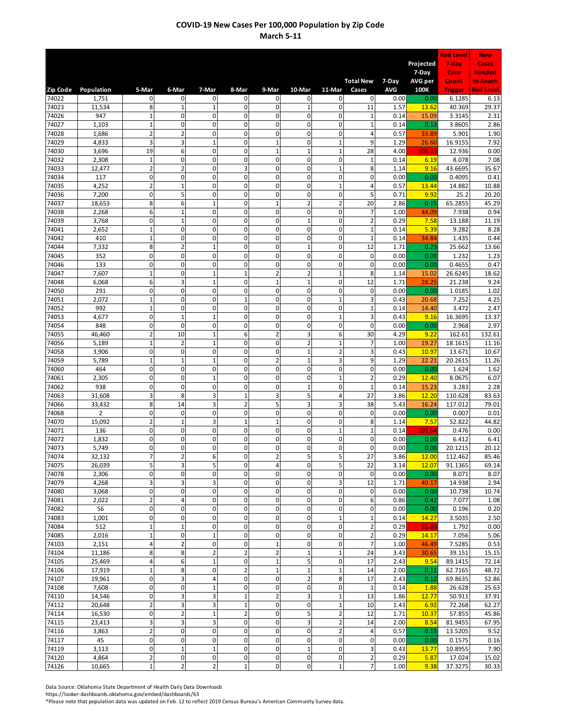|                |                 |                                        |                               |                              |                             |                             |                                                |                               |                                  |              |                  | <b>Red Level</b>  | <b>New</b>                |
|----------------|-----------------|----------------------------------------|-------------------------------|------------------------------|-----------------------------|-----------------------------|------------------------------------------------|-------------------------------|----------------------------------|--------------|------------------|-------------------|---------------------------|
|                |                 |                                        |                               |                              |                             |                             |                                                |                               |                                  |              | Projected        | 7-day             | Cases                     |
|                |                 |                                        |                               |                              |                             |                             |                                                |                               | <b>Total New</b>                 | 7-Day        | 7-Day<br>AVG per | Case<br>Count     | <b>Needed</b><br>to Reach |
| Zip Code       | Population      | 5-Mar                                  | 6-Mar                         | 7-Mar                        | 8-Mar                       | 9-Mar                       | 10-Mar                                         | 11-Mar                        | Cases                            | <b>AVG</b>   | 100K             | <b>Trigger</b>    | <b>Red Level</b>          |
| 74022          | 1,751           | $\mathbf{0}$                           | 0                             | 0                            | 0                           | $\mathbf 0$                 | 0                                              | 0                             | $\mathbf{0}$                     | 0.00         | 0.00             | 6.1285            | 6.13                      |
| 74023<br>74026 | 11,534<br>947   | 8<br>$\mathbf 1$                       | $\mathbf{1}$<br>$\mathbf 0$   | 1<br>$\mathbf 0$             | $\mathbf 0$<br>$\mathbf 0$  | $\mathbf 0$<br>$\mathbf 0$  | $\mathbf{1}$<br>$\overline{0}$                 | $\mathsf 0$<br>$\mathbf{0}$   | 11<br>$\mathbf{1}$               | 1.57<br>0.14 | 13.62<br>15.09   | 40.369<br>3.3145  | 29.37<br>2.31             |
| 74027          | 1,103           | $\mathbf 1$                            | $\mathbf 0$                   | 0                            | $\mathbf 0$                 | 0                           | 0                                              | $\mathbf 0$                   | $\mathbf{1}$                     | 0.14         | 0.13             | 3.8605            | 2.86                      |
| 74028          | 1,686           | $\overline{2}$                         | $\overline{2}$                | $\mathbf 0$                  | $\mathbf 0$                 | $\mathbf 0$                 | $\pmb{0}$                                      | $\mathsf 0$                   | 4                                | 0.57         | 33.89            | 5.901             | 1.90                      |
| 74029          | 4,833           | 3                                      | 3                             | $\mathbf{1}$                 | $\mathbf 0$                 | $\mathbf 1$                 | 0                                              | $\mathbf{1}$                  | 9                                | 1.29         | 26.60            | 16.9155           | 7.92                      |
| 74030          | 3,696           | 19                                     | 6                             | 0                            | $\mathbf 0$                 | $\mathbf{1}$                | $\overline{1}$                                 | $\mathbf 1$                   | 28                               | 4.00         | 108.23           | 12.936            | 0.00                      |
| 74032<br>74033 | 2,308<br>12,477 | $\mathbf 1$<br>$\overline{2}$          | $\mathbf 0$<br>$\overline{2}$ | $\mathbf 0$<br>$\mathbf 0$   | $\mathbf 0$<br>3            | 0<br>0                      | $\mathbf{0}$<br>0                              | $\mathbf 0$<br>$\mathbf{1}$   | $\mathbf{1}$<br>8                | 0.14<br>1.14 | 6.19<br>9.16     | 8.078<br>43.6695  | 7.08<br>35.67             |
| 74034          | 117             | $\mathbf 0$                            | $\pmb{0}$                     | $\mathbf{0}$                 | $\mathbf 0$                 | $\mathbf 0$                 | 0                                              | $\mathbf 0$                   | $\mathbf 0$                      | 0.00         | 0.00             | 0.4095            | 0.41                      |
| 74035          | 4,252           | $\overline{2}$                         | $\mathbf 1$                   | 0                            | $\mathbf 0$                 | $\mathbf 0$                 | 0                                              | $\mathbf{1}$                  | 4                                | 0.57         | 13.44            | 14.882            | 10.88                     |
| 74036          | 7,200           | $\mathbf 0$                            | 5                             | 0                            | $\mathbf 0$                 | $\mathbf 0$                 | 0                                              | $\mathsf 0$                   | 5                                | 0.71         | 9.92             | 25.2              | 20.20                     |
| 74037          | 18,653          | 8                                      | 6                             | $\overline{1}$               | $\mathbf 0$                 | $\mathbf{1}$                | $\overline{2}$                                 | $\overline{2}$                | 20                               | 2.86         | 0.15             | 65.2855           | 45.29                     |
| 74038<br>74039 | 2,268<br>3,768  | 6<br>$\mathbf 0$                       | $\mathbf 1$<br>$\mathbf 1$    | $\mathbf 0$<br>$\mathbf 0$   | $\mathbf 0$<br>$\mathbf 0$  | 0<br>0                      | $\overline{0}$<br>$\overline{1}$               | $\mathbf 0$<br>$\mathbf 0$    | $\overline{7}$<br>$\overline{2}$ | 1.00<br>0.29 | 44.09<br>7.58    | 7.938<br>13.188   | 0.94<br>11.19             |
| 74041          | 2,652           | $\mathbf{1}$                           | $\mathbf 0$                   | 0                            | $\mathbf 0$                 | $\mathbf 0$                 | 0                                              | $\mathbf 0$                   | $\mathbf{1}$                     | 0.14         | 5.39             | 9.282             | 8.28                      |
| 74042          | 410             | $\mathbf 1$                            | $\pmb{0}$                     | 0                            | $\mathbf 0$                 | $\mathbf 0$                 | $\pmb{0}$                                      | $\mathbf 0$                   | $\mathbf 1$                      | 0.14         | 34.84            | 1.435             | 0.44                      |
| 74044          | 7,332           | 8                                      | $\overline{2}$                | $\mathbf{1}$                 | $\mathbf 0$                 | $\mathbf 0$                 | $\mathbf{1}$                                   | $\mathsf 0$                   | 12                               | 1.71         | 0.23             | 25.662            | 13.66                     |
| 74045          | 352             | $\pmb{0}$                              | $\mathbf 0$                   | 0                            | $\mathbf 0$                 | $\mathbf 0$                 | $\mathbf{0}$                                   | $\mathbf 0$                   | 0                                | 0.00         | 0.00             | 1.232             | 1.23                      |
| 74046<br>74047 | 133<br>7,607    | $\mathbf 0$<br>$\mathbf{1}$            | $\mathbf 0$<br>$\mathbf 0$    | 0<br>$\mathbf{1}$            | $\mathbf 0$<br>$\mathbf{1}$ | 0<br>$\overline{2}$         | $\mathbf 0$<br>$\overline{c}$                  | $\mathbf 0$<br>$\mathbf{1}$   | $\mathbf 0$<br>8                 | 0.00<br>1.14 | 0.00<br>15.02    | 0.4655<br>26.6245 | 0.47<br>18.62             |
| 74048          | 6,068           | 6                                      | $\overline{\mathbf{3}}$       | $\mathbf{1}$                 | $\mathbf 0$                 | $\mathbf{1}$                | $\mathbf{1}$                                   | $\mathsf 0$                   | 12                               | 1.71         | 28.25            | 21.238            | 9.24                      |
| 74050          | 291             | $\pmb{0}$                              | $\pmb{0}$                     | 0                            | $\mathbf 0$                 | $\mathbf 0$                 | 0                                              | $\mathbf 0$                   | 0                                | 0.00         | 0.00             | 1.0185            | 1.02                      |
| 74051          | 2,072           | $\mathbf 1$                            | $\pmb{0}$                     | $\mathbf{0}$                 | $\overline{1}$              | 0                           | 0                                              | $\mathbf 1$                   | 3                                | 0.43         | 20.68            | 7.252             | 4.25                      |
| 74052          | 992             | $\mathbf{1}$                           | $\mathbf 0$                   | $\mathbf 0$                  | $\mathbf 0$                 | 0                           | $\overline{0}$                                 | $\mathbf 0$                   | $\mathbf{1}$                     | 0.14         | 14.40            | 3.472             | 2.47                      |
| 74053<br>74054 | 4,677<br>848    | $\mathbf 0$<br>$\mathbf 0$             | $\mathbf 1$<br>$\mathbf 0$    | $\mathbf{1}$<br>$\mathbf{0}$ | $\mathbf 0$<br>$\mathbf 0$  | 0<br>$\mathbf 0$            | $\overline{0}$<br>0                            | $\mathbf{1}$<br>$\pmb{0}$     | 3<br>$\mathbf 0$                 | 0.43<br>0.00 | 9.16<br>0.00     | 16.3695<br>2.968  | 13.37<br>2.97             |
| 74055          | 46,460          | $\overline{2}$                         | 10                            | $\mathbf{1}$                 | 6                           | $\overline{\mathbf{c}}$     | 3                                              | 6                             | 30                               | 4.29         | 9.22             | 162.61            | 132.61                    |
| 74056          | 5,189           | $\mathbf 1$                            | $\overline{2}$                | $\mathbf{1}$                 | $\mathbf 0$                 | $\mathbf 0$                 | $\overline{c}$                                 | $\mathbf 1$                   | 7                                | 1.00         | 19.27            | 18.1615           | 11.16                     |
| 74058          | 3,906           | $\pmb{0}$                              | $\mathbf 0$                   | 0                            | $\mathbf 0$                 | $\mathbf 0$                 | $\overline{1}$                                 | $\overline{2}$                | 3                                | 0.43         | 10.97            | 13.671            | 10.67                     |
| 74059          | 5,789           | $\mathbf 1$                            | $\mathbf 1$                   | $\mathbf{1}$                 | $\mathbf 0$                 | $\overline{2}$              | $\mathbf{1}$                                   | 3                             | 9                                | 1.29         | 22.21            | 20.2615           | 11.26                     |
| 74060<br>74061 | 464<br>2,305    | $\mathbf 0$<br>$\pmb{0}$               | $\pmb{0}$<br>$\mathbf 0$      | 0<br>$\mathbf{1}$            | $\mathbf 0$<br>$\mathbf 0$  | $\mathbf 0$<br>$\mathbf 0$  | 0<br>$\mathbf 0$                               | $\mathsf 0$<br>$\mathbf{1}$   | $\mathbf 0$<br>$\overline{2}$    | 0.00<br>0.29 | 0.00<br>12.40    | 1.624<br>8.0675   | 1.62<br>6.07              |
| 74062          | 938             | $\mathbf{0}$                           | $\mathbf 0$                   | $\mathbf 0$                  | $\mathbf 0$                 | $\mathbf 0$                 | $\mathbf 1$                                    | $\mathbf 0$                   | $\mathbf 1$                      | 0.14         | 15.23            | 3.283             | 2.28                      |
| 74063          | 31,608          | 3                                      | 8                             | 3                            | $\overline{1}$              | 3                           | 5                                              | $\overline{4}$                | 27                               | 3.86         | 12.20            | 110.628           | 83.63                     |
| 74066          | 33,432          | 8                                      | 14                            | 3                            | $\overline{2}$              | 5                           | 3                                              | 3                             | 38                               | 5.43         | 16.24            | 117.012           | 79.01                     |
| 74068          | $\overline{2}$  | $\mathbf 0$                            | $\mathbf 0$                   | $\mathbf 0$                  | $\mathbf 0$                 | 0                           | $\overline{0}$                                 | $\mathbf 0$                   | $\mathbf 0$                      | 0.00         | 0.00             | 0.007             | 0.01                      |
| 74070<br>74071 | 15,092<br>136   | $\overline{2}$<br>$\mathbf{0}$         | $\mathbf 1$<br>$\mathbf 0$    | 3<br>$\mathbf 0$             | $\mathbf{1}$<br>$\mathbf 0$ | $\mathbf{1}$<br>$\mathbf 0$ | $\overline{0}$<br>$\pmb{0}$                    | $\mathbf 0$<br>$\mathbf{1}$   | 8<br>$\mathbf 1$                 | 1.14<br>0.14 | 7.57<br>105.04   | 52.822<br>0.476   | 44.82<br>0.00             |
| 74072          | 1,832           | 0                                      | $\mathbf 0$                   | 0                            | $\mathbf 0$                 | $\mathbf 0$                 | 0                                              | $\mathbf 0$                   | 0                                | 0.00         | 0.00             | 6.412             | 6.41                      |
| 74073          | 5,749           | $\mathbf 0$                            | $\pmb{0}$                     | 0                            | 0                           | $\mathbf 0$                 | 0                                              | 0                             | 0                                | 0.00         | 0.00             | 20.1215           | 20.12                     |
| 74074          | 32,132          | $\overline{7}$                         | $\overline{\mathbf{c}}$       | 6                            | 0                           | $\overline{\mathbf{c}}$     | 5                                              | 5 <sup>1</sup>                | 27                               | 3.86         | 12.00            | 112.462           | 85.46                     |
| 74075          | 26,039          | 5                                      | 3                             | 5                            | $\mathbf 0$                 | $\overline{4}$              | 0                                              | 5                             | 22                               | 3.14         | 12.07            | 91.1365           | 69.14                     |
| 74078<br>74079 | 2,306<br>4,268  | $\mathbf 0$<br>$\overline{\mathbf{3}}$ | $\pmb{0}$<br>3                | $\mathbf 0$<br>3             | $\mathbf 0$<br>$\mathbf 0$  | $\mathbf 0$<br>$\mathbf{0}$ | $\mathsf{O}\xspace$<br>$\overline{\mathbf{o}}$ | $\mathbf 0$<br>3              | $\mathbf 0$<br>12                | 0.00<br>1.71 | 0.00<br>40.17    | 8.071<br>14.938   | 8.07<br>2.94              |
| 74080          | 3,068           | $\mathbf 0$                            | $\pmb{0}$                     | 0                            | $\pmb{0}$                   | $\mathbf 0$                 | 0                                              | $\mathbf 0$                   | 0                                | 0.00         | 0.00             | 10.738            | 10.74                     |
| 74081          | 2,022           | $\overline{2}$                         | 4                             | 0                            | $\mathbf 0$                 | $\mathbf 0$                 | 0                                              | $\mathbf 0$                   | 6                                | 0.86         | 0.42             | 7.077             | 1.08                      |
| 74082          | 56              | 0                                      | $\pmb{0}$                     | 0                            | $\mathbf 0$                 | $\mathbf 0$                 | 0                                              | $\mathsf 0$                   | 0                                | 0.00         | 0.00             | 0.196             | 0.20                      |
| 74083          | 1,001           | $\overline{0}$                         | $\pmb{0}$                     | 0                            | $\pmb{0}$                   | $\mathbf 0$                 | 0                                              | $\mathbf{1}$                  | $\mathbf 1$                      | 0.14         | 14.27            | 3.5035            | 2.50                      |
| 74084<br>74085 | 512<br>2,016    | $\mathbf 1$<br>$\mathbf 1$             | $\mathbf 1$<br>$\pmb{0}$      | $\mathbf 0$<br>$\mathbf{1}$  | $\mathbf 0$<br>$\mathbf 0$  | $\pmb{0}$<br>$\pmb{0}$      | $\pmb{0}$<br>0                                 | $\mathbf 0$<br>$\mathbf 0$    | $\overline{2}$<br>$\mathbf 2$    | 0.29<br>0.29 | 55.80<br>14.17   | 1.792<br>7.056    | 0.00<br>5.06              |
| 74103          | 2,151           | $\overline{4}$                         | $\mathbf 2$                   | 0                            | $\pmb{0}$                   | $\mathbf 1$                 | 0                                              | $\mathbf 0$                   | $\overline{7}$                   | 1.00         | 46.49            | 7.5285            | 0.53                      |
| 74104          | 11,186          | 8                                      | 8                             | $\overline{\mathbf{c}}$      | $\overline{2}$              | $\overline{2}$              | $\mathbf 1$                                    | $\mathbf 1$                   | 24                               | 3.43         | 30.65            | 39.151            | 15.15                     |
| 74105          | 25,469          | $\overline{a}$                         | 6                             | $\mathbf{1}$                 | $\mathbf 0$                 | $\mathbf 1$                 | 5                                              | $\mathsf 0$                   | 17                               | 2.43         | 9.54             | 89.1415           | 72.14                     |
| 74106          | 17,919          | $\mathbf 1$                            | 8                             | $\mathbf 0$                  | $\overline{2}$              | $\mathbf 1$                 | $\mathbf 1$                                    | $\mathbf 1$                   | 14                               | 2.00         | 0.11             | 62.7165           | 48.72                     |
| 74107<br>74108 | 19,961<br>7,608 | $\mathbf 0$<br>$\mathbf 0$             | 3<br>$\pmb{0}$                | 4<br>$\mathbf{1}$            | $\mathbf 0$<br>$\pmb{0}$    | $\overline{0}$<br>$\pmb{0}$ | $\overline{2}$<br>0                            | 8<br>$\mathbf 0$              | 17<br>$1\,$                      | 2.43<br>0.14 | 0.12<br>1.88     | 69.8635           | 52.86<br>25.63            |
| 74110          | 14,546          | $\mathbf 0$                            | 3                             | 3                            | $\mathbf{1}$                | $\overline{2}$              | 3                                              | $\mathbf 1$                   | 13                               | 1.86         | 12.77            | 26.628<br>50.911  | 37.91                     |
| 74112          | 20,648          | $\overline{2}$                         | 3                             | 3                            | $\mathbf{1}$                | $\mathbf 0$                 | $\pmb{0}$                                      | $\mathbf 1$                   | 10                               | 1.43         | 6.92             | 72.268            | 62.27                     |
| 74114          | 16,530          | $\pmb{0}$                              | $\mathbf 2$                   | $\mathbf{1}$                 | $\overline{2}$              | $\mathbf 0$                 | 5                                              | $\mathbf 2$                   | 12                               | 1.71         | 10.37            | 57.855            | 45.86                     |
| 74115          | 23,413          | $\overline{\mathbf{3}}$                | 3                             | 3                            | 0                           | $\mathbf 0$                 | 3                                              | $\mathbf 2$                   | 14                               | 2.00         | 8.54             | 81.9455           | 67.95                     |
| 74116          | 3,863           | $\overline{2}$<br>$\mathbf{0}$         | $\pmb{0}$<br>$\pmb{0}$        | 0<br>0                       | $\mathbf 0$<br>$\pmb{0}$    | $\mathbf{0}$<br>$\pmb{0}$   | 0<br>0                                         | $\overline{2}$<br>$\mathbf 0$ | 4<br>0                           | 0.57<br>0.00 | 0.15             | 13.5205           | 9.52                      |
| 74117<br>74119 | 45<br>3,113     | $\mathbf 0$                            | $\mathbf 1$                   | $\mathbf{1}$                 | $\mathbf 0$                 | $\mathbf 0$                 | $\mathbf 1$                                    | $\mathbf 0$                   | 3                                | 0.43         | 0.00<br>13.77    | 0.1575<br>10.8955 | 0.16<br>7.90              |
| 74120          | 4,864           | $\overline{2}$                         | $\pmb{0}$                     | 0                            | $\mathbf 0$                 | $\mathbf 0$                 | 0                                              | $\mathbf 0$                   | $\mathbf 2$                      | 0.29         | 5.87             | 17.024            | 15.02                     |
| 74126          | 10,665          | $\mathbf{1}$                           | $\overline{2}$                | $\overline{2}$               | $\mathbf 1$                 | $\mathbf 0$                 | $\mathbf 0$                                    | $\mathbf{1}$                  | $\overline{7}$                   | 1.00         | 9.38             | 37.3275           | 30.33                     |

Data Source: Oklahoma State Department of Health Daily Data Downloads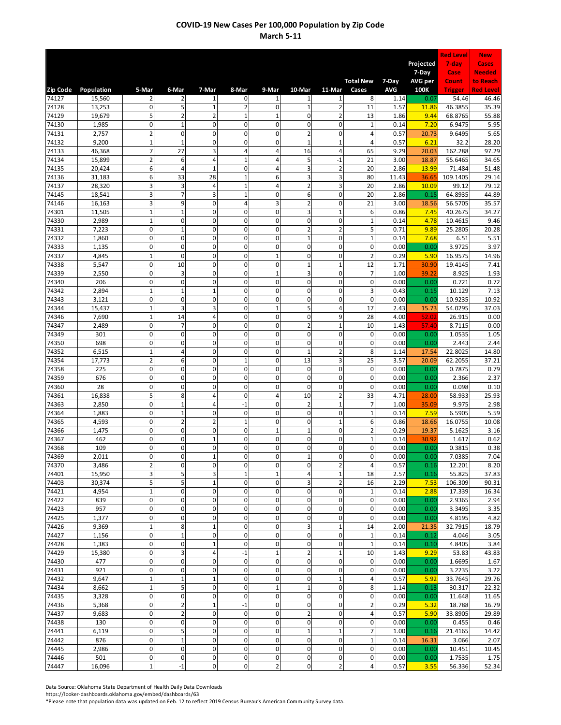|                |                  |                               |                                      |                             |                                |                               |                                |                                |                               |              |                    | <b>Red Level</b>   | <b>New</b>             |
|----------------|------------------|-------------------------------|--------------------------------------|-----------------------------|--------------------------------|-------------------------------|--------------------------------|--------------------------------|-------------------------------|--------------|--------------------|--------------------|------------------------|
|                |                  |                               |                                      |                             |                                |                               |                                |                                |                               |              | Projected<br>7-Day | 7-day<br>Case      | Cases<br><b>Needed</b> |
|                |                  |                               |                                      |                             |                                |                               |                                |                                | <b>Total New</b>              | 7-Day        | AVG per            | Count              | to Reach               |
| Zip Code       | Population       | 5-Mar                         | 6-Mar                                | 7-Mar                       | 8-Mar<br>$\mathbf 0$           | 9-Mar                         | 10-Mar                         | 11-Mar<br>$\mathbf{1}$         | Cases                         | <b>AVG</b>   | 100K               | <b>Trigger</b>     | <b>Red Level</b>       |
| 74127<br>74128 | 15,560<br>13,253 | $\overline{2}$<br>$\mathbf 0$ | $\overline{2}$<br>5                  | 1<br>$\mathbf{1}$           | $\overline{2}$                 | $\mathbf 1$<br>$\mathbf 0$    | 1<br>$\mathbf 1$               | $\overline{2}$                 | 8<br>11                       | 1.14<br>1.57 | 0.07<br>11.86      | 54.46<br>46.3855   | 46.46<br>35.39         |
| 74129          | 19,679           | 5                             | $\overline{2}$                       | $\overline{c}$              | $\mathbf{1}$                   | $\mathbf 1$                   | 0                              | $\overline{2}$                 | 13                            | 1.86         | 9.44               | 68.8765            | 55.88                  |
| 74130          | 1,985            | $\mathbf 0$                   | $\mathbf 1$                          | $\mathbf{0}$                | $\mathbf 0$                    | $\mathbf 0$                   | 0                              | $\mathsf 0$                    | $\mathbf{1}$                  | 0.14         | 7.20               | 6.9475             | 5.95                   |
| 74131          | 2,757            | $\overline{2}$                | $\mathbf 0$                          | $\mathbf 0$                 | $\mathbf 0$                    | $\mathbf 0$                   | $\overline{2}$                 | $\mathbf{0}$                   | 4                             | 0.57         | 20.73              | 9.6495             | 5.65                   |
| 74132          | 9,200            | $\mathbf 1$<br>$\overline{7}$ | $\mathbf 1$<br>27                    | 0<br>3                      | $\mathbf 0$<br>$\overline{4}$  | 0<br>$\overline{4}$           | $\mathbf{1}$<br>16             | $\mathbf{1}$<br>$\overline{4}$ | 4                             | 0.57<br>9.29 | 6.21               | 32.2<br>162.288    | 28.20                  |
| 74133<br>74134 | 46,368<br>15,899 | $\overline{2}$                | 6                                    | 4                           | $\mathbf{1}$                   | 4                             | 5                              | $-1$                           | 65<br>21                      | 3.00         | 20.03<br>18.87     | 55.6465            | 97.29<br>34.65         |
| 74135          | 20,424           | 6                             | $\overline{4}$                       | $\mathbf{1}$                | 0                              | 4                             | 3                              | $\overline{2}$                 | 20                            | 2.86         | 13.99              | 71.484             | 51.48                  |
| 74136          | 31,183           | 6                             | 33                                   | 28                          | $\mathbf{1}$                   | 6                             | 3                              | 3                              | 80                            | 11.43        | 36.65              | 109.1405           | 29.14                  |
| 74137          | 28,320           | 3                             | 3                                    | 4                           | $\mathbf{1}$                   | $\overline{4}$                | $\overline{2}$                 | 3                              | 20                            | 2.86         | 10.09              | 99.12              | 79.12                  |
| 74145          | 18,541           | 3<br>3                        | $\overline{7}$                       | 3<br>0                      | $\mathbf{1}$<br>$\overline{4}$ | $\mathbf 0$<br>3              | 6<br>$\overline{2}$            | $\mathsf 0$<br>$\mathbf 0$     | 20                            | 2.86         | 0.15               | 64.8935            | 44.89<br>35.57         |
| 74146<br>74301 | 16,163<br>11,505 | $\mathbf 1$                   | 9<br>$\mathbf 1$                     | 0                           | $\mathbf 0$                    | $\mathbf 0$                   | 3                              | $\mathbf{1}$                   | 21<br>6                       | 3.00<br>0.86 | 18.56<br>7.45      | 56.5705<br>40.2675 | 34.27                  |
| 74330          | 2,989            | $\mathbf 1$                   | $\pmb{0}$                            | $\mathbf{0}$                | $\mathbf 0$                    | $\mathbf 0$                   | $\mathbf{0}$                   | $\mathbf 0$                    | $\mathbf{1}$                  | 0.14         | 4.78               | 10.4615            | 9.46                   |
| 74331          | 7,223            | $\mathbf 0$                   | $\mathbf 1$                          | $\mathbf 0$                 | $\mathbf 0$                    | 0                             | $\overline{2}$                 | $\overline{2}$                 | 5                             | 0.71         | 9.89               | 25.2805            | 20.28                  |
| 74332          | 1,860            | $\mathbf 0$                   | $\mathbf 0$                          | $\mathbf 0$                 | $\mathbf 0$                    | 0                             | $\mathbf{1}$                   | $\mathbf 0$                    | $\mathbf 1$                   | 0.14         | 7.68               | 6.51               | 5.51                   |
| 74333          | 1,135            | $\pmb{0}$                     | $\mathbf 0$                          | $\overline{0}$              | $\mathbf 0$                    | $\mathbf 0$                   | $\overline{0}$                 | $\mathbf 0$                    | $\mathbf 0$                   | 0.00         | 0.00               | 3.9725             | 3.97                   |
| 74337          | 4,845            | $\mathbf 1$                   | $\mathbf 0$                          | $\mathbf 0$                 | $\mathbf 0$                    | $\mathbf{1}$                  | $\mathbf 0$                    | $\mathbf 0$                    | $\overline{2}$                | 0.29         | 5.90               | 16.9575            | 14.96                  |
| 74338          | 5,547            | $\pmb{0}$                     | 10                                   | 0                           | $\mathbf 0$<br>$\mathbf 0$     | $\mathbf 0$                   | $\mathbf{1}$<br>3              | $\mathbf{1}$                   | 12                            | 1.71         | 30.90              | 19.4145            | 7.41                   |
| 74339<br>74340 | 2,550<br>206     | $\pmb{0}$<br>$\mathbf 0$      | 3<br>$\mathbf 0$                     | 0<br>0                      | $\mathbf 0$                    | $\mathbf{1}$<br>$\mathbf 0$   | $\mathbf 0$                    | $\mathbf 0$<br>$\mathbf 0$     | $\overline{7}$<br>$\mathbf 0$ | 1.00<br>0.00 | 39.22<br>0.00      | 8.925<br>0.721     | 1.93<br>0.72           |
| 74342          | 2,894            | $\mathbf{1}$                  | $\mathbf 1$                          | $\mathbf{1}$                | $\mathbf 0$                    | $\mathbf 0$                   | $\overline{0}$                 | $\mathbf 0$                    | 3                             | 0.43         | 0.15               | 10.129             | 7.13                   |
| 74343          | 3,121            | $\mathbf 0$                   | $\pmb{0}$                            | $\mathbf 0$                 | $\mathbf 0$                    | $\mathbf 0$                   | $\pmb{0}$                      | $\mathsf 0$                    | $\mathbf 0$                   | 0.00         | 0.00               | 10.9235            | 10.92                  |
| 74344          | 15,437           | $\mathbf{1}$                  | $\overline{\mathbf{3}}$              | 3                           | $\mathbf 0$                    | $\mathbf 1$                   | 5                              | 4                              | 17                            | 2.43         | 15.73              | 54.0295            | 37.03                  |
| 74346          | 7,690            | $\mathbf 1$                   | 14                                   | 4                           | $\mathbf 0$                    | $\mathbf 0$                   | 0                              | 9                              | 28                            | 4.00         | 52.02              | 26.915             | 0.00                   |
| 74347          | 2,489            | $\mathbf 0$                   | $\overline{7}$                       | $\mathbf 0$                 | $\mathbf 0$                    | 0                             | $\overline{2}$                 | $\mathbf{1}$                   | 10                            | 1.43         | 57.40              | 8.7115             | 0.00                   |
| 74349<br>74350 | 301<br>698       | $\mathbf 0$<br>$\mathbf 0$    | $\mathbf 0$<br>$\pmb{0}$             | $\mathbf 0$<br>$\mathbf{0}$ | $\mathbf 0$<br>$\mathbf 0$     | 0<br>$\mathbf 0$              | $\overline{0}$<br>$\mathbf{0}$ | $\mathbf 0$<br>$\mathbf 0$     | 0<br>$\mathbf 0$              | 0.00<br>0.00 | 0.00<br>0.00       | 1.0535<br>2.443    | 1.05<br>2.44           |
| 74352          | 6,515            | $\mathbf 1$                   | 4                                    | $\mathbf 0$                 | $\mathbf 0$                    | $\mathbf 0$                   | $\overline{1}$                 | $\overline{2}$                 | 8                             | 1.14         | 17.54              | 22.8025            | 14.80                  |
| 74354          | 17,773           | $\overline{2}$                | 6                                    | 0                           | $\mathbf{1}$                   | $\mathbf 0$                   | 13                             | 3                              | 25                            | 3.57         | 20.09              | 62.2055            | 37.21                  |
| 74358          | 225              | $\mathbf 0$                   | $\mathbf 0$                          | $\mathbf 0$                 | $\mathbf 0$                    | $\mathbf 0$                   | $\mathbf 0$                    | $\mathbf 0$                    | $\mathbf 0$                   | 0.00         | 0.00               | 0.7875             | 0.79                   |
| 74359          | 676              | $\mathbf 0$                   | $\mathbf 0$                          | $\mathbf 0$                 | $\mathbf 0$                    | 0                             | 0                              | $\mathbf 0$                    | $\mathbf 0$                   | 0.00         | 0.00               | 2.366              | 2.37                   |
| 74360          | 28               | $\pmb{0}$                     | $\mathbf 0$                          | $\mathbf 0$                 | $\mathbf 0$                    | $\mathbf 0$                   | $\overline{0}$                 | $\mathbf{0}$                   | $\mathbf 0$                   | 0.00         | 0.00               | 0.098              | 0.10                   |
| 74361          | 16,838<br>2,850  | 5<br>$\mathbf{0}$             | 8<br>$\mathbf 1$                     | 4<br>4                      | $\mathbf 0$<br>$-1$            | 4<br>$\mathbf 0$              | 10<br>$\overline{c}$           | $\overline{2}$<br>$\mathbf{1}$ | 33<br>$\overline{7}$          | 4.71<br>1.00 | 28.00<br>35.09     | 58.933<br>9.975    | 25.93<br>2.98          |
| 74363<br>74364 | 1,883            | $\mathbf 0$                   | $\mathbf 1$                          | 0                           | $\mathbf 0$                    | $\mathbf 0$                   | $\overline{0}$                 | $\mathbf 0$                    | $\mathbf{1}$                  | 0.14         | 7.59               | 6.5905             | 5.59                   |
| 74365          | 4,593            | 0                             | $\overline{2}$                       | $\overline{2}$              | $\mathbf{1}$                   | $\mathbf 0$                   | 0                              | $\mathbf 1$                    | 6                             | 0.86         | 18.66              | 16.0755            | 10.08                  |
| 74366          | 1,475            | $\mathbf 0$                   | $\mathbf 0$                          | $\mathbf 0$                 | $\mathbf 0$                    | $\mathbf{1}$                  | $\overline{1}$                 | $\mathbf 0$                    | $\overline{2}$                | 0.29         | 19.37              | 5.1625             | 3.16                   |
| 74367          | 462              | $\mathbf 0$                   | $\mathbf 0$                          | $\mathbf{1}$                | $\mathbf 0$                    | 0                             | $\overline{0}$                 | $\mathbf 0$                    | $\mathbf{1}$                  | 0.14         | 30.92              | 1.617              | 0.62                   |
| 74368          | 109              | $\mathbf{0}$                  | $\mathbf 0$                          | $\mathbf 0$                 | $\mathbf 0$                    | $\mathbf 0$                   | $\pmb{0}$                      | $\mathbf 0$                    | $\mathbf 0$                   | 0.00         | 0.00               | 0.3815             | 0.38                   |
| 74369          | 2,011            | 0                             | 0                                    | $-1$                        | 0                              | $\mathbf{0}$                  |                                | 0                              | 0                             | 0.00         | 0.00               | 7.0385             | 7.04                   |
| 74370<br>74401 | 3,486<br>15,950  | $\overline{2}$<br>3           | $\pmb{0}$<br>5                       | 0<br>3                      | $\pmb{0}$<br>$\mathbf{1}$      | $\pmb{0}$<br>$\mathbf 1$      | 0<br>4                         | $\overline{2}$<br>$\mathbf{1}$ | $\overline{4}$<br>18          | 0.57<br>2.57 | 0.16<br>0.16       | 12.201<br>55.825   | 8.20<br>37.83          |
| 74403          | 30,374           | 5 <sub>l</sub>                | 5                                    | $\mathbf{1}$                | $\mathbf 0$                    | $\mathbf 0$                   | 3                              | $\overline{2}$                 | 16                            | 2.29         | 7.53               | 106.309            | 90.31                  |
| 74421          | 4,954            | $\mathbf{1}$                  | $\pmb{0}$                            | $\mathbf 0$                 | $\mathbf 0$                    | $\mathbf 0$                   | $\mathbf 0$                    | $\mathbf 0$                    | $\mathbf 1$                   | 0.14         | 2.88               | 17.339             | 16.34                  |
| 74422          | 839              | $\mathbf 0$                   | $\pmb{0}$                            | 0                           | $\mathbf 0$                    | $\mathbf{0}$                  | $\mathbf 0$                    | $\mathbf 0$                    | $\pmb{0}$                     | 0.00         | 0.00               | 2.9365             | 2.94                   |
| 74423          | 957              | $\overline{0}$                | $\pmb{0}$                            | 0                           | $\mathbf 0$                    | $\mathbf 0$                   | 0                              | $\mathbf 0$                    | $\pmb{0}$                     | 0.00         | 0.00               | 3.3495             | 3.35                   |
| 74425          | 1,377            | $\mathbf 0$                   | $\pmb{0}$                            | 0                           | $\mathbf 0$                    | $\mathbf 0$                   | 0                              | $\mathbf 0$                    | 0                             | 0.00         | 0.00               | 4.8195             | 4.82                   |
| 74426<br>74427 | 9,369<br>1,156   | $\mathbf 1$<br>$\mathbf 0$    | 8<br>$\mathbf 1$                     | $\mathbf{1}$<br>0           | $\mathbf 0$<br>$\pmb{0}$       | $\mathbf 0$<br>$\mathbf 0$    | 3<br>0                         | $\mathbf{1}$<br>$\mathbf 0$    | 14<br>$1\,$                   | 2.00<br>0.14 | 21.35<br>0.12      | 32.7915<br>4.046   | 18.79<br>3.05          |
| 74428          | 1,383            | $\mathbf 0$                   | $\pmb{0}$                            | $\mathbf 1$                 | $\mathbf 0$                    | $\mathbf 0$                   | $\mathbf 0$                    | $\mathbf 0$                    | $\mathbf 1$                   | 0.14         | 0.10               | 4.8405             | 3.84                   |
| 74429          | 15,380           | $\mathbf 0$                   | 3                                    | 4                           | $-1$                           | 1                             | $\overline{2}$                 | $\mathbf{1}$                   | 10                            | 1.43         | 9.29               | 53.83              | 43.83                  |
| 74430          | 477              | $\pmb{0}$                     | $\pmb{0}$                            | 0                           | $\mathbf 0$                    | $\pmb{0}$                     | 0                              | $\mathbf 0$                    | 0                             | 0.00         | 0.00               | 1.6695             | 1.67                   |
| 74431          | 921              | $\mathbf 0$                   | $\pmb{0}$                            | 0                           | $\mathbf 0$                    | $\mathbf 0$                   | 0                              | $\mathbf 0$                    | 0                             | 0.00         | 0.00               | 3.2235             | 3.22                   |
| 74432          | 9,647            | $\mathbf 1$                   | $\mathbf 1$                          | $\mathbf{1}$                | $\mathbf 0$                    | $\mathbf 0$                   | 0                              | $\mathbf{1}$                   | 4                             | 0.57         | 5.92               | 33.7645            | 29.76                  |
| 74434          | 8,662            | $\mathbf 1$                   | 5                                    | $\mathbf 0$                 | $\mathbf 0$                    | $\mathbf 1$                   | $\mathbf 1$                    | $\mathbf 0$                    | 8                             | 1.14         | 0.13               | 30.317             | 22.32                  |
| 74435<br>74436 | 3,328<br>5,368   | $\mathbf 0$<br>$\mathbf 0$    | $\pmb{0}$<br>$\overline{2}$          | $\mathbf 0$<br>$\mathbf{1}$ | $\mathbf 0$<br>$-1$            | $\overline{0}$<br>$\mathbf 0$ | $\pmb{0}$<br>0                 | $\mathbf 0$<br>$\mathbf 0$     | $\pmb{0}$<br>$\overline{2}$   | 0.00<br>0.29 | 0.00<br>5.32       | 11.648<br>18.788   | 11.65<br>16.79         |
| 74437          | 9,683            | $\mathbf 0$                   | $\overline{2}$                       | $\mathbf 0$                 | $\mathbf 0$                    | $\mathbf 0$                   | $\overline{c}$                 | $\mathbf 0$                    | 4                             | 0.57         | 5.90               | 33.8905            | 29.89                  |
| 74438          | 130              | $\mathbf 0$                   | $\pmb{0}$                            | 0                           | $\mathbf 0$                    | $\mathbf 0$                   | $\pmb{0}$                      | $\mathbf 0$                    | 0                             | 0.00         | 0.00               | 0.455              | 0.46                   |
| 74441          | 6,119            | $\mathbf 0$                   | 5                                    | 0                           | $\mathbf 0$                    | $\overline{0}$                | $\mathbf 1$                    | $\mathbf{1}$                   | $\overline{7}$                | 1.00         | 0.16               | 21.4165            | 14.42                  |
| 74442          | 876              | $\mathbf 0$                   | $\mathbf 1$                          | $\mathbf 0$                 | 0                              | $\mathbf 0$                   | $\pmb{0}$                      | $\mathbf 0$                    | $\mathbf 1$                   | 0.14         | 16.31              | 3.066              | 2.07                   |
| 74445          | 2,986            | $\mathbf 0$                   | $\pmb{0}$                            | 0                           | $\pmb{0}$                      | $\mathbf 0$                   | 0                              | $\mathbf 0$                    | 0                             | 0.00         | 0.00               | 10.451             | 10.45                  |
| 74446          | 501              | $\pmb{0}$<br>$\mathbf{1}$     | $\pmb{0}$<br>$^{\mbox{{\small -1}}}$ | 0<br>0                      | $\mathbf 0$                    | $\overline{0}$                | 0<br>0                         | $\mathbf 0$                    | 0                             | 0.00         | 0.00               | 1.7535             | 1.75                   |
| 74447          | 16,096           |                               |                                      |                             | $\mathbf 0$                    | $\overline{\mathbf{c}}$       |                                | $\overline{2}$                 | 4                             | 0.57         | 3.55               | 56.336             | 52.34                  |

Data Source: Oklahoma State Department of Health Daily Data Downloads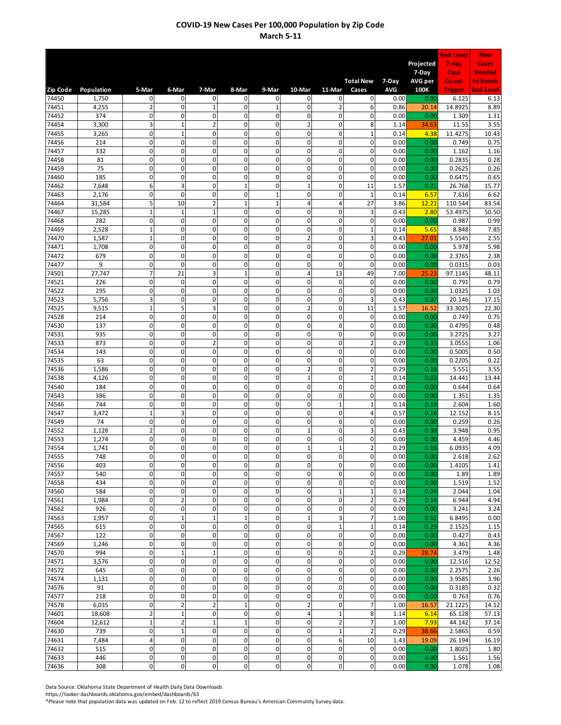|                   |                     |                               |                             |                               |                            |                               |                                  |                                    |                             |                    | Projected      | <b>Red Level</b><br>7-day | <b>New</b><br>Cases      |
|-------------------|---------------------|-------------------------------|-----------------------------|-------------------------------|----------------------------|-------------------------------|----------------------------------|------------------------------------|-----------------------------|--------------------|----------------|---------------------------|--------------------------|
|                   |                     |                               |                             |                               |                            |                               |                                  |                                    |                             |                    | 7-Day          | Case                      | <b>Needed</b>            |
|                   |                     |                               |                             |                               |                            |                               |                                  |                                    | <b>Total New</b>            | 7-Day              | AVG per        | Count                     | to Reach                 |
| Zip Code<br>74450 | Population<br>1,750 | 5-Mar<br>$\mathbf 0$          | 6-Mar<br>$\mathbf 0$        | 7-Mar<br>$\mathbf 0$          | 8-Mar<br>0                 | 9-Mar<br>$\mathbf{0}$         | 10-Mar<br>$\mathbf 0$            | 11-Mar<br>$\mathbf 0$              | Cases<br>$\mathbf 0$        | <b>AVG</b><br>0.00 | 100K<br>0.00   | <b>Trigger</b><br>6.125   | <b>Red Level</b><br>6.13 |
| 74451             | 4,255               | $\overline{2}$                | $\mathbf 0$                 | $\mathbf{1}$                  | $\mathbf 0$                | $\mathbf 1$                   | $\pmb{0}$                        | $\overline{2}$                     | 6                           | 0.86               | 20.14          | 14.8925                   | 8.89                     |
| 74452             | 374                 | $\mathbf 0$                   | $\mathbf 0$                 | $\mathbf{0}$                  | $\mathbf 0$                | $\mathbf 0$                   | 0                                | $\mathbf 0$                        | 0                           | 0.00               | 0.00           | 1.309                     | 1.31                     |
| 74454             | 3,300               | 3<br>$\mathbf 0$              | $\mathbf 1$<br>$\mathbf 1$  | $\overline{2}$<br>$\mathbf 0$ | $\mathbf 0$<br>$\mathbf 0$ | $\mathbf 0$<br>0              | $\overline{2}$<br>$\overline{0}$ | $\mathbf 0$<br>$\mathbf 0$         | 8<br>$\mathbf{1}$           | 1.14               | 34.63          | 11.55                     | 3.55                     |
| 74455<br>74456    | 3,265<br>214        | $\mathbf 0$                   | $\mathbf 0$                 | 0                             | $\mathbf 0$                | $\mathbf 0$                   | 0                                | $\mathbf 0$                        | $\mathbf 0$                 | 0.14<br>0.00       | 4.38<br>0.00   | 11.4275<br>0.749          | 10.43<br>0.75            |
| 74457             | 332                 | $\mathbf{0}$                  | $\mathbf 0$                 | $\mathbf 0$                   | $\mathbf 0$                | $\mathbf 0$                   | $\pmb{0}$                        | $\mathbf 0$                        | $\mathbf 0$                 | 0.00               | 0.00           | 1.162                     | 1.16                     |
| 74458             | 81                  | $\pmb{0}$                     | $\mathbf 0$                 | 0                             | $\mathbf 0$                | $\mathbf 0$                   | 0                                | $\mathbf 0$                        | 0                           | 0.00               | 0.00           | 0.2835                    | 0.28                     |
| 74459<br>74460    | 75<br>185           | $\mathbf 0$<br>$\mathbf 0$    | $\pmb{0}$<br>$\mathbf 0$    | 0<br>$\mathbf 0$              | $\mathbf 0$<br>$\mathbf 0$ | $\mathbf 0$<br>$\mathbf 0$    | 0<br>$\mathbf 0$                 | $\mathsf 0$<br>$\mathbf 0$         | 0<br>$\mathbf 0$            | 0.00<br>0.00       | 0.00<br>0.00   | 0.2625<br>0.6475          | 0.26<br>0.65             |
| 74462             | 7,648               | 6                             | 3                           | $\mathbf 0$                   | $\overline{1}$             | 0                             | $\mathbf{1}$                     | $\mathbf 0$                        | 11                          | 1.57               | 0.21           | 26.768                    | 15.77                    |
| 74463             | 2,176               | $\mathbf 0$                   | $\mathbf 0$                 | $\mathbf 0$                   | $\mathbf 0$                | $\mathbf{1}$                  | 0                                | $\mathsf 0$                        | $\mathbf 1$                 | 0.14               | 6.57           | 7.616                     | 6.62                     |
| 74464             | 31,584              | 5                             | 10                          | $\overline{2}$                | $\mathbf{1}$               | $\mathbf{1}$                  | 4                                | $\overline{4}$                     | 27                          | 3.86               | 12.21          | 110.544                   | 83.54                    |
| 74467<br>74468    | 15,285<br>282       | $\mathbf 1$<br>$\pmb{0}$      | $\mathbf 1$<br>$\mathbf 0$  | $\mathbf{1}$<br>0             | $\mathbf 0$<br>$\mathbf 0$ | $\mathbf 0$<br>$\mathbf 0$    | 0<br>0                           | $\mathbf 0$<br>$\mathbf 0$         | 3<br>0                      | 0.43<br>0.00       | 2.80<br>0.00   | 53.4975<br>0.987          | 50.50<br>0.99            |
| 74469             | 2,528               | $\mathbf{1}$                  | $\mathbf 0$                 | $\overline{0}$                | $\mathbf 0$                | $\mathbf 0$                   | $\overline{0}$                   | $\mathbf 0$                        | $\mathbf 1$                 | 0.14               | 5.65           | 8.848                     | 7.85                     |
| 74470             | 1,587               | $\mathbf 1$                   | $\pmb{0}$                   | 0                             | $\mathbf 0$                | $\mathbf 0$                   | $\overline{2}$                   | $\mathbf 0$                        | 3                           | 0.43               | 27.01          | 5.5545                    | 2.55                     |
| 74471             | 1,708               | $\pmb{0}$<br>$\mathbf 0$      | $\mathbf 0$                 | 0                             | $\mathbf 0$                | $\mathbf 0$                   | $\mathbf 0$<br>0                 | $\mathbf 0$<br>$\mathbf 0$         | $\mathbf 0$                 | 0.00               | 0.00           | 5.978                     | 5.98                     |
| 74472<br>74477    | 679<br>9            | $\mathbf 0$                   | $\pmb{0}$<br>$\mathbf 0$    | 0<br>$\mathbf{0}$             | $\mathbf 0$<br>$\mathbf 0$ | $\mathbf 0$<br>$\mathbf 0$    | $\mathbf{0}$                     | $\mathbf{0}$                       | 0<br>$\mathbf 0$            | 0.00<br>0.00       | 0.00<br>0.00   | 2.3765<br>0.0315          | 2.38<br>0.03             |
| 74501             | 27,747              | 7                             | 21                          | 3                             | $\overline{1}$             | 0                             | 4                                | 13                                 | 49                          | 7.00               | 25.23          | 97.1145                   | 48.11                    |
| 74521             | 226                 | $\pmb{0}$                     | $\mathbf 0$                 | 0                             | $\mathbf 0$                | 0                             | 0                                | $\mathbf 0$                        | $\mathbf 0$                 | 0.00               | 0.00           | 0.791                     | 0.79                     |
| 74522<br>74523    | 295<br>5,756        | $\pmb{0}$<br>3                | $\mathbf 0$<br>$\mathbf 0$  | $\mathbf 0$<br>$\mathbf 0$    | $\mathbf 0$<br>$\mathbf 0$ | $\mathbf 0$<br>$\mathbf 0$    | $\mathbf 0$<br>$\pmb{0}$         | $\mathbf 0$<br>$\mathbf 0$         | $\mathbf 0$<br>3            | 0.00<br>0.43       | 0.00<br>0.07   | 1.0325<br>20.146          | 1.03<br>17.15            |
| 74525             | 9,515               | $\mathbf 1$                   | 5                           | 3                             | $\mathbf 0$                | $\mathbf 0$                   | $\overline{2}$                   | $\mathbf 0$                        | 11                          | 1.57               | 16.52          | 33.3025                   | 22.30                    |
| 74528             | 214                 | $\pmb{0}$                     | $\pmb{0}$                   | 0                             | $\mathbf 0$                | $\mathbf 0$                   | 0                                | $\mathbf 0$                        | 0                           | 0.00               | 0.00           | 0.749                     | 0.75                     |
| 74530             | 137                 | $\mathbf 0$                   | $\mathbf 0$                 | $\mathbf 0$                   | $\mathbf 0$                | $\mathbf 0$                   | $\mathbf 0$                      | $\mathbf 0$                        | $\mathbf 0$                 | 0.00               | 0.00           | 0.4795                    | 0.48                     |
| 74531<br>74533    | 935<br>873          | $\mathbf 0$<br>$\mathbf 0$    | $\mathbf 0$<br>$\pmb{0}$    | 0<br>$\overline{2}$           | $\mathbf 0$<br>$\mathbf 0$ | $\mathbf 0$<br>$\mathbf 0$    | $\overline{0}$<br>0              | $\mathbf 0$<br>$\mathsf 0$         | 0<br>$\overline{2}$         | 0.00<br>0.29       | 0.00<br>0.33   | 3.2725<br>3.0555          | 3.27<br>1.06             |
| 74534             | 143                 | $\pmb{0}$                     | $\mathbf 0$                 | $\mathbf 0$                   | $\mathbf 0$                | $\mathbf 0$                   | 0                                | $\mathbf 0$                        | $\mathbf 0$                 | 0.00               | 0.00           | 0.5005                    | 0.50                     |
| 74535             | 63                  | $\mathbf 0$                   | $\pmb{0}$                   | 0                             | $\mathbf 0$                | $\mathbf 0$                   | 0                                | $\mathsf 0$                        | 0                           | 0.00               | 0.00           | 0.2205                    | 0.22                     |
| 74536             | 1,586               | $\mathbf 0$                   | $\mathbf 0$                 | $\mathbf 0$                   | $\mathbf 0$                | $\mathbf 0$                   | $\overline{2}$                   | $\mathbf{0}$                       | $\overline{2}$              | 0.29               | 0.18           | 5.551                     | 3.55                     |
| 74538<br>74540    | 4,126<br>184        | $\mathbf 0$<br>$\mathbf 0$    | $\mathbf 0$<br>$\pmb{0}$    | $\mathbf 0$<br>$\mathbf{0}$   | $\mathbf 0$<br>$\mathbf 0$ | 0<br>$\mathbf 0$              | $\mathbf{1}$<br>$\mathbf{0}$     | $\mathbf 0$<br>$\mathbf 0$         | $\mathbf 1$<br>$\mathbf 0$  | 0.14<br>0.00       | 0.03<br>0.00   | 14.441<br>0.644           | 13.44<br>0.64            |
| 74543             | 386                 | $\mathbf{0}$                  | $\mathbf 0$                 | $\mathbf 0$                   | $\mathbf 0$                | $\mathbf 0$                   | $\pmb{0}$                        | $\mathbf 0$                        | $\mathbf 0$                 | 0.00               | 0.00           | 1.351                     | 1.35                     |
| 74546             | 744                 | $\mathbf 0$                   | $\pmb{0}$                   | 0                             | $\mathbf 0$                | $\mathbf 0$                   | 0                                | $\mathbf 1$                        | $\mathbf 1$                 | 0.14               | 0.19           | 2.604                     | 1.60                     |
| 74547             | 3,472               | $\mathbf 1$                   | 3                           | $\mathbf 0$                   | $\mathbf 0$                | $\mathbf 0$                   | $\overline{0}$                   | $\mathbf 0$                        | 4                           | 0.57               | 0.16           | 12.152                    | 8.15                     |
| 74549<br>74552    | 74<br>1,128         | $\mathbf 0$<br>$\overline{2}$ | $\mathbf 0$<br>$\pmb{0}$    | $\mathbf 0$<br>$\mathbf{0}$   | $\mathbf 0$<br>$\mathbf 0$ | $\mathbf 0$<br>$\mathbf 0$    | 0<br>$\overline{1}$              | $\mathbf 0$<br>$\mathbf 0$         | $\mathbf 0$<br>3            | 0.00<br>0.43       | 0.00<br>0.38   | 0.259<br>3.948            | 0.26<br>0.95             |
| 74553             | 1,274               | $\pmb{0}$                     | $\mathbf 0$                 | 0                             | $\mathbf 0$                | $\mathbf 0$                   | 0                                | 0                                  | 0                           | 0.00               | 0.00           | 4.459                     | 4.46                     |
| 74554             | 1,741               | $\mathbf 0$                   | $\pmb{0}$                   | 0                             | $\mathbf 0$                | $\mathbf 0$                   | $\mathbf 1$                      | $\mathbf 1$                        | $\overline{2}$              | 0.29               | 0.16           | 6.0935                    | 4.09                     |
| 74555             | 748                 | O                             | 0                           | 0                             | 0<br>$\mathbf 0$           | $\mathbf{0}$<br>$\mathbf 0$   | 0<br>0                           | $\mathsf{O}\xspace$<br>$\mathbf 0$ | 0                           | 0.00               | 0.00           | 2.618<br>1.4105           | 2.62                     |
| 74556<br>74557    | 403<br>540          | $\mathbf 0$<br>$\mathbf 0$    | $\pmb{0}$<br>$\pmb{0}$      | 0<br>0                        | $\mathbf 0$                | $\mathbf 0$                   | 0                                | $\mathbf 0$                        | 0<br>0                      | 0.00<br>0.00       | 0.00<br>0.00   | 1.89                      | 1.41<br>1.89             |
| 74558             | 434                 | $\mathbf 0$                   | $\pmb{0}$                   | 0                             | $\mathbf 0$                | $\mathbf 0$                   | 0                                | $\mathbf 0$                        | 0                           | 0.00               | 0.00           | 1.519                     | 1.52                     |
| 74560             | 584                 | $\mathbf 0$                   | $\pmb{0}$                   | $\mathbf 0$                   | $\mathbf 0$                | $\overline{0}$                | $\pmb{0}$                        | $\mathbf 1$                        | $\mathbf 1$                 | 0.14               | 0.24           | 2.044                     | 1.04                     |
| 74561             | 1,984               | $\mathbf 0$<br>$\mathbf 0$    | $\overline{2}$<br>$\pmb{0}$ | 0<br>$\mathbf 0$              | $\mathbf 0$<br>$\mathbf 0$ | $\mathbf 0$<br>$\mathbf 0$    | 0<br>0                           | $\mathbf 0$<br>$\mathbf 0$         | $\overline{2}$<br>0         | 0.29               | 0.14           | 6.944                     | 4.94                     |
| 74562<br>74563    | 926<br>1,957        | $\mathbf{0}$                  | $\mathbf 1$                 | $\mathbf{1}$                  | $\mathbf{1}$               | $\mathbf 0$                   | $\mathbf 1$                      | 3                                  | $\overline{7}$              | 0.00<br>1.00       | 0.00<br>0.51   | 3.241<br>6.8495           | 3.24<br>0.00             |
| 74565             | 615                 | $\pmb{0}$                     | $\pmb{0}$                   | 0                             | $\mathbf 0$                | $\mathbf 0$                   | 0                                | $\mathbf{1}$                       | $\mathbf 1$                 | 0.14               | 0.23           | 2.1525                    | 1.15                     |
| 74567             | 122                 | $\mathbf 0$                   | $\pmb{0}$                   | $\mathbf 0$                   | $\mathbf 0$                | $\mathbf 0$                   | $\mathbf 0$                      | $\mathbf 0$                        | 0                           | 0.00               | 0.00           | 0.427                     | 0.43                     |
| 74569<br>74570    | 1,246<br>994        | $\mathbf 0$<br>$\mathbf 0$    | $\pmb{0}$<br>$\mathbf 1$    | 0<br>$\mathbf 1$              | $\mathbf 0$<br>$\pmb{0}$   | $\overline{0}$<br>$\mathbf 0$ | $\mathsf{O}\xspace$<br>0         | $\mathbf 0$<br>$\mathbf 0$         | $\pmb{0}$<br>$\overline{2}$ | 0.00<br>0.29       | 0.00<br>28.74  | 4.361<br>3.479            | 4.36<br>1.48             |
| 74571             | 3,576               | 0                             | $\pmb{0}$                   | 0                             | $\mathbf 0$                | $\mathbf 0$                   | 0                                | $\mathbf 0$                        | $\mathbf 0$                 | 0.00               | 0.00           | 12.516                    | 12.52                    |
| 74572             | 645                 | 0                             | $\pmb{0}$                   | 0                             | $\mathbf 0$                | $\mathbf 0$                   | 0                                | $\mathsf 0$                        | 0                           | 0.00               | 0.00           | 2.2575                    | 2.26                     |
| 74574             | 1,131               | $\mathbf 0$                   | $\pmb{0}$                   | 0                             | $\pmb{0}$                  | $\mathbf 0$                   | 0                                | $\mathbf 0$                        | $\pmb{0}$                   | 0.00               | 0.00           | 3.9585                    | 3.96                     |
| 74576<br>74577    | 91<br>218           | $\mathbf 0$<br>$\mathbf 0$    | $\mathbf 0$<br>$\pmb{0}$    | $\mathbf 0$<br>0              | $\mathbf 0$<br>0           | $\mathbf{0}$<br>$\pmb{0}$     | $\mathsf{O}\xspace$<br>0         | $\mathbf 0$<br>$\mathsf{O}\xspace$ | $\pmb{0}$<br>0              | 0.00<br>0.00       | 0.00<br>0.00   | 0.3185<br>0.763           | 0.32<br>0.76             |
| 74578             | 6,035               | $\mathbf 0$                   | $\mathbf 2$                 | $\overline{2}$                | $\mathbf{1}$               | $\mathbf 0$                   | $\overline{c}$                   | $\mathbf 0$                        | $\overline{7}$              | 1.00               | 16.57          | 21.1225                   | 14.12                    |
| 74601             | 18,608              | $\overline{2}$                | $\mathbf 1$                 | 0                             | $\mathbf 0$                | $\mathbf 0$                   | 4                                | $\mathbf 1$                        | 8                           | 1.14               | 6.14           | 65.128                    | 57.13                    |
| 74604             | 12,612              | $\mathbf 1$                   | $\mathbf 2$                 | $\mathbf{1}$                  | $\mathbf{1}$               | $\mathbf 0$                   | 0                                | $\mathbf 2$                        | $\overline{7}$              | 1.00               | 7.93           | 44.142                    | 37.14                    |
| 74630<br>74631    | 739<br>7,484        | $\mathbf 0$<br>4 <sup>1</sup> | $\mathbf 1$<br>$\pmb{0}$    | $\mathbf 0$<br>0              | $\mathbf 0$<br>$\mathbf 0$ | $\mathbf 0$<br>$\overline{0}$ | $\mathbf 0$<br>$\pmb{0}$         | $\mathbf{1}$<br>6                  | $\overline{2}$<br>10        | 0.29<br>1.43       | 38.66<br>19.09 | 2.5865<br>26.194          | 0.59<br>16.19            |
| 74632             | 515                 | $\mathbf 0$                   | $\pmb{0}$                   | 0                             | $\mathbf 0$                | $\mathbf 0$                   | 0                                | $\mathbf 0$                        | 0                           | 0.00               | 0.00           | 1.8025                    | 1.80                     |
| 74633             | 446                 | $\mathbf 0$                   | $\pmb{0}$                   | 0                             | $\mathbf 0$                | $\pmb{0}$                     | 0                                | $\mathbf 0$                        | 0                           | 0.00               | 0.00           | 1.561                     | 1.56                     |
| 74636             | 308                 | $\pmb{0}$                     | $\pmb{0}$                   | $\mathbf 0$                   | $\pmb{0}$                  | $\mathsf{O}\xspace$           | $\pmb{0}$                        | $\mathbf 0$                        | $\pmb{0}$                   | 0.00               | 0.00           | 1.078                     | 1.08                     |

Data Source: Oklahoma State Department of Health Daily Data Downloads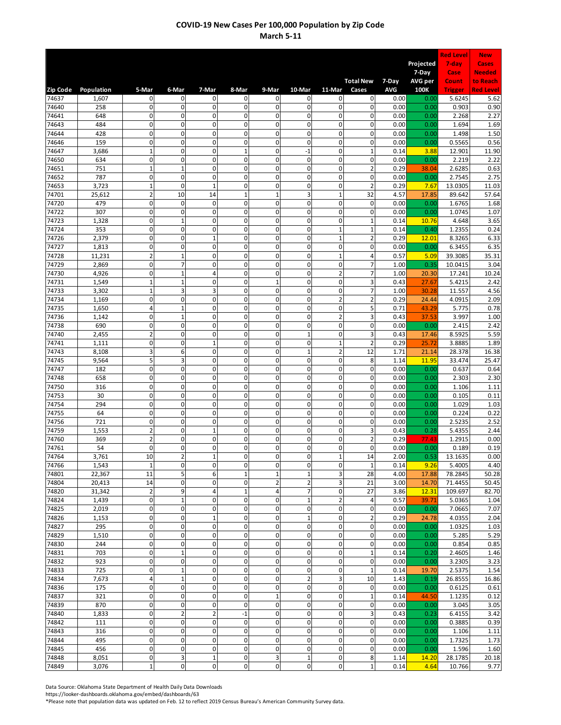| Projected<br>7-day<br>Cases<br>7-Day<br>Case<br><b>Needed</b><br><b>Total New</b><br>7-Day<br>AVG per<br>Count<br>to Reach<br>6-Mar<br>11-Mar<br><b>AVG</b><br>100K<br><b>Red Level</b><br>Population<br>5-Mar<br>7-Mar<br>8-Mar<br>9-Mar<br>10-Mar<br>Cases<br><b>Trigger</b><br>$\mathbf 0$<br>74637<br>1,607<br>$\mathbf 0$<br>0<br>0<br>$\mathbf 0$<br>$\mathbf 0$<br>0<br>$\mathbf{0}$<br>0.00<br>5.6245<br>5.62<br>0.00<br>$\mathbf 0$<br>$\mathbf 0$<br>0<br>$\mathbf 0$<br>0<br>$\mathsf 0$<br>$\mathbf 0$<br>0.00<br>0.90<br>74640<br>258<br>0<br>0.00<br>0.903<br>$\mathbf 0$<br>$\mathbf 0$<br>0<br>$\mathbf 0$<br>0<br>$\mathbf 0$<br>$\mathbf 0$<br>0<br>0.00<br>2.27<br>74641<br>648<br>0.00<br>2.268<br>$\mathbf 0$<br>$\pmb{0}$<br>0<br>484<br>0<br>$\mathbf 0$<br>$\mathbf 0$<br>$\mathsf 0$<br>0<br>1.69<br>74643<br>0.00<br>0.00<br>1.694<br>$\mathbf 0$<br>$\mathbf 0$<br>$\mathbf 0$<br>$\mathbf 0$<br>$\mathbf 0$<br>428<br>$\mathbf 0$<br>$\mathbf 0$<br>$\mathbf 0$<br>1.498<br>1.50<br>74644<br>0.00<br>0.00<br>0<br>$\mathbf 0$<br>$\overline{0}$<br>$\mathbf 0$<br>$\mathbf 0$<br>$\mathbf 0$<br>$\mathbf 0$<br>0<br>0.56<br>74646<br>159<br>0.00<br>0.00<br>0.5565<br>$\mathbf 1$<br>$-1$<br>$\mathbf 0$<br>$\mathbf 0$<br>$\mathbf{1}$<br>$\mathbf 0$<br>$\mathbf 0$<br>$\mathbf{1}$<br>3.88<br>12.901<br>74647<br>3,686<br>0.14<br>11.90<br>$\mathbf 0$<br>$\mathbf 0$<br>$\mathbf 0$<br>$\mathbf 0$<br>$\mathbf 0$<br>$\mathbf 0$<br>2.22<br>74650<br>634<br>$\mathbf 0$<br>$\mathbf 0$<br>0.00<br>2.219<br>0.00<br>0<br>$\mathbf 1$<br>$\mathbf 1$<br>0<br>$\mathbf 0$<br>$\mathbf 0$<br>$\mathbf 0$<br>$\overline{2}$<br>0.63<br>751<br>0.29<br>2.6285<br>74651<br>38.04<br>$\pmb{0}$<br>$\mathbf 0$<br>$\mathbf{0}$<br>787<br>$\mathbf 0$<br>0<br>$\mathbf 0$<br>$\mathbf 0$<br>0<br>2.75<br>74652<br>0.00<br>0.00<br>2.7545<br>$\overline{2}$<br>74653<br>3,723<br>$\mathbf 1$<br>$\mathbf 0$<br>$\overline{1}$<br>$\mathbf 0$<br>0<br>0<br>$\mathbf 0$<br>13.0305<br>11.03<br>0.29<br>7.67<br>$\overline{2}$<br>3<br>$\mathbf 1$<br>25,612<br>10<br>14<br>$\mathbf{1}$<br>$\mathbf{1}$<br>32<br>57.64<br>74701<br>4.57<br>17.85<br>89.642<br>$\mathbf 0$<br>479<br>$\pmb{0}$<br>$\mathbf 0$<br>$\mathbf 0$<br>$\mathbf 0$<br>$\mathbf 0$<br>$\mathbf 0$<br>$\mathbf 0$<br>1.68<br>74720<br>0.00<br>0.00<br>1.6765<br>0<br>$\mathbf 0$<br>$\pmb{0}$<br>0<br>$\mathbf 0$<br>$\mathbf 0$<br>$\mathbf 0$<br>0<br>1.07<br>74722<br>307<br>0.00<br>0.00<br>1.0745<br>$\mathbf 0$<br>$\mathbf 1$<br>$\mathbf{0}$<br>$\mathbf 0$<br>$\mathbf{0}$<br>$\mathbf 0$<br>$\mathbf 0$<br>3.65<br>74723<br>1,328<br>$\mathbf 1$<br>0.14<br>10.76<br>4.648<br>353<br>$\mathbf 0$<br>$\mathbf 0$<br>$\mathbf 0$<br>$\mathbf 0$<br>0<br>0<br>$\mathbf{1}$<br>$\mathbf 1$<br>0.24<br>74724<br>0.40<br>1.2355<br>0.14<br>$\mathbf 0$<br>$\overline{0}$<br>$\mathbf{1}$<br>$\mathbf 0$<br>$\overline{1}$<br>$\mathbf 0$<br>0<br>$\overline{2}$<br>6.33<br>74726<br>2,379<br>0.29<br>12.01<br>8.3265<br>$\pmb{0}$<br>$\mathbf 0$<br>$\mathbf{0}$<br>$\mathbf 0$<br>$\mathbf 0$<br>0<br>$\mathbf 0$<br>$\mathbf 0$<br>6.35<br>74727<br>1,813<br>6.3455<br>0.00<br>0.00<br>$\overline{2}$<br>$\mathbf 0$<br>$\mathbf 1$<br>$\mathbf 0$<br>$\mathbf 0$<br>4<br>74728<br>11,231<br>$\mathbf 0$<br>$\mathbf{1}$<br>0.57<br>39.3085<br>35.31<br>5.09<br>$\pmb{0}$<br>$\mathbf 0$<br>0<br>$\overline{7}$<br>0<br>$\mathbf 0$<br>$\mathbf 0$<br>7<br>3.04<br>74729<br>2,869<br>1.00<br>0.35<br>10.0415<br>$\mathbf{0}$<br>$\overline{2}$<br>$\pmb{0}$<br>$\mathbf 1$<br>4<br>$\mathbf 0$<br>$\mathbf 0$<br>7<br>10.24<br>74730<br>4,926<br>1.00<br>20.30<br>17.241<br>$\mathbf{1}$<br>$\mathbf 1$<br>$\mathbf 0$<br>$\mathbf{0}$<br>3<br>74731<br>1,549<br>0<br>$\mathbf 0$<br>$\mathbf{1}$<br>5.4215<br>2.42<br>0.43<br>27.67<br>$\mathbf 1$<br>3<br>3<br>$\mathbf 0$<br>$\mathbf 0$<br>$\overline{0}$<br>$\overline{7}$<br>74733<br>$\mathbf 0$<br>11.557<br>4.56<br>3,302<br>1.00<br>30.28<br>$\pmb{0}$<br>$\overline{2}$<br>1,169<br>$\mathbf 0$<br>$\pmb{0}$<br>$\mathbf 0$<br>$\mathbf 0$<br>$\mathbf 0$<br>$\overline{2}$<br>0.29<br>4.0915<br>2.09<br>74734<br>24.44<br>0<br>4<br>$\mathbf 1$<br>$\mathbf 0$<br>$\mathbf 0$<br>$\mathbf 0$<br>$\mathbf 0$<br>5<br>1,650<br>0.71<br>5.775<br>0.78<br>74735<br>43.29<br>$\mathbf 0$<br>$\mathbf 0$<br>0<br>$\overline{2}$<br>3<br>$\mathbf 1$<br>0<br>$\mathbf 0$<br>1.00<br>74736<br>1,142<br>0.43<br>37.53<br>3.997<br>$\overline{0}$<br>690<br>$\mathbf 0$<br>$\mathbf 0$<br>$\mathbf 0$<br>$\mathbf 0$<br>0<br>$\mathbf 0$<br>0<br>2.42<br>74738<br>0.00<br>0.00<br>2.415<br>$\overline{\mathbf{c}}$<br>5.59<br>$\mathbf 0$<br>$\mathbf 0$<br>$\mathbf 0$<br>0<br>$\mathbf{1}$<br>$\mathbf 0$<br>3<br>74740<br>2,455<br>8.5925<br>0.43<br>17.46<br>$\mathbf 0$<br>$\pmb{0}$<br>$\mathbf{1}$<br>$\mathbf 0$<br>$\mathbf 0$<br>$\mathbf{0}$<br>$\mathbf{1}$<br>$\overline{2}$<br>1.89<br>0.29<br>25.72<br>3.8885<br>74741<br>1,111<br>3<br>6<br>$\mathbf 0$<br>$\mathbf 0$<br>$\mathbf 1$<br>$\overline{2}$<br>74743<br>8,108<br>$\mathbf 0$<br>12<br>16.38<br>1.71<br>21.14<br>28.378<br>5<br>0<br>3<br>0<br>$\mathbf 0$<br>$\mathbf 0$<br>11.95<br>74745<br>9,564<br>0<br>8<br>33.474<br>25.47<br>1.14<br>$\mathbf 0$<br>$\overline{0}$<br>$\mathbf{0}$<br>182<br>$\pmb{0}$<br>$\mathbf 0$<br>$\mathbf 0$<br>$\mathbf 0$<br>$\mathbf 0$<br>0.64<br>74747<br>0.00<br>0.00<br>0.637<br>658<br>$\mathbf 0$<br>$\mathbf 0$<br>$\mathbf 0$<br>$\mathbf 0$<br>0<br>0<br>$\mathbf 0$<br>0<br>2.30<br>74748<br>0.00<br>0.00<br>2.303<br>$\pmb{0}$<br>$\mathbf 0$<br>$\overline{0}$<br>$\mathbf 0$<br>316<br>$\mathbf 0$<br>$\mathbf 0$<br>$\mathbf 0$<br>$\mathbf 0$<br>1.106<br>1.11<br>74750<br>0.00<br>0.00<br>$\mathbf 0$<br>74753<br>$\pmb{0}$<br>$\mathbf 0$<br>$\mathbf 0$<br>$\mathbf 0$<br>$\mathbf 0$<br>$\mathbf 0$<br>$\mathbf 0$<br>0.105<br>0.11<br>30<br>0.00<br>0.00<br>$\mathbf{0}$<br>$\mathbf 0$<br>$\mathbf 0$<br>$\mathbf 0$<br>$\mathbf 0$<br>74754<br>294<br>$\mathbf 0$<br>$\mathbf 0$<br>$\mathbf 0$<br>1.03<br>0.00<br>0.00<br>1.029<br>$\overline{0}$<br>64<br>$\mathbf 0$<br>$\mathbf 0$<br>$\mathbf{0}$<br>$\mathbf 0$<br>$\mathbf 0$<br>$\mathbf 0$<br>$\mathbf 0$<br>0.22<br>74755<br>0.00<br>0.00<br>0.224<br>0<br>$\mathbf 0$<br>0<br>$\mathbf 0$<br>$\mathbf 0$<br>0<br>$\mathbf 0$<br>0<br>2.52<br>74756<br>721<br>0.00<br>0.00<br>2.5235<br>$\overline{2}$<br>$\overline{0}$<br>3<br>$\mathbf 0$<br>$\overline{1}$<br>$\mathbf 0$<br>0<br>$\mathbf 0$<br>2.44<br>74759<br>1,553<br>0.28<br>5.4355<br>0.43<br>$\overline{2}$<br>$\overline{0}$<br>$\overline{2}$<br>369<br>$\mathbf 0$<br>0<br>$\mathbf 0$<br>0<br>$\mathbf 0$<br>1.2915<br>0.00<br>74760<br>0.29<br>77.43<br>$\mathbf{0}$<br>$\mathbf 0$<br>$\mathbf 0$<br>$\mathbf 0$<br>$\pmb{0}$<br>$\mathbf 0$<br>$\mathbf 0$<br>54<br>$\mathbf 0$<br>0.19<br>74761<br>0.00<br>0.00<br>0.189<br>74764<br>3,761<br>10<br>$\overline{\mathbf{c}}$<br>$\mathbf 0$<br>0<br>0.53<br>13.1635<br>0.00<br>0<br>1<br>14<br>2.00<br>$\mathbf 1$<br>$\pmb{0}$<br>0<br>$\mathbf 0$<br>$\mathbf 0$<br>0<br>74766<br>$\mathbf 0$<br>$\mathbf 1$<br>1,543<br>4.40<br>0.14<br>9.26<br>5.4005<br>5<br>$\mathbf 1$<br>11<br>6<br>3<br>28<br>74801<br>22,367<br>$\mathbf{1}$<br>$\mathbf 1$<br>4.00<br>50.28<br>17.88<br>78.2845<br>$\overline{2}$<br>14<br>0<br>$\mathbf 0$<br>2<br>3<br>21<br>74804<br>20,413<br>0<br>3.00<br>14.70<br>71.4455<br>50.45<br>$\overline{2}$<br>$\overline{7}$<br>9<br>4<br>$\mathbf{1}$<br>4<br>$\mathbf 0$<br>27<br>3.86<br>74820<br>31,342<br>12.31<br>109.697<br>82.70<br>$\mathbf{0}$<br>0<br>$\mathbf 1$<br>$\mathbf 2$<br>74824<br>1,439<br>$\mathbf 0$<br>$\mathbf 1$<br>$\mathbf 0$<br>4<br>0.57<br>39.71<br>5.0365<br>1.04<br>$\mathbf 0$<br>$\pmb{0}$<br>0<br>0<br>$\pmb{0}$<br>$\mathbf 0$<br>$\mathbf 0$<br>0<br>74825<br>2,019<br>0.00<br>0.00<br>7.0665<br>7.07<br>$\mathbf{1}$<br>$\overline{2}$<br>1,153<br>$\mathbf 0$<br>$\pmb{0}$<br>$\mathbf{1}$<br>$\mathbf 0$<br>$\mathbf 0$<br>$\mathsf 0$<br>0.29<br>2.04<br>74826<br>24.78<br>4.0355<br>$\mathbf 0$<br>0<br>$\pmb{0}$<br>74827<br>295<br>0<br>$\pmb{0}$<br>$\mathbf 0$<br>$\mathbf 0$<br>$\mathbf 0$<br>1.0325<br>1.03<br>0.00<br>0.00<br>0<br>5.29<br>$\mathbf 0$<br>$\pmb{0}$<br>0<br>$\pmb{0}$<br>$\mathbf 0$<br>$\mathbf 0$<br>0<br>5.285<br>74829<br>1,510<br>0.00<br>0.00<br>$\mathbf 0$<br>$\pmb{0}$<br>0<br>$\mathbf 0$<br>$\mathbf 0$<br>0<br>$\mathbf 0$<br>0<br>0.85<br>74830<br>244<br>0.00<br>0.00<br>0.854<br>0<br>$\mathbf 0$<br>$\mathbf 1$<br>703<br>0<br>0<br>$\mathbf 0$<br>$\mathbf 0$<br>$\mathbf 1$<br>0.14<br>0.20<br>2.4605<br>74831<br>$\mathbf 0$<br>$\pmb{0}$<br>$\pmb{0}$<br>0<br>$\mathbf 0$<br>923<br>0<br>$\mathbf 0$<br>0<br>3.23<br>74832<br>0.00<br>0.00<br>3.2305<br>$\mathbf 1$<br>$\mathbf 0$<br>0<br>74833<br>725<br>$\mathbf 0$<br>0<br>$\mathbf 0$<br>$\mathbf 0$<br>$\mathbf 1$<br>2.5375<br>1.54<br>0.14<br>19.70<br>$\overline{2}$<br>$\overline{4}$<br>$\mathbf 1$<br>0<br>$\mathbf 0$<br>$\mathbf 0$<br>3<br>10<br>0.19<br>16.86<br>74834<br>7,673<br>1.43<br>26.8555<br>$\mathbf 0$<br>$\pmb{0}$<br>$\mathbf 0$<br>$\mathbf 0$<br>$\mathbf 0$<br>$\mathbf 0$<br>$\mathbf 0$<br>0<br>0.00<br>0.6125<br>0.61<br>74836<br>175<br>0.00<br>$\mathbf 0$<br>$\mathsf{O}\xspace$<br>$\mathbf 1$<br>74837<br>321<br>$\pmb{0}$<br>$\mathbf 0$<br>$\mathbf 0$<br>$\mathbf 1$<br>$\mathbf 0$<br>1.1235<br>0.14<br>44.50<br>0.12<br>0<br>870<br>$\mathbf 0$<br>$\pmb{0}$<br>0<br>$\mathbf 0$<br>$\mathbf 0$<br>$\mathbf 0$<br>0<br>0.00<br>0.00<br>3.045<br>3.05<br>74839<br>3<br>$\mathbf 0$<br>$\overline{2}$<br>$\overline{c}$<br>$-1$<br>$\mathbf 0$<br>0<br>$\mathbf 0$<br>3.42<br>74840<br>1,833<br>0.43<br>0.23<br>6.4155<br>$\mathbf{0}$<br>$\mathbf 0$<br>111<br>$\pmb{0}$<br>0<br>$\mathbf 0$<br>0<br>$\mathbf 0$<br>0<br>0.3885<br>0.39<br>74842<br>0.00<br>0.00<br>$\mathbf 0$<br>0<br>74843<br>$\mathbf 0$<br>$\pmb{0}$<br>0<br>$\mathbf 0$<br>$\mathbf 0$<br>0<br>316<br>0.00<br>0.00<br>1.106<br>1.11<br>$\mathbf 0$<br>$\pmb{0}$<br>$\mathbf 0$<br>$\mathbf 0$<br>$\mathbf 0$<br>$\mathbf 0$<br>0<br>1.7325<br>1.73<br>74844<br>495<br>0<br>0.00<br>0.00<br>0<br>74845<br>$\mathbf 0$<br>$\pmb{0}$<br>0<br>$\mathbf 0$<br>$\pmb{0}$<br>$\mathbf 0$<br>0<br>1.60<br>456<br>0.00<br>0.00<br>1.596<br>$\pmb{0}$<br>3<br>$\pmb{0}$<br>3<br>$\mathbf 1$<br>$\mathbf 0$<br>8<br>74848<br>8,051<br>$\mathbf 1$<br>1.14<br>14.20<br>28.1785<br>20.18<br>$\mathbf 1$<br>$\pmb{0}$<br>0<br>$\pmb{0}$<br>$\pmb{0}$<br>$\mathbf 0$<br>$\mathbf 1$<br>3,076<br>$\mathbf 0$<br>4.64<br>74849<br>0.14<br>10.766 |          |  |  |  |  |  | <b>Red Level</b> | <b>New</b> |
|----------------------------------------------------------------------------------------------------------------------------------------------------------------------------------------------------------------------------------------------------------------------------------------------------------------------------------------------------------------------------------------------------------------------------------------------------------------------------------------------------------------------------------------------------------------------------------------------------------------------------------------------------------------------------------------------------------------------------------------------------------------------------------------------------------------------------------------------------------------------------------------------------------------------------------------------------------------------------------------------------------------------------------------------------------------------------------------------------------------------------------------------------------------------------------------------------------------------------------------------------------------------------------------------------------------------------------------------------------------------------------------------------------------------------------------------------------------------------------------------------------------------------------------------------------------------------------------------------------------------------------------------------------------------------------------------------------------------------------------------------------------------------------------------------------------------------------------------------------------------------------------------------------------------------------------------------------------------------------------------------------------------------------------------------------------------------------------------------------------------------------------------------------------------------------------------------------------------------------------------------------------------------------------------------------------------------------------------------------------------------------------------------------------------------------------------------------------------------------------------------------------------------------------------------------------------------------------------------------------------------------------------------------------------------------------------------------------------------------------------------------------------------------------------------------------------------------------------------------------------------------------------------------------------------------------------------------------------------------------------------------------------------------------------------------------------------------------------------------------------------------------------------------------------------------------------------------------------------------------------------------------------------------------------------------------------------------------------------------------------------------------------------------------------------------------------------------------------------------------------------------------------------------------------------------------------------------------------------------------------------------------------------------------------------------------------------------------------------------------------------------------------------------------------------------------------------------------------------------------------------------------------------------------------------------------------------------------------------------------------------------------------------------------------------------------------------------------------------------------------------------------------------------------------------------------------------------------------------------------------------------------------------------------------------------------------------------------------------------------------------------------------------------------------------------------------------------------------------------------------------------------------------------------------------------------------------------------------------------------------------------------------------------------------------------------------------------------------------------------------------------------------------------------------------------------------------------------------------------------------------------------------------------------------------------------------------------------------------------------------------------------------------------------------------------------------------------------------------------------------------------------------------------------------------------------------------------------------------------------------------------------------------------------------------------------------------------------------------------------------------------------------------------------------------------------------------------------------------------------------------------------------------------------------------------------------------------------------------------------------------------------------------------------------------------------------------------------------------------------------------------------------------------------------------------------------------------------------------------------------------------------------------------------------------------------------------------------------------------------------------------------------------------------------------------------------------------------------------------------------------------------------------------------------------------------------------------------------------------------------------------------------------------------------------------------------------------------------------------------------------------------------------------------------------------------------------------------------------------------------------------------------------------------------------------------------------------------------------------------------------------------------------------------------------------------------------------------------------------------------------------------------------------------------------------------------------------------------------------------------------------------------------------------------------------------------------------------------------------------------------------------------------------------------------------------------------------------------------------------------------------------------------------------------------------------------------------------------------------------------------------------------------------------------------------------------------------------------------------------------------------------------------------------------------------------------------------------------------------------------------------------------------------------------------------------------------------------------------------------------------------------------------------------------------------------------------------------------------------------------------------------------------------------------------------------------------------------------------------------------------------------------------------------------------------------------------------------------------------------------------------------------------------------------------------------------------------------------------------------------------------------------------------------------------------------------------------------------------------------------------------------------------------------------------------------------------------------------------------------------------------------------------------------------------------------------------------------------------------------------------------------------------------------------------------------------------------------------------------------------------------------------------------------------------------------------------------------------------------------------------------------------------------------------------------------------------------------------------------------------------------------------------------------------------------------------------------------------------------------------------------------------------------------------------------------------------------------------------------------------------------------------------------------------------------------------------------------------------------------------------------------------------------------------------------------------------------------------------------------------------------------------------------------------------------------------------------------------------------------------------------------------------------------------------------------------------------------------------------------------------------------------------------------------------------------------------------------------------------------------------------------------------------------------------------------------------------------------------------------------------------------------------------------------------------------------------------------------------------------------------------------------------------------------------------------------------------------------------------------------------------------------------------------------------------------------------------------------------------------------------------------------------------------------------------------------------------------------------------------------------------------------------------------------------------------------------------------------------------------------------------------------------------------------------------------------------------------------------------------------------------------------------------------------------------------|----------|--|--|--|--|--|------------------|------------|
|                                                                                                                                                                                                                                                                                                                                                                                                                                                                                                                                                                                                                                                                                                                                                                                                                                                                                                                                                                                                                                                                                                                                                                                                                                                                                                                                                                                                                                                                                                                                                                                                                                                                                                                                                                                                                                                                                                                                                                                                                                                                                                                                                                                                                                                                                                                                                                                                                                                                                                                                                                                                                                                                                                                                                                                                                                                                                                                                                                                                                                                                                                                                                                                                                                                                                                                                                                                                                                                                                                                                                                                                                                                                                                                                                                                                                                                                                                                                                                                                                                                                                                                                                                                                                                                                                                                                                                                                                                                                                                                                                                                                                                                                                                                                                                                                                                                                                                                                                                                                                                                                                                                                                                                                                                                                                                                                                                                                                                                                                                                                                                                                                                                                                                                                                                                                                                                                                                                                                                                                                                                                                                                                                                                                                                                                                                                                                                                                                                                                                                                                                                                                                                                                                                                                                                                                                                                                                                                                                                                                                                                                                                                                                                                                                                                                                                                                                                                                                                                                                                                                                                                                                                                                                                                                                                                                                                                                                                                                                                                                                                                                                                                                                                                                                                                                                                                                                                                                                                                                                                                                                                                                                                                                                                                                                                                                                                                                                                                                                                                                                                                                                                                                                                                                                                                                                                                                                                                                                                                                                                                                                                                                                                                                                                                                                                                                                                                                                                                                                                                                                                                                                                                                                                                                                                                                                                                                                                                                                                                                                                                                                                                                                                                                                        |          |  |  |  |  |  |                  |            |
|                                                                                                                                                                                                                                                                                                                                                                                                                                                                                                                                                                                                                                                                                                                                                                                                                                                                                                                                                                                                                                                                                                                                                                                                                                                                                                                                                                                                                                                                                                                                                                                                                                                                                                                                                                                                                                                                                                                                                                                                                                                                                                                                                                                                                                                                                                                                                                                                                                                                                                                                                                                                                                                                                                                                                                                                                                                                                                                                                                                                                                                                                                                                                                                                                                                                                                                                                                                                                                                                                                                                                                                                                                                                                                                                                                                                                                                                                                                                                                                                                                                                                                                                                                                                                                                                                                                                                                                                                                                                                                                                                                                                                                                                                                                                                                                                                                                                                                                                                                                                                                                                                                                                                                                                                                                                                                                                                                                                                                                                                                                                                                                                                                                                                                                                                                                                                                                                                                                                                                                                                                                                                                                                                                                                                                                                                                                                                                                                                                                                                                                                                                                                                                                                                                                                                                                                                                                                                                                                                                                                                                                                                                                                                                                                                                                                                                                                                                                                                                                                                                                                                                                                                                                                                                                                                                                                                                                                                                                                                                                                                                                                                                                                                                                                                                                                                                                                                                                                                                                                                                                                                                                                                                                                                                                                                                                                                                                                                                                                                                                                                                                                                                                                                                                                                                                                                                                                                                                                                                                                                                                                                                                                                                                                                                                                                                                                                                                                                                                                                                                                                                                                                                                                                                                                                                                                                                                                                                                                                                                                                                                                                                                                                                                                                        |          |  |  |  |  |  |                  |            |
|                                                                                                                                                                                                                                                                                                                                                                                                                                                                                                                                                                                                                                                                                                                                                                                                                                                                                                                                                                                                                                                                                                                                                                                                                                                                                                                                                                                                                                                                                                                                                                                                                                                                                                                                                                                                                                                                                                                                                                                                                                                                                                                                                                                                                                                                                                                                                                                                                                                                                                                                                                                                                                                                                                                                                                                                                                                                                                                                                                                                                                                                                                                                                                                                                                                                                                                                                                                                                                                                                                                                                                                                                                                                                                                                                                                                                                                                                                                                                                                                                                                                                                                                                                                                                                                                                                                                                                                                                                                                                                                                                                                                                                                                                                                                                                                                                                                                                                                                                                                                                                                                                                                                                                                                                                                                                                                                                                                                                                                                                                                                                                                                                                                                                                                                                                                                                                                                                                                                                                                                                                                                                                                                                                                                                                                                                                                                                                                                                                                                                                                                                                                                                                                                                                                                                                                                                                                                                                                                                                                                                                                                                                                                                                                                                                                                                                                                                                                                                                                                                                                                                                                                                                                                                                                                                                                                                                                                                                                                                                                                                                                                                                                                                                                                                                                                                                                                                                                                                                                                                                                                                                                                                                                                                                                                                                                                                                                                                                                                                                                                                                                                                                                                                                                                                                                                                                                                                                                                                                                                                                                                                                                                                                                                                                                                                                                                                                                                                                                                                                                                                                                                                                                                                                                                                                                                                                                                                                                                                                                                                                                                                                                                                                                                                        | Zip Code |  |  |  |  |  |                  |            |
|                                                                                                                                                                                                                                                                                                                                                                                                                                                                                                                                                                                                                                                                                                                                                                                                                                                                                                                                                                                                                                                                                                                                                                                                                                                                                                                                                                                                                                                                                                                                                                                                                                                                                                                                                                                                                                                                                                                                                                                                                                                                                                                                                                                                                                                                                                                                                                                                                                                                                                                                                                                                                                                                                                                                                                                                                                                                                                                                                                                                                                                                                                                                                                                                                                                                                                                                                                                                                                                                                                                                                                                                                                                                                                                                                                                                                                                                                                                                                                                                                                                                                                                                                                                                                                                                                                                                                                                                                                                                                                                                                                                                                                                                                                                                                                                                                                                                                                                                                                                                                                                                                                                                                                                                                                                                                                                                                                                                                                                                                                                                                                                                                                                                                                                                                                                                                                                                                                                                                                                                                                                                                                                                                                                                                                                                                                                                                                                                                                                                                                                                                                                                                                                                                                                                                                                                                                                                                                                                                                                                                                                                                                                                                                                                                                                                                                                                                                                                                                                                                                                                                                                                                                                                                                                                                                                                                                                                                                                                                                                                                                                                                                                                                                                                                                                                                                                                                                                                                                                                                                                                                                                                                                                                                                                                                                                                                                                                                                                                                                                                                                                                                                                                                                                                                                                                                                                                                                                                                                                                                                                                                                                                                                                                                                                                                                                                                                                                                                                                                                                                                                                                                                                                                                                                                                                                                                                                                                                                                                                                                                                                                                                                                                                                                        |          |  |  |  |  |  |                  |            |
|                                                                                                                                                                                                                                                                                                                                                                                                                                                                                                                                                                                                                                                                                                                                                                                                                                                                                                                                                                                                                                                                                                                                                                                                                                                                                                                                                                                                                                                                                                                                                                                                                                                                                                                                                                                                                                                                                                                                                                                                                                                                                                                                                                                                                                                                                                                                                                                                                                                                                                                                                                                                                                                                                                                                                                                                                                                                                                                                                                                                                                                                                                                                                                                                                                                                                                                                                                                                                                                                                                                                                                                                                                                                                                                                                                                                                                                                                                                                                                                                                                                                                                                                                                                                                                                                                                                                                                                                                                                                                                                                                                                                                                                                                                                                                                                                                                                                                                                                                                                                                                                                                                                                                                                                                                                                                                                                                                                                                                                                                                                                                                                                                                                                                                                                                                                                                                                                                                                                                                                                                                                                                                                                                                                                                                                                                                                                                                                                                                                                                                                                                                                                                                                                                                                                                                                                                                                                                                                                                                                                                                                                                                                                                                                                                                                                                                                                                                                                                                                                                                                                                                                                                                                                                                                                                                                                                                                                                                                                                                                                                                                                                                                                                                                                                                                                                                                                                                                                                                                                                                                                                                                                                                                                                                                                                                                                                                                                                                                                                                                                                                                                                                                                                                                                                                                                                                                                                                                                                                                                                                                                                                                                                                                                                                                                                                                                                                                                                                                                                                                                                                                                                                                                                                                                                                                                                                                                                                                                                                                                                                                                                                                                                                                                                        |          |  |  |  |  |  |                  |            |
|                                                                                                                                                                                                                                                                                                                                                                                                                                                                                                                                                                                                                                                                                                                                                                                                                                                                                                                                                                                                                                                                                                                                                                                                                                                                                                                                                                                                                                                                                                                                                                                                                                                                                                                                                                                                                                                                                                                                                                                                                                                                                                                                                                                                                                                                                                                                                                                                                                                                                                                                                                                                                                                                                                                                                                                                                                                                                                                                                                                                                                                                                                                                                                                                                                                                                                                                                                                                                                                                                                                                                                                                                                                                                                                                                                                                                                                                                                                                                                                                                                                                                                                                                                                                                                                                                                                                                                                                                                                                                                                                                                                                                                                                                                                                                                                                                                                                                                                                                                                                                                                                                                                                                                                                                                                                                                                                                                                                                                                                                                                                                                                                                                                                                                                                                                                                                                                                                                                                                                                                                                                                                                                                                                                                                                                                                                                                                                                                                                                                                                                                                                                                                                                                                                                                                                                                                                                                                                                                                                                                                                                                                                                                                                                                                                                                                                                                                                                                                                                                                                                                                                                                                                                                                                                                                                                                                                                                                                                                                                                                                                                                                                                                                                                                                                                                                                                                                                                                                                                                                                                                                                                                                                                                                                                                                                                                                                                                                                                                                                                                                                                                                                                                                                                                                                                                                                                                                                                                                                                                                                                                                                                                                                                                                                                                                                                                                                                                                                                                                                                                                                                                                                                                                                                                                                                                                                                                                                                                                                                                                                                                                                                                                                                                                        |          |  |  |  |  |  |                  |            |
|                                                                                                                                                                                                                                                                                                                                                                                                                                                                                                                                                                                                                                                                                                                                                                                                                                                                                                                                                                                                                                                                                                                                                                                                                                                                                                                                                                                                                                                                                                                                                                                                                                                                                                                                                                                                                                                                                                                                                                                                                                                                                                                                                                                                                                                                                                                                                                                                                                                                                                                                                                                                                                                                                                                                                                                                                                                                                                                                                                                                                                                                                                                                                                                                                                                                                                                                                                                                                                                                                                                                                                                                                                                                                                                                                                                                                                                                                                                                                                                                                                                                                                                                                                                                                                                                                                                                                                                                                                                                                                                                                                                                                                                                                                                                                                                                                                                                                                                                                                                                                                                                                                                                                                                                                                                                                                                                                                                                                                                                                                                                                                                                                                                                                                                                                                                                                                                                                                                                                                                                                                                                                                                                                                                                                                                                                                                                                                                                                                                                                                                                                                                                                                                                                                                                                                                                                                                                                                                                                                                                                                                                                                                                                                                                                                                                                                                                                                                                                                                                                                                                                                                                                                                                                                                                                                                                                                                                                                                                                                                                                                                                                                                                                                                                                                                                                                                                                                                                                                                                                                                                                                                                                                                                                                                                                                                                                                                                                                                                                                                                                                                                                                                                                                                                                                                                                                                                                                                                                                                                                                                                                                                                                                                                                                                                                                                                                                                                                                                                                                                                                                                                                                                                                                                                                                                                                                                                                                                                                                                                                                                                                                                                                                                                                        |          |  |  |  |  |  |                  |            |
|                                                                                                                                                                                                                                                                                                                                                                                                                                                                                                                                                                                                                                                                                                                                                                                                                                                                                                                                                                                                                                                                                                                                                                                                                                                                                                                                                                                                                                                                                                                                                                                                                                                                                                                                                                                                                                                                                                                                                                                                                                                                                                                                                                                                                                                                                                                                                                                                                                                                                                                                                                                                                                                                                                                                                                                                                                                                                                                                                                                                                                                                                                                                                                                                                                                                                                                                                                                                                                                                                                                                                                                                                                                                                                                                                                                                                                                                                                                                                                                                                                                                                                                                                                                                                                                                                                                                                                                                                                                                                                                                                                                                                                                                                                                                                                                                                                                                                                                                                                                                                                                                                                                                                                                                                                                                                                                                                                                                                                                                                                                                                                                                                                                                                                                                                                                                                                                                                                                                                                                                                                                                                                                                                                                                                                                                                                                                                                                                                                                                                                                                                                                                                                                                                                                                                                                                                                                                                                                                                                                                                                                                                                                                                                                                                                                                                                                                                                                                                                                                                                                                                                                                                                                                                                                                                                                                                                                                                                                                                                                                                                                                                                                                                                                                                                                                                                                                                                                                                                                                                                                                                                                                                                                                                                                                                                                                                                                                                                                                                                                                                                                                                                                                                                                                                                                                                                                                                                                                                                                                                                                                                                                                                                                                                                                                                                                                                                                                                                                                                                                                                                                                                                                                                                                                                                                                                                                                                                                                                                                                                                                                                                                                                                                                                        |          |  |  |  |  |  |                  |            |
|                                                                                                                                                                                                                                                                                                                                                                                                                                                                                                                                                                                                                                                                                                                                                                                                                                                                                                                                                                                                                                                                                                                                                                                                                                                                                                                                                                                                                                                                                                                                                                                                                                                                                                                                                                                                                                                                                                                                                                                                                                                                                                                                                                                                                                                                                                                                                                                                                                                                                                                                                                                                                                                                                                                                                                                                                                                                                                                                                                                                                                                                                                                                                                                                                                                                                                                                                                                                                                                                                                                                                                                                                                                                                                                                                                                                                                                                                                                                                                                                                                                                                                                                                                                                                                                                                                                                                                                                                                                                                                                                                                                                                                                                                                                                                                                                                                                                                                                                                                                                                                                                                                                                                                                                                                                                                                                                                                                                                                                                                                                                                                                                                                                                                                                                                                                                                                                                                                                                                                                                                                                                                                                                                                                                                                                                                                                                                                                                                                                                                                                                                                                                                                                                                                                                                                                                                                                                                                                                                                                                                                                                                                                                                                                                                                                                                                                                                                                                                                                                                                                                                                                                                                                                                                                                                                                                                                                                                                                                                                                                                                                                                                                                                                                                                                                                                                                                                                                                                                                                                                                                                                                                                                                                                                                                                                                                                                                                                                                                                                                                                                                                                                                                                                                                                                                                                                                                                                                                                                                                                                                                                                                                                                                                                                                                                                                                                                                                                                                                                                                                                                                                                                                                                                                                                                                                                                                                                                                                                                                                                                                                                                                                                                                                                        |          |  |  |  |  |  |                  |            |
|                                                                                                                                                                                                                                                                                                                                                                                                                                                                                                                                                                                                                                                                                                                                                                                                                                                                                                                                                                                                                                                                                                                                                                                                                                                                                                                                                                                                                                                                                                                                                                                                                                                                                                                                                                                                                                                                                                                                                                                                                                                                                                                                                                                                                                                                                                                                                                                                                                                                                                                                                                                                                                                                                                                                                                                                                                                                                                                                                                                                                                                                                                                                                                                                                                                                                                                                                                                                                                                                                                                                                                                                                                                                                                                                                                                                                                                                                                                                                                                                                                                                                                                                                                                                                                                                                                                                                                                                                                                                                                                                                                                                                                                                                                                                                                                                                                                                                                                                                                                                                                                                                                                                                                                                                                                                                                                                                                                                                                                                                                                                                                                                                                                                                                                                                                                                                                                                                                                                                                                                                                                                                                                                                                                                                                                                                                                                                                                                                                                                                                                                                                                                                                                                                                                                                                                                                                                                                                                                                                                                                                                                                                                                                                                                                                                                                                                                                                                                                                                                                                                                                                                                                                                                                                                                                                                                                                                                                                                                                                                                                                                                                                                                                                                                                                                                                                                                                                                                                                                                                                                                                                                                                                                                                                                                                                                                                                                                                                                                                                                                                                                                                                                                                                                                                                                                                                                                                                                                                                                                                                                                                                                                                                                                                                                                                                                                                                                                                                                                                                                                                                                                                                                                                                                                                                                                                                                                                                                                                                                                                                                                                                                                                                                                                        |          |  |  |  |  |  |                  |            |
|                                                                                                                                                                                                                                                                                                                                                                                                                                                                                                                                                                                                                                                                                                                                                                                                                                                                                                                                                                                                                                                                                                                                                                                                                                                                                                                                                                                                                                                                                                                                                                                                                                                                                                                                                                                                                                                                                                                                                                                                                                                                                                                                                                                                                                                                                                                                                                                                                                                                                                                                                                                                                                                                                                                                                                                                                                                                                                                                                                                                                                                                                                                                                                                                                                                                                                                                                                                                                                                                                                                                                                                                                                                                                                                                                                                                                                                                                                                                                                                                                                                                                                                                                                                                                                                                                                                                                                                                                                                                                                                                                                                                                                                                                                                                                                                                                                                                                                                                                                                                                                                                                                                                                                                                                                                                                                                                                                                                                                                                                                                                                                                                                                                                                                                                                                                                                                                                                                                                                                                                                                                                                                                                                                                                                                                                                                                                                                                                                                                                                                                                                                                                                                                                                                                                                                                                                                                                                                                                                                                                                                                                                                                                                                                                                                                                                                                                                                                                                                                                                                                                                                                                                                                                                                                                                                                                                                                                                                                                                                                                                                                                                                                                                                                                                                                                                                                                                                                                                                                                                                                                                                                                                                                                                                                                                                                                                                                                                                                                                                                                                                                                                                                                                                                                                                                                                                                                                                                                                                                                                                                                                                                                                                                                                                                                                                                                                                                                                                                                                                                                                                                                                                                                                                                                                                                                                                                                                                                                                                                                                                                                                                                                                                                                                        |          |  |  |  |  |  |                  |            |
|                                                                                                                                                                                                                                                                                                                                                                                                                                                                                                                                                                                                                                                                                                                                                                                                                                                                                                                                                                                                                                                                                                                                                                                                                                                                                                                                                                                                                                                                                                                                                                                                                                                                                                                                                                                                                                                                                                                                                                                                                                                                                                                                                                                                                                                                                                                                                                                                                                                                                                                                                                                                                                                                                                                                                                                                                                                                                                                                                                                                                                                                                                                                                                                                                                                                                                                                                                                                                                                                                                                                                                                                                                                                                                                                                                                                                                                                                                                                                                                                                                                                                                                                                                                                                                                                                                                                                                                                                                                                                                                                                                                                                                                                                                                                                                                                                                                                                                                                                                                                                                                                                                                                                                                                                                                                                                                                                                                                                                                                                                                                                                                                                                                                                                                                                                                                                                                                                                                                                                                                                                                                                                                                                                                                                                                                                                                                                                                                                                                                                                                                                                                                                                                                                                                                                                                                                                                                                                                                                                                                                                                                                                                                                                                                                                                                                                                                                                                                                                                                                                                                                                                                                                                                                                                                                                                                                                                                                                                                                                                                                                                                                                                                                                                                                                                                                                                                                                                                                                                                                                                                                                                                                                                                                                                                                                                                                                                                                                                                                                                                                                                                                                                                                                                                                                                                                                                                                                                                                                                                                                                                                                                                                                                                                                                                                                                                                                                                                                                                                                                                                                                                                                                                                                                                                                                                                                                                                                                                                                                                                                                                                                                                                                                                                        |          |  |  |  |  |  |                  |            |
|                                                                                                                                                                                                                                                                                                                                                                                                                                                                                                                                                                                                                                                                                                                                                                                                                                                                                                                                                                                                                                                                                                                                                                                                                                                                                                                                                                                                                                                                                                                                                                                                                                                                                                                                                                                                                                                                                                                                                                                                                                                                                                                                                                                                                                                                                                                                                                                                                                                                                                                                                                                                                                                                                                                                                                                                                                                                                                                                                                                                                                                                                                                                                                                                                                                                                                                                                                                                                                                                                                                                                                                                                                                                                                                                                                                                                                                                                                                                                                                                                                                                                                                                                                                                                                                                                                                                                                                                                                                                                                                                                                                                                                                                                                                                                                                                                                                                                                                                                                                                                                                                                                                                                                                                                                                                                                                                                                                                                                                                                                                                                                                                                                                                                                                                                                                                                                                                                                                                                                                                                                                                                                                                                                                                                                                                                                                                                                                                                                                                                                                                                                                                                                                                                                                                                                                                                                                                                                                                                                                                                                                                                                                                                                                                                                                                                                                                                                                                                                                                                                                                                                                                                                                                                                                                                                                                                                                                                                                                                                                                                                                                                                                                                                                                                                                                                                                                                                                                                                                                                                                                                                                                                                                                                                                                                                                                                                                                                                                                                                                                                                                                                                                                                                                                                                                                                                                                                                                                                                                                                                                                                                                                                                                                                                                                                                                                                                                                                                                                                                                                                                                                                                                                                                                                                                                                                                                                                                                                                                                                                                                                                                                                                                                                                        |          |  |  |  |  |  |                  |            |
|                                                                                                                                                                                                                                                                                                                                                                                                                                                                                                                                                                                                                                                                                                                                                                                                                                                                                                                                                                                                                                                                                                                                                                                                                                                                                                                                                                                                                                                                                                                                                                                                                                                                                                                                                                                                                                                                                                                                                                                                                                                                                                                                                                                                                                                                                                                                                                                                                                                                                                                                                                                                                                                                                                                                                                                                                                                                                                                                                                                                                                                                                                                                                                                                                                                                                                                                                                                                                                                                                                                                                                                                                                                                                                                                                                                                                                                                                                                                                                                                                                                                                                                                                                                                                                                                                                                                                                                                                                                                                                                                                                                                                                                                                                                                                                                                                                                                                                                                                                                                                                                                                                                                                                                                                                                                                                                                                                                                                                                                                                                                                                                                                                                                                                                                                                                                                                                                                                                                                                                                                                                                                                                                                                                                                                                                                                                                                                                                                                                                                                                                                                                                                                                                                                                                                                                                                                                                                                                                                                                                                                                                                                                                                                                                                                                                                                                                                                                                                                                                                                                                                                                                                                                                                                                                                                                                                                                                                                                                                                                                                                                                                                                                                                                                                                                                                                                                                                                                                                                                                                                                                                                                                                                                                                                                                                                                                                                                                                                                                                                                                                                                                                                                                                                                                                                                                                                                                                                                                                                                                                                                                                                                                                                                                                                                                                                                                                                                                                                                                                                                                                                                                                                                                                                                                                                                                                                                                                                                                                                                                                                                                                                                                                                                                        |          |  |  |  |  |  |                  |            |
|                                                                                                                                                                                                                                                                                                                                                                                                                                                                                                                                                                                                                                                                                                                                                                                                                                                                                                                                                                                                                                                                                                                                                                                                                                                                                                                                                                                                                                                                                                                                                                                                                                                                                                                                                                                                                                                                                                                                                                                                                                                                                                                                                                                                                                                                                                                                                                                                                                                                                                                                                                                                                                                                                                                                                                                                                                                                                                                                                                                                                                                                                                                                                                                                                                                                                                                                                                                                                                                                                                                                                                                                                                                                                                                                                                                                                                                                                                                                                                                                                                                                                                                                                                                                                                                                                                                                                                                                                                                                                                                                                                                                                                                                                                                                                                                                                                                                                                                                                                                                                                                                                                                                                                                                                                                                                                                                                                                                                                                                                                                                                                                                                                                                                                                                                                                                                                                                                                                                                                                                                                                                                                                                                                                                                                                                                                                                                                                                                                                                                                                                                                                                                                                                                                                                                                                                                                                                                                                                                                                                                                                                                                                                                                                                                                                                                                                                                                                                                                                                                                                                                                                                                                                                                                                                                                                                                                                                                                                                                                                                                                                                                                                                                                                                                                                                                                                                                                                                                                                                                                                                                                                                                                                                                                                                                                                                                                                                                                                                                                                                                                                                                                                                                                                                                                                                                                                                                                                                                                                                                                                                                                                                                                                                                                                                                                                                                                                                                                                                                                                                                                                                                                                                                                                                                                                                                                                                                                                                                                                                                                                                                                                                                                                                                        |          |  |  |  |  |  |                  |            |
|                                                                                                                                                                                                                                                                                                                                                                                                                                                                                                                                                                                                                                                                                                                                                                                                                                                                                                                                                                                                                                                                                                                                                                                                                                                                                                                                                                                                                                                                                                                                                                                                                                                                                                                                                                                                                                                                                                                                                                                                                                                                                                                                                                                                                                                                                                                                                                                                                                                                                                                                                                                                                                                                                                                                                                                                                                                                                                                                                                                                                                                                                                                                                                                                                                                                                                                                                                                                                                                                                                                                                                                                                                                                                                                                                                                                                                                                                                                                                                                                                                                                                                                                                                                                                                                                                                                                                                                                                                                                                                                                                                                                                                                                                                                                                                                                                                                                                                                                                                                                                                                                                                                                                                                                                                                                                                                                                                                                                                                                                                                                                                                                                                                                                                                                                                                                                                                                                                                                                                                                                                                                                                                                                                                                                                                                                                                                                                                                                                                                                                                                                                                                                                                                                                                                                                                                                                                                                                                                                                                                                                                                                                                                                                                                                                                                                                                                                                                                                                                                                                                                                                                                                                                                                                                                                                                                                                                                                                                                                                                                                                                                                                                                                                                                                                                                                                                                                                                                                                                                                                                                                                                                                                                                                                                                                                                                                                                                                                                                                                                                                                                                                                                                                                                                                                                                                                                                                                                                                                                                                                                                                                                                                                                                                                                                                                                                                                                                                                                                                                                                                                                                                                                                                                                                                                                                                                                                                                                                                                                                                                                                                                                                                                                                                        |          |  |  |  |  |  |                  |            |
|                                                                                                                                                                                                                                                                                                                                                                                                                                                                                                                                                                                                                                                                                                                                                                                                                                                                                                                                                                                                                                                                                                                                                                                                                                                                                                                                                                                                                                                                                                                                                                                                                                                                                                                                                                                                                                                                                                                                                                                                                                                                                                                                                                                                                                                                                                                                                                                                                                                                                                                                                                                                                                                                                                                                                                                                                                                                                                                                                                                                                                                                                                                                                                                                                                                                                                                                                                                                                                                                                                                                                                                                                                                                                                                                                                                                                                                                                                                                                                                                                                                                                                                                                                                                                                                                                                                                                                                                                                                                                                                                                                                                                                                                                                                                                                                                                                                                                                                                                                                                                                                                                                                                                                                                                                                                                                                                                                                                                                                                                                                                                                                                                                                                                                                                                                                                                                                                                                                                                                                                                                                                                                                                                                                                                                                                                                                                                                                                                                                                                                                                                                                                                                                                                                                                                                                                                                                                                                                                                                                                                                                                                                                                                                                                                                                                                                                                                                                                                                                                                                                                                                                                                                                                                                                                                                                                                                                                                                                                                                                                                                                                                                                                                                                                                                                                                                                                                                                                                                                                                                                                                                                                                                                                                                                                                                                                                                                                                                                                                                                                                                                                                                                                                                                                                                                                                                                                                                                                                                                                                                                                                                                                                                                                                                                                                                                                                                                                                                                                                                                                                                                                                                                                                                                                                                                                                                                                                                                                                                                                                                                                                                                                                                                                                        |          |  |  |  |  |  |                  |            |
|                                                                                                                                                                                                                                                                                                                                                                                                                                                                                                                                                                                                                                                                                                                                                                                                                                                                                                                                                                                                                                                                                                                                                                                                                                                                                                                                                                                                                                                                                                                                                                                                                                                                                                                                                                                                                                                                                                                                                                                                                                                                                                                                                                                                                                                                                                                                                                                                                                                                                                                                                                                                                                                                                                                                                                                                                                                                                                                                                                                                                                                                                                                                                                                                                                                                                                                                                                                                                                                                                                                                                                                                                                                                                                                                                                                                                                                                                                                                                                                                                                                                                                                                                                                                                                                                                                                                                                                                                                                                                                                                                                                                                                                                                                                                                                                                                                                                                                                                                                                                                                                                                                                                                                                                                                                                                                                                                                                                                                                                                                                                                                                                                                                                                                                                                                                                                                                                                                                                                                                                                                                                                                                                                                                                                                                                                                                                                                                                                                                                                                                                                                                                                                                                                                                                                                                                                                                                                                                                                                                                                                                                                                                                                                                                                                                                                                                                                                                                                                                                                                                                                                                                                                                                                                                                                                                                                                                                                                                                                                                                                                                                                                                                                                                                                                                                                                                                                                                                                                                                                                                                                                                                                                                                                                                                                                                                                                                                                                                                                                                                                                                                                                                                                                                                                                                                                                                                                                                                                                                                                                                                                                                                                                                                                                                                                                                                                                                                                                                                                                                                                                                                                                                                                                                                                                                                                                                                                                                                                                                                                                                                                                                                                                                                                        |          |  |  |  |  |  |                  |            |
|                                                                                                                                                                                                                                                                                                                                                                                                                                                                                                                                                                                                                                                                                                                                                                                                                                                                                                                                                                                                                                                                                                                                                                                                                                                                                                                                                                                                                                                                                                                                                                                                                                                                                                                                                                                                                                                                                                                                                                                                                                                                                                                                                                                                                                                                                                                                                                                                                                                                                                                                                                                                                                                                                                                                                                                                                                                                                                                                                                                                                                                                                                                                                                                                                                                                                                                                                                                                                                                                                                                                                                                                                                                                                                                                                                                                                                                                                                                                                                                                                                                                                                                                                                                                                                                                                                                                                                                                                                                                                                                                                                                                                                                                                                                                                                                                                                                                                                                                                                                                                                                                                                                                                                                                                                                                                                                                                                                                                                                                                                                                                                                                                                                                                                                                                                                                                                                                                                                                                                                                                                                                                                                                                                                                                                                                                                                                                                                                                                                                                                                                                                                                                                                                                                                                                                                                                                                                                                                                                                                                                                                                                                                                                                                                                                                                                                                                                                                                                                                                                                                                                                                                                                                                                                                                                                                                                                                                                                                                                                                                                                                                                                                                                                                                                                                                                                                                                                                                                                                                                                                                                                                                                                                                                                                                                                                                                                                                                                                                                                                                                                                                                                                                                                                                                                                                                                                                                                                                                                                                                                                                                                                                                                                                                                                                                                                                                                                                                                                                                                                                                                                                                                                                                                                                                                                                                                                                                                                                                                                                                                                                                                                                                                                                                        |          |  |  |  |  |  |                  |            |
|                                                                                                                                                                                                                                                                                                                                                                                                                                                                                                                                                                                                                                                                                                                                                                                                                                                                                                                                                                                                                                                                                                                                                                                                                                                                                                                                                                                                                                                                                                                                                                                                                                                                                                                                                                                                                                                                                                                                                                                                                                                                                                                                                                                                                                                                                                                                                                                                                                                                                                                                                                                                                                                                                                                                                                                                                                                                                                                                                                                                                                                                                                                                                                                                                                                                                                                                                                                                                                                                                                                                                                                                                                                                                                                                                                                                                                                                                                                                                                                                                                                                                                                                                                                                                                                                                                                                                                                                                                                                                                                                                                                                                                                                                                                                                                                                                                                                                                                                                                                                                                                                                                                                                                                                                                                                                                                                                                                                                                                                                                                                                                                                                                                                                                                                                                                                                                                                                                                                                                                                                                                                                                                                                                                                                                                                                                                                                                                                                                                                                                                                                                                                                                                                                                                                                                                                                                                                                                                                                                                                                                                                                                                                                                                                                                                                                                                                                                                                                                                                                                                                                                                                                                                                                                                                                                                                                                                                                                                                                                                                                                                                                                                                                                                                                                                                                                                                                                                                                                                                                                                                                                                                                                                                                                                                                                                                                                                                                                                                                                                                                                                                                                                                                                                                                                                                                                                                                                                                                                                                                                                                                                                                                                                                                                                                                                                                                                                                                                                                                                                                                                                                                                                                                                                                                                                                                                                                                                                                                                                                                                                                                                                                                                                                                        |          |  |  |  |  |  |                  |            |
|                                                                                                                                                                                                                                                                                                                                                                                                                                                                                                                                                                                                                                                                                                                                                                                                                                                                                                                                                                                                                                                                                                                                                                                                                                                                                                                                                                                                                                                                                                                                                                                                                                                                                                                                                                                                                                                                                                                                                                                                                                                                                                                                                                                                                                                                                                                                                                                                                                                                                                                                                                                                                                                                                                                                                                                                                                                                                                                                                                                                                                                                                                                                                                                                                                                                                                                                                                                                                                                                                                                                                                                                                                                                                                                                                                                                                                                                                                                                                                                                                                                                                                                                                                                                                                                                                                                                                                                                                                                                                                                                                                                                                                                                                                                                                                                                                                                                                                                                                                                                                                                                                                                                                                                                                                                                                                                                                                                                                                                                                                                                                                                                                                                                                                                                                                                                                                                                                                                                                                                                                                                                                                                                                                                                                                                                                                                                                                                                                                                                                                                                                                                                                                                                                                                                                                                                                                                                                                                                                                                                                                                                                                                                                                                                                                                                                                                                                                                                                                                                                                                                                                                                                                                                                                                                                                                                                                                                                                                                                                                                                                                                                                                                                                                                                                                                                                                                                                                                                                                                                                                                                                                                                                                                                                                                                                                                                                                                                                                                                                                                                                                                                                                                                                                                                                                                                                                                                                                                                                                                                                                                                                                                                                                                                                                                                                                                                                                                                                                                                                                                                                                                                                                                                                                                                                                                                                                                                                                                                                                                                                                                                                                                                                                                                        |          |  |  |  |  |  |                  |            |
|                                                                                                                                                                                                                                                                                                                                                                                                                                                                                                                                                                                                                                                                                                                                                                                                                                                                                                                                                                                                                                                                                                                                                                                                                                                                                                                                                                                                                                                                                                                                                                                                                                                                                                                                                                                                                                                                                                                                                                                                                                                                                                                                                                                                                                                                                                                                                                                                                                                                                                                                                                                                                                                                                                                                                                                                                                                                                                                                                                                                                                                                                                                                                                                                                                                                                                                                                                                                                                                                                                                                                                                                                                                                                                                                                                                                                                                                                                                                                                                                                                                                                                                                                                                                                                                                                                                                                                                                                                                                                                                                                                                                                                                                                                                                                                                                                                                                                                                                                                                                                                                                                                                                                                                                                                                                                                                                                                                                                                                                                                                                                                                                                                                                                                                                                                                                                                                                                                                                                                                                                                                                                                                                                                                                                                                                                                                                                                                                                                                                                                                                                                                                                                                                                                                                                                                                                                                                                                                                                                                                                                                                                                                                                                                                                                                                                                                                                                                                                                                                                                                                                                                                                                                                                                                                                                                                                                                                                                                                                                                                                                                                                                                                                                                                                                                                                                                                                                                                                                                                                                                                                                                                                                                                                                                                                                                                                                                                                                                                                                                                                                                                                                                                                                                                                                                                                                                                                                                                                                                                                                                                                                                                                                                                                                                                                                                                                                                                                                                                                                                                                                                                                                                                                                                                                                                                                                                                                                                                                                                                                                                                                                                                                                                                                        |          |  |  |  |  |  |                  |            |
|                                                                                                                                                                                                                                                                                                                                                                                                                                                                                                                                                                                                                                                                                                                                                                                                                                                                                                                                                                                                                                                                                                                                                                                                                                                                                                                                                                                                                                                                                                                                                                                                                                                                                                                                                                                                                                                                                                                                                                                                                                                                                                                                                                                                                                                                                                                                                                                                                                                                                                                                                                                                                                                                                                                                                                                                                                                                                                                                                                                                                                                                                                                                                                                                                                                                                                                                                                                                                                                                                                                                                                                                                                                                                                                                                                                                                                                                                                                                                                                                                                                                                                                                                                                                                                                                                                                                                                                                                                                                                                                                                                                                                                                                                                                                                                                                                                                                                                                                                                                                                                                                                                                                                                                                                                                                                                                                                                                                                                                                                                                                                                                                                                                                                                                                                                                                                                                                                                                                                                                                                                                                                                                                                                                                                                                                                                                                                                                                                                                                                                                                                                                                                                                                                                                                                                                                                                                                                                                                                                                                                                                                                                                                                                                                                                                                                                                                                                                                                                                                                                                                                                                                                                                                                                                                                                                                                                                                                                                                                                                                                                                                                                                                                                                                                                                                                                                                                                                                                                                                                                                                                                                                                                                                                                                                                                                                                                                                                                                                                                                                                                                                                                                                                                                                                                                                                                                                                                                                                                                                                                                                                                                                                                                                                                                                                                                                                                                                                                                                                                                                                                                                                                                                                                                                                                                                                                                                                                                                                                                                                                                                                                                                                                                                                        |          |  |  |  |  |  |                  |            |
|                                                                                                                                                                                                                                                                                                                                                                                                                                                                                                                                                                                                                                                                                                                                                                                                                                                                                                                                                                                                                                                                                                                                                                                                                                                                                                                                                                                                                                                                                                                                                                                                                                                                                                                                                                                                                                                                                                                                                                                                                                                                                                                                                                                                                                                                                                                                                                                                                                                                                                                                                                                                                                                                                                                                                                                                                                                                                                                                                                                                                                                                                                                                                                                                                                                                                                                                                                                                                                                                                                                                                                                                                                                                                                                                                                                                                                                                                                                                                                                                                                                                                                                                                                                                                                                                                                                                                                                                                                                                                                                                                                                                                                                                                                                                                                                                                                                                                                                                                                                                                                                                                                                                                                                                                                                                                                                                                                                                                                                                                                                                                                                                                                                                                                                                                                                                                                                                                                                                                                                                                                                                                                                                                                                                                                                                                                                                                                                                                                                                                                                                                                                                                                                                                                                                                                                                                                                                                                                                                                                                                                                                                                                                                                                                                                                                                                                                                                                                                                                                                                                                                                                                                                                                                                                                                                                                                                                                                                                                                                                                                                                                                                                                                                                                                                                                                                                                                                                                                                                                                                                                                                                                                                                                                                                                                                                                                                                                                                                                                                                                                                                                                                                                                                                                                                                                                                                                                                                                                                                                                                                                                                                                                                                                                                                                                                                                                                                                                                                                                                                                                                                                                                                                                                                                                                                                                                                                                                                                                                                                                                                                                                                                                                                                                        |          |  |  |  |  |  |                  |            |
|                                                                                                                                                                                                                                                                                                                                                                                                                                                                                                                                                                                                                                                                                                                                                                                                                                                                                                                                                                                                                                                                                                                                                                                                                                                                                                                                                                                                                                                                                                                                                                                                                                                                                                                                                                                                                                                                                                                                                                                                                                                                                                                                                                                                                                                                                                                                                                                                                                                                                                                                                                                                                                                                                                                                                                                                                                                                                                                                                                                                                                                                                                                                                                                                                                                                                                                                                                                                                                                                                                                                                                                                                                                                                                                                                                                                                                                                                                                                                                                                                                                                                                                                                                                                                                                                                                                                                                                                                                                                                                                                                                                                                                                                                                                                                                                                                                                                                                                                                                                                                                                                                                                                                                                                                                                                                                                                                                                                                                                                                                                                                                                                                                                                                                                                                                                                                                                                                                                                                                                                                                                                                                                                                                                                                                                                                                                                                                                                                                                                                                                                                                                                                                                                                                                                                                                                                                                                                                                                                                                                                                                                                                                                                                                                                                                                                                                                                                                                                                                                                                                                                                                                                                                                                                                                                                                                                                                                                                                                                                                                                                                                                                                                                                                                                                                                                                                                                                                                                                                                                                                                                                                                                                                                                                                                                                                                                                                                                                                                                                                                                                                                                                                                                                                                                                                                                                                                                                                                                                                                                                                                                                                                                                                                                                                                                                                                                                                                                                                                                                                                                                                                                                                                                                                                                                                                                                                                                                                                                                                                                                                                                                                                                                                                                        |          |  |  |  |  |  |                  |            |
|                                                                                                                                                                                                                                                                                                                                                                                                                                                                                                                                                                                                                                                                                                                                                                                                                                                                                                                                                                                                                                                                                                                                                                                                                                                                                                                                                                                                                                                                                                                                                                                                                                                                                                                                                                                                                                                                                                                                                                                                                                                                                                                                                                                                                                                                                                                                                                                                                                                                                                                                                                                                                                                                                                                                                                                                                                                                                                                                                                                                                                                                                                                                                                                                                                                                                                                                                                                                                                                                                                                                                                                                                                                                                                                                                                                                                                                                                                                                                                                                                                                                                                                                                                                                                                                                                                                                                                                                                                                                                                                                                                                                                                                                                                                                                                                                                                                                                                                                                                                                                                                                                                                                                                                                                                                                                                                                                                                                                                                                                                                                                                                                                                                                                                                                                                                                                                                                                                                                                                                                                                                                                                                                                                                                                                                                                                                                                                                                                                                                                                                                                                                                                                                                                                                                                                                                                                                                                                                                                                                                                                                                                                                                                                                                                                                                                                                                                                                                                                                                                                                                                                                                                                                                                                                                                                                                                                                                                                                                                                                                                                                                                                                                                                                                                                                                                                                                                                                                                                                                                                                                                                                                                                                                                                                                                                                                                                                                                                                                                                                                                                                                                                                                                                                                                                                                                                                                                                                                                                                                                                                                                                                                                                                                                                                                                                                                                                                                                                                                                                                                                                                                                                                                                                                                                                                                                                                                                                                                                                                                                                                                                                                                                                                                                        |          |  |  |  |  |  |                  |            |
|                                                                                                                                                                                                                                                                                                                                                                                                                                                                                                                                                                                                                                                                                                                                                                                                                                                                                                                                                                                                                                                                                                                                                                                                                                                                                                                                                                                                                                                                                                                                                                                                                                                                                                                                                                                                                                                                                                                                                                                                                                                                                                                                                                                                                                                                                                                                                                                                                                                                                                                                                                                                                                                                                                                                                                                                                                                                                                                                                                                                                                                                                                                                                                                                                                                                                                                                                                                                                                                                                                                                                                                                                                                                                                                                                                                                                                                                                                                                                                                                                                                                                                                                                                                                                                                                                                                                                                                                                                                                                                                                                                                                                                                                                                                                                                                                                                                                                                                                                                                                                                                                                                                                                                                                                                                                                                                                                                                                                                                                                                                                                                                                                                                                                                                                                                                                                                                                                                                                                                                                                                                                                                                                                                                                                                                                                                                                                                                                                                                                                                                                                                                                                                                                                                                                                                                                                                                                                                                                                                                                                                                                                                                                                                                                                                                                                                                                                                                                                                                                                                                                                                                                                                                                                                                                                                                                                                                                                                                                                                                                                                                                                                                                                                                                                                                                                                                                                                                                                                                                                                                                                                                                                                                                                                                                                                                                                                                                                                                                                                                                                                                                                                                                                                                                                                                                                                                                                                                                                                                                                                                                                                                                                                                                                                                                                                                                                                                                                                                                                                                                                                                                                                                                                                                                                                                                                                                                                                                                                                                                                                                                                                                                                                                                                        |          |  |  |  |  |  |                  |            |
|                                                                                                                                                                                                                                                                                                                                                                                                                                                                                                                                                                                                                                                                                                                                                                                                                                                                                                                                                                                                                                                                                                                                                                                                                                                                                                                                                                                                                                                                                                                                                                                                                                                                                                                                                                                                                                                                                                                                                                                                                                                                                                                                                                                                                                                                                                                                                                                                                                                                                                                                                                                                                                                                                                                                                                                                                                                                                                                                                                                                                                                                                                                                                                                                                                                                                                                                                                                                                                                                                                                                                                                                                                                                                                                                                                                                                                                                                                                                                                                                                                                                                                                                                                                                                                                                                                                                                                                                                                                                                                                                                                                                                                                                                                                                                                                                                                                                                                                                                                                                                                                                                                                                                                                                                                                                                                                                                                                                                                                                                                                                                                                                                                                                                                                                                                                                                                                                                                                                                                                                                                                                                                                                                                                                                                                                                                                                                                                                                                                                                                                                                                                                                                                                                                                                                                                                                                                                                                                                                                                                                                                                                                                                                                                                                                                                                                                                                                                                                                                                                                                                                                                                                                                                                                                                                                                                                                                                                                                                                                                                                                                                                                                                                                                                                                                                                                                                                                                                                                                                                                                                                                                                                                                                                                                                                                                                                                                                                                                                                                                                                                                                                                                                                                                                                                                                                                                                                                                                                                                                                                                                                                                                                                                                                                                                                                                                                                                                                                                                                                                                                                                                                                                                                                                                                                                                                                                                                                                                                                                                                                                                                                                                                                                                                        |          |  |  |  |  |  |                  |            |
|                                                                                                                                                                                                                                                                                                                                                                                                                                                                                                                                                                                                                                                                                                                                                                                                                                                                                                                                                                                                                                                                                                                                                                                                                                                                                                                                                                                                                                                                                                                                                                                                                                                                                                                                                                                                                                                                                                                                                                                                                                                                                                                                                                                                                                                                                                                                                                                                                                                                                                                                                                                                                                                                                                                                                                                                                                                                                                                                                                                                                                                                                                                                                                                                                                                                                                                                                                                                                                                                                                                                                                                                                                                                                                                                                                                                                                                                                                                                                                                                                                                                                                                                                                                                                                                                                                                                                                                                                                                                                                                                                                                                                                                                                                                                                                                                                                                                                                                                                                                                                                                                                                                                                                                                                                                                                                                                                                                                                                                                                                                                                                                                                                                                                                                                                                                                                                                                                                                                                                                                                                                                                                                                                                                                                                                                                                                                                                                                                                                                                                                                                                                                                                                                                                                                                                                                                                                                                                                                                                                                                                                                                                                                                                                                                                                                                                                                                                                                                                                                                                                                                                                                                                                                                                                                                                                                                                                                                                                                                                                                                                                                                                                                                                                                                                                                                                                                                                                                                                                                                                                                                                                                                                                                                                                                                                                                                                                                                                                                                                                                                                                                                                                                                                                                                                                                                                                                                                                                                                                                                                                                                                                                                                                                                                                                                                                                                                                                                                                                                                                                                                                                                                                                                                                                                                                                                                                                                                                                                                                                                                                                                                                                                                                                                        |          |  |  |  |  |  |                  |            |
|                                                                                                                                                                                                                                                                                                                                                                                                                                                                                                                                                                                                                                                                                                                                                                                                                                                                                                                                                                                                                                                                                                                                                                                                                                                                                                                                                                                                                                                                                                                                                                                                                                                                                                                                                                                                                                                                                                                                                                                                                                                                                                                                                                                                                                                                                                                                                                                                                                                                                                                                                                                                                                                                                                                                                                                                                                                                                                                                                                                                                                                                                                                                                                                                                                                                                                                                                                                                                                                                                                                                                                                                                                                                                                                                                                                                                                                                                                                                                                                                                                                                                                                                                                                                                                                                                                                                                                                                                                                                                                                                                                                                                                                                                                                                                                                                                                                                                                                                                                                                                                                                                                                                                                                                                                                                                                                                                                                                                                                                                                                                                                                                                                                                                                                                                                                                                                                                                                                                                                                                                                                                                                                                                                                                                                                                                                                                                                                                                                                                                                                                                                                                                                                                                                                                                                                                                                                                                                                                                                                                                                                                                                                                                                                                                                                                                                                                                                                                                                                                                                                                                                                                                                                                                                                                                                                                                                                                                                                                                                                                                                                                                                                                                                                                                                                                                                                                                                                                                                                                                                                                                                                                                                                                                                                                                                                                                                                                                                                                                                                                                                                                                                                                                                                                                                                                                                                                                                                                                                                                                                                                                                                                                                                                                                                                                                                                                                                                                                                                                                                                                                                                                                                                                                                                                                                                                                                                                                                                                                                                                                                                                                                                                                                                                        |          |  |  |  |  |  |                  |            |
|                                                                                                                                                                                                                                                                                                                                                                                                                                                                                                                                                                                                                                                                                                                                                                                                                                                                                                                                                                                                                                                                                                                                                                                                                                                                                                                                                                                                                                                                                                                                                                                                                                                                                                                                                                                                                                                                                                                                                                                                                                                                                                                                                                                                                                                                                                                                                                                                                                                                                                                                                                                                                                                                                                                                                                                                                                                                                                                                                                                                                                                                                                                                                                                                                                                                                                                                                                                                                                                                                                                                                                                                                                                                                                                                                                                                                                                                                                                                                                                                                                                                                                                                                                                                                                                                                                                                                                                                                                                                                                                                                                                                                                                                                                                                                                                                                                                                                                                                                                                                                                                                                                                                                                                                                                                                                                                                                                                                                                                                                                                                                                                                                                                                                                                                                                                                                                                                                                                                                                                                                                                                                                                                                                                                                                                                                                                                                                                                                                                                                                                                                                                                                                                                                                                                                                                                                                                                                                                                                                                                                                                                                                                                                                                                                                                                                                                                                                                                                                                                                                                                                                                                                                                                                                                                                                                                                                                                                                                                                                                                                                                                                                                                                                                                                                                                                                                                                                                                                                                                                                                                                                                                                                                                                                                                                                                                                                                                                                                                                                                                                                                                                                                                                                                                                                                                                                                                                                                                                                                                                                                                                                                                                                                                                                                                                                                                                                                                                                                                                                                                                                                                                                                                                                                                                                                                                                                                                                                                                                                                                                                                                                                                                                                                                        |          |  |  |  |  |  |                  |            |
|                                                                                                                                                                                                                                                                                                                                                                                                                                                                                                                                                                                                                                                                                                                                                                                                                                                                                                                                                                                                                                                                                                                                                                                                                                                                                                                                                                                                                                                                                                                                                                                                                                                                                                                                                                                                                                                                                                                                                                                                                                                                                                                                                                                                                                                                                                                                                                                                                                                                                                                                                                                                                                                                                                                                                                                                                                                                                                                                                                                                                                                                                                                                                                                                                                                                                                                                                                                                                                                                                                                                                                                                                                                                                                                                                                                                                                                                                                                                                                                                                                                                                                                                                                                                                                                                                                                                                                                                                                                                                                                                                                                                                                                                                                                                                                                                                                                                                                                                                                                                                                                                                                                                                                                                                                                                                                                                                                                                                                                                                                                                                                                                                                                                                                                                                                                                                                                                                                                                                                                                                                                                                                                                                                                                                                                                                                                                                                                                                                                                                                                                                                                                                                                                                                                                                                                                                                                                                                                                                                                                                                                                                                                                                                                                                                                                                                                                                                                                                                                                                                                                                                                                                                                                                                                                                                                                                                                                                                                                                                                                                                                                                                                                                                                                                                                                                                                                                                                                                                                                                                                                                                                                                                                                                                                                                                                                                                                                                                                                                                                                                                                                                                                                                                                                                                                                                                                                                                                                                                                                                                                                                                                                                                                                                                                                                                                                                                                                                                                                                                                                                                                                                                                                                                                                                                                                                                                                                                                                                                                                                                                                                                                                                                                                                        |          |  |  |  |  |  |                  |            |
|                                                                                                                                                                                                                                                                                                                                                                                                                                                                                                                                                                                                                                                                                                                                                                                                                                                                                                                                                                                                                                                                                                                                                                                                                                                                                                                                                                                                                                                                                                                                                                                                                                                                                                                                                                                                                                                                                                                                                                                                                                                                                                                                                                                                                                                                                                                                                                                                                                                                                                                                                                                                                                                                                                                                                                                                                                                                                                                                                                                                                                                                                                                                                                                                                                                                                                                                                                                                                                                                                                                                                                                                                                                                                                                                                                                                                                                                                                                                                                                                                                                                                                                                                                                                                                                                                                                                                                                                                                                                                                                                                                                                                                                                                                                                                                                                                                                                                                                                                                                                                                                                                                                                                                                                                                                                                                                                                                                                                                                                                                                                                                                                                                                                                                                                                                                                                                                                                                                                                                                                                                                                                                                                                                                                                                                                                                                                                                                                                                                                                                                                                                                                                                                                                                                                                                                                                                                                                                                                                                                                                                                                                                                                                                                                                                                                                                                                                                                                                                                                                                                                                                                                                                                                                                                                                                                                                                                                                                                                                                                                                                                                                                                                                                                                                                                                                                                                                                                                                                                                                                                                                                                                                                                                                                                                                                                                                                                                                                                                                                                                                                                                                                                                                                                                                                                                                                                                                                                                                                                                                                                                                                                                                                                                                                                                                                                                                                                                                                                                                                                                                                                                                                                                                                                                                                                                                                                                                                                                                                                                                                                                                                                                                                                                                        |          |  |  |  |  |  |                  |            |
|                                                                                                                                                                                                                                                                                                                                                                                                                                                                                                                                                                                                                                                                                                                                                                                                                                                                                                                                                                                                                                                                                                                                                                                                                                                                                                                                                                                                                                                                                                                                                                                                                                                                                                                                                                                                                                                                                                                                                                                                                                                                                                                                                                                                                                                                                                                                                                                                                                                                                                                                                                                                                                                                                                                                                                                                                                                                                                                                                                                                                                                                                                                                                                                                                                                                                                                                                                                                                                                                                                                                                                                                                                                                                                                                                                                                                                                                                                                                                                                                                                                                                                                                                                                                                                                                                                                                                                                                                                                                                                                                                                                                                                                                                                                                                                                                                                                                                                                                                                                                                                                                                                                                                                                                                                                                                                                                                                                                                                                                                                                                                                                                                                                                                                                                                                                                                                                                                                                                                                                                                                                                                                                                                                                                                                                                                                                                                                                                                                                                                                                                                                                                                                                                                                                                                                                                                                                                                                                                                                                                                                                                                                                                                                                                                                                                                                                                                                                                                                                                                                                                                                                                                                                                                                                                                                                                                                                                                                                                                                                                                                                                                                                                                                                                                                                                                                                                                                                                                                                                                                                                                                                                                                                                                                                                                                                                                                                                                                                                                                                                                                                                                                                                                                                                                                                                                                                                                                                                                                                                                                                                                                                                                                                                                                                                                                                                                                                                                                                                                                                                                                                                                                                                                                                                                                                                                                                                                                                                                                                                                                                                                                                                                                                                                        |          |  |  |  |  |  |                  |            |
|                                                                                                                                                                                                                                                                                                                                                                                                                                                                                                                                                                                                                                                                                                                                                                                                                                                                                                                                                                                                                                                                                                                                                                                                                                                                                                                                                                                                                                                                                                                                                                                                                                                                                                                                                                                                                                                                                                                                                                                                                                                                                                                                                                                                                                                                                                                                                                                                                                                                                                                                                                                                                                                                                                                                                                                                                                                                                                                                                                                                                                                                                                                                                                                                                                                                                                                                                                                                                                                                                                                                                                                                                                                                                                                                                                                                                                                                                                                                                                                                                                                                                                                                                                                                                                                                                                                                                                                                                                                                                                                                                                                                                                                                                                                                                                                                                                                                                                                                                                                                                                                                                                                                                                                                                                                                                                                                                                                                                                                                                                                                                                                                                                                                                                                                                                                                                                                                                                                                                                                                                                                                                                                                                                                                                                                                                                                                                                                                                                                                                                                                                                                                                                                                                                                                                                                                                                                                                                                                                                                                                                                                                                                                                                                                                                                                                                                                                                                                                                                                                                                                                                                                                                                                                                                                                                                                                                                                                                                                                                                                                                                                                                                                                                                                                                                                                                                                                                                                                                                                                                                                                                                                                                                                                                                                                                                                                                                                                                                                                                                                                                                                                                                                                                                                                                                                                                                                                                                                                                                                                                                                                                                                                                                                                                                                                                                                                                                                                                                                                                                                                                                                                                                                                                                                                                                                                                                                                                                                                                                                                                                                                                                                                                                                                        |          |  |  |  |  |  |                  |            |
|                                                                                                                                                                                                                                                                                                                                                                                                                                                                                                                                                                                                                                                                                                                                                                                                                                                                                                                                                                                                                                                                                                                                                                                                                                                                                                                                                                                                                                                                                                                                                                                                                                                                                                                                                                                                                                                                                                                                                                                                                                                                                                                                                                                                                                                                                                                                                                                                                                                                                                                                                                                                                                                                                                                                                                                                                                                                                                                                                                                                                                                                                                                                                                                                                                                                                                                                                                                                                                                                                                                                                                                                                                                                                                                                                                                                                                                                                                                                                                                                                                                                                                                                                                                                                                                                                                                                                                                                                                                                                                                                                                                                                                                                                                                                                                                                                                                                                                                                                                                                                                                                                                                                                                                                                                                                                                                                                                                                                                                                                                                                                                                                                                                                                                                                                                                                                                                                                                                                                                                                                                                                                                                                                                                                                                                                                                                                                                                                                                                                                                                                                                                                                                                                                                                                                                                                                                                                                                                                                                                                                                                                                                                                                                                                                                                                                                                                                                                                                                                                                                                                                                                                                                                                                                                                                                                                                                                                                                                                                                                                                                                                                                                                                                                                                                                                                                                                                                                                                                                                                                                                                                                                                                                                                                                                                                                                                                                                                                                                                                                                                                                                                                                                                                                                                                                                                                                                                                                                                                                                                                                                                                                                                                                                                                                                                                                                                                                                                                                                                                                                                                                                                                                                                                                                                                                                                                                                                                                                                                                                                                                                                                                                                                                                                        |          |  |  |  |  |  |                  |            |
|                                                                                                                                                                                                                                                                                                                                                                                                                                                                                                                                                                                                                                                                                                                                                                                                                                                                                                                                                                                                                                                                                                                                                                                                                                                                                                                                                                                                                                                                                                                                                                                                                                                                                                                                                                                                                                                                                                                                                                                                                                                                                                                                                                                                                                                                                                                                                                                                                                                                                                                                                                                                                                                                                                                                                                                                                                                                                                                                                                                                                                                                                                                                                                                                                                                                                                                                                                                                                                                                                                                                                                                                                                                                                                                                                                                                                                                                                                                                                                                                                                                                                                                                                                                                                                                                                                                                                                                                                                                                                                                                                                                                                                                                                                                                                                                                                                                                                                                                                                                                                                                                                                                                                                                                                                                                                                                                                                                                                                                                                                                                                                                                                                                                                                                                                                                                                                                                                                                                                                                                                                                                                                                                                                                                                                                                                                                                                                                                                                                                                                                                                                                                                                                                                                                                                                                                                                                                                                                                                                                                                                                                                                                                                                                                                                                                                                                                                                                                                                                                                                                                                                                                                                                                                                                                                                                                                                                                                                                                                                                                                                                                                                                                                                                                                                                                                                                                                                                                                                                                                                                                                                                                                                                                                                                                                                                                                                                                                                                                                                                                                                                                                                                                                                                                                                                                                                                                                                                                                                                                                                                                                                                                                                                                                                                                                                                                                                                                                                                                                                                                                                                                                                                                                                                                                                                                                                                                                                                                                                                                                                                                                                                                                                                                                        |          |  |  |  |  |  |                  |            |
|                                                                                                                                                                                                                                                                                                                                                                                                                                                                                                                                                                                                                                                                                                                                                                                                                                                                                                                                                                                                                                                                                                                                                                                                                                                                                                                                                                                                                                                                                                                                                                                                                                                                                                                                                                                                                                                                                                                                                                                                                                                                                                                                                                                                                                                                                                                                                                                                                                                                                                                                                                                                                                                                                                                                                                                                                                                                                                                                                                                                                                                                                                                                                                                                                                                                                                                                                                                                                                                                                                                                                                                                                                                                                                                                                                                                                                                                                                                                                                                                                                                                                                                                                                                                                                                                                                                                                                                                                                                                                                                                                                                                                                                                                                                                                                                                                                                                                                                                                                                                                                                                                                                                                                                                                                                                                                                                                                                                                                                                                                                                                                                                                                                                                                                                                                                                                                                                                                                                                                                                                                                                                                                                                                                                                                                                                                                                                                                                                                                                                                                                                                                                                                                                                                                                                                                                                                                                                                                                                                                                                                                                                                                                                                                                                                                                                                                                                                                                                                                                                                                                                                                                                                                                                                                                                                                                                                                                                                                                                                                                                                                                                                                                                                                                                                                                                                                                                                                                                                                                                                                                                                                                                                                                                                                                                                                                                                                                                                                                                                                                                                                                                                                                                                                                                                                                                                                                                                                                                                                                                                                                                                                                                                                                                                                                                                                                                                                                                                                                                                                                                                                                                                                                                                                                                                                                                                                                                                                                                                                                                                                                                                                                                                                                                        |          |  |  |  |  |  |                  |            |
|                                                                                                                                                                                                                                                                                                                                                                                                                                                                                                                                                                                                                                                                                                                                                                                                                                                                                                                                                                                                                                                                                                                                                                                                                                                                                                                                                                                                                                                                                                                                                                                                                                                                                                                                                                                                                                                                                                                                                                                                                                                                                                                                                                                                                                                                                                                                                                                                                                                                                                                                                                                                                                                                                                                                                                                                                                                                                                                                                                                                                                                                                                                                                                                                                                                                                                                                                                                                                                                                                                                                                                                                                                                                                                                                                                                                                                                                                                                                                                                                                                                                                                                                                                                                                                                                                                                                                                                                                                                                                                                                                                                                                                                                                                                                                                                                                                                                                                                                                                                                                                                                                                                                                                                                                                                                                                                                                                                                                                                                                                                                                                                                                                                                                                                                                                                                                                                                                                                                                                                                                                                                                                                                                                                                                                                                                                                                                                                                                                                                                                                                                                                                                                                                                                                                                                                                                                                                                                                                                                                                                                                                                                                                                                                                                                                                                                                                                                                                                                                                                                                                                                                                                                                                                                                                                                                                                                                                                                                                                                                                                                                                                                                                                                                                                                                                                                                                                                                                                                                                                                                                                                                                                                                                                                                                                                                                                                                                                                                                                                                                                                                                                                                                                                                                                                                                                                                                                                                                                                                                                                                                                                                                                                                                                                                                                                                                                                                                                                                                                                                                                                                                                                                                                                                                                                                                                                                                                                                                                                                                                                                                                                                                                                                                                        |          |  |  |  |  |  |                  |            |
|                                                                                                                                                                                                                                                                                                                                                                                                                                                                                                                                                                                                                                                                                                                                                                                                                                                                                                                                                                                                                                                                                                                                                                                                                                                                                                                                                                                                                                                                                                                                                                                                                                                                                                                                                                                                                                                                                                                                                                                                                                                                                                                                                                                                                                                                                                                                                                                                                                                                                                                                                                                                                                                                                                                                                                                                                                                                                                                                                                                                                                                                                                                                                                                                                                                                                                                                                                                                                                                                                                                                                                                                                                                                                                                                                                                                                                                                                                                                                                                                                                                                                                                                                                                                                                                                                                                                                                                                                                                                                                                                                                                                                                                                                                                                                                                                                                                                                                                                                                                                                                                                                                                                                                                                                                                                                                                                                                                                                                                                                                                                                                                                                                                                                                                                                                                                                                                                                                                                                                                                                                                                                                                                                                                                                                                                                                                                                                                                                                                                                                                                                                                                                                                                                                                                                                                                                                                                                                                                                                                                                                                                                                                                                                                                                                                                                                                                                                                                                                                                                                                                                                                                                                                                                                                                                                                                                                                                                                                                                                                                                                                                                                                                                                                                                                                                                                                                                                                                                                                                                                                                                                                                                                                                                                                                                                                                                                                                                                                                                                                                                                                                                                                                                                                                                                                                                                                                                                                                                                                                                                                                                                                                                                                                                                                                                                                                                                                                                                                                                                                                                                                                                                                                                                                                                                                                                                                                                                                                                                                                                                                                                                                                                                                                                        |          |  |  |  |  |  |                  |            |
|                                                                                                                                                                                                                                                                                                                                                                                                                                                                                                                                                                                                                                                                                                                                                                                                                                                                                                                                                                                                                                                                                                                                                                                                                                                                                                                                                                                                                                                                                                                                                                                                                                                                                                                                                                                                                                                                                                                                                                                                                                                                                                                                                                                                                                                                                                                                                                                                                                                                                                                                                                                                                                                                                                                                                                                                                                                                                                                                                                                                                                                                                                                                                                                                                                                                                                                                                                                                                                                                                                                                                                                                                                                                                                                                                                                                                                                                                                                                                                                                                                                                                                                                                                                                                                                                                                                                                                                                                                                                                                                                                                                                                                                                                                                                                                                                                                                                                                                                                                                                                                                                                                                                                                                                                                                                                                                                                                                                                                                                                                                                                                                                                                                                                                                                                                                                                                                                                                                                                                                                                                                                                                                                                                                                                                                                                                                                                                                                                                                                                                                                                                                                                                                                                                                                                                                                                                                                                                                                                                                                                                                                                                                                                                                                                                                                                                                                                                                                                                                                                                                                                                                                                                                                                                                                                                                                                                                                                                                                                                                                                                                                                                                                                                                                                                                                                                                                                                                                                                                                                                                                                                                                                                                                                                                                                                                                                                                                                                                                                                                                                                                                                                                                                                                                                                                                                                                                                                                                                                                                                                                                                                                                                                                                                                                                                                                                                                                                                                                                                                                                                                                                                                                                                                                                                                                                                                                                                                                                                                                                                                                                                                                                                                                                                        |          |  |  |  |  |  |                  |            |
|                                                                                                                                                                                                                                                                                                                                                                                                                                                                                                                                                                                                                                                                                                                                                                                                                                                                                                                                                                                                                                                                                                                                                                                                                                                                                                                                                                                                                                                                                                                                                                                                                                                                                                                                                                                                                                                                                                                                                                                                                                                                                                                                                                                                                                                                                                                                                                                                                                                                                                                                                                                                                                                                                                                                                                                                                                                                                                                                                                                                                                                                                                                                                                                                                                                                                                                                                                                                                                                                                                                                                                                                                                                                                                                                                                                                                                                                                                                                                                                                                                                                                                                                                                                                                                                                                                                                                                                                                                                                                                                                                                                                                                                                                                                                                                                                                                                                                                                                                                                                                                                                                                                                                                                                                                                                                                                                                                                                                                                                                                                                                                                                                                                                                                                                                                                                                                                                                                                                                                                                                                                                                                                                                                                                                                                                                                                                                                                                                                                                                                                                                                                                                                                                                                                                                                                                                                                                                                                                                                                                                                                                                                                                                                                                                                                                                                                                                                                                                                                                                                                                                                                                                                                                                                                                                                                                                                                                                                                                                                                                                                                                                                                                                                                                                                                                                                                                                                                                                                                                                                                                                                                                                                                                                                                                                                                                                                                                                                                                                                                                                                                                                                                                                                                                                                                                                                                                                                                                                                                                                                                                                                                                                                                                                                                                                                                                                                                                                                                                                                                                                                                                                                                                                                                                                                                                                                                                                                                                                                                                                                                                                                                                                                                                                        |          |  |  |  |  |  |                  |            |
|                                                                                                                                                                                                                                                                                                                                                                                                                                                                                                                                                                                                                                                                                                                                                                                                                                                                                                                                                                                                                                                                                                                                                                                                                                                                                                                                                                                                                                                                                                                                                                                                                                                                                                                                                                                                                                                                                                                                                                                                                                                                                                                                                                                                                                                                                                                                                                                                                                                                                                                                                                                                                                                                                                                                                                                                                                                                                                                                                                                                                                                                                                                                                                                                                                                                                                                                                                                                                                                                                                                                                                                                                                                                                                                                                                                                                                                                                                                                                                                                                                                                                                                                                                                                                                                                                                                                                                                                                                                                                                                                                                                                                                                                                                                                                                                                                                                                                                                                                                                                                                                                                                                                                                                                                                                                                                                                                                                                                                                                                                                                                                                                                                                                                                                                                                                                                                                                                                                                                                                                                                                                                                                                                                                                                                                                                                                                                                                                                                                                                                                                                                                                                                                                                                                                                                                                                                                                                                                                                                                                                                                                                                                                                                                                                                                                                                                                                                                                                                                                                                                                                                                                                                                                                                                                                                                                                                                                                                                                                                                                                                                                                                                                                                                                                                                                                                                                                                                                                                                                                                                                                                                                                                                                                                                                                                                                                                                                                                                                                                                                                                                                                                                                                                                                                                                                                                                                                                                                                                                                                                                                                                                                                                                                                                                                                                                                                                                                                                                                                                                                                                                                                                                                                                                                                                                                                                                                                                                                                                                                                                                                                                                                                                                                                        |          |  |  |  |  |  |                  |            |
|                                                                                                                                                                                                                                                                                                                                                                                                                                                                                                                                                                                                                                                                                                                                                                                                                                                                                                                                                                                                                                                                                                                                                                                                                                                                                                                                                                                                                                                                                                                                                                                                                                                                                                                                                                                                                                                                                                                                                                                                                                                                                                                                                                                                                                                                                                                                                                                                                                                                                                                                                                                                                                                                                                                                                                                                                                                                                                                                                                                                                                                                                                                                                                                                                                                                                                                                                                                                                                                                                                                                                                                                                                                                                                                                                                                                                                                                                                                                                                                                                                                                                                                                                                                                                                                                                                                                                                                                                                                                                                                                                                                                                                                                                                                                                                                                                                                                                                                                                                                                                                                                                                                                                                                                                                                                                                                                                                                                                                                                                                                                                                                                                                                                                                                                                                                                                                                                                                                                                                                                                                                                                                                                                                                                                                                                                                                                                                                                                                                                                                                                                                                                                                                                                                                                                                                                                                                                                                                                                                                                                                                                                                                                                                                                                                                                                                                                                                                                                                                                                                                                                                                                                                                                                                                                                                                                                                                                                                                                                                                                                                                                                                                                                                                                                                                                                                                                                                                                                                                                                                                                                                                                                                                                                                                                                                                                                                                                                                                                                                                                                                                                                                                                                                                                                                                                                                                                                                                                                                                                                                                                                                                                                                                                                                                                                                                                                                                                                                                                                                                                                                                                                                                                                                                                                                                                                                                                                                                                                                                                                                                                                                                                                                                                                        |          |  |  |  |  |  |                  |            |
|                                                                                                                                                                                                                                                                                                                                                                                                                                                                                                                                                                                                                                                                                                                                                                                                                                                                                                                                                                                                                                                                                                                                                                                                                                                                                                                                                                                                                                                                                                                                                                                                                                                                                                                                                                                                                                                                                                                                                                                                                                                                                                                                                                                                                                                                                                                                                                                                                                                                                                                                                                                                                                                                                                                                                                                                                                                                                                                                                                                                                                                                                                                                                                                                                                                                                                                                                                                                                                                                                                                                                                                                                                                                                                                                                                                                                                                                                                                                                                                                                                                                                                                                                                                                                                                                                                                                                                                                                                                                                                                                                                                                                                                                                                                                                                                                                                                                                                                                                                                                                                                                                                                                                                                                                                                                                                                                                                                                                                                                                                                                                                                                                                                                                                                                                                                                                                                                                                                                                                                                                                                                                                                                                                                                                                                                                                                                                                                                                                                                                                                                                                                                                                                                                                                                                                                                                                                                                                                                                                                                                                                                                                                                                                                                                                                                                                                                                                                                                                                                                                                                                                                                                                                                                                                                                                                                                                                                                                                                                                                                                                                                                                                                                                                                                                                                                                                                                                                                                                                                                                                                                                                                                                                                                                                                                                                                                                                                                                                                                                                                                                                                                                                                                                                                                                                                                                                                                                                                                                                                                                                                                                                                                                                                                                                                                                                                                                                                                                                                                                                                                                                                                                                                                                                                                                                                                                                                                                                                                                                                                                                                                                                                                                                                                        |          |  |  |  |  |  |                  | 1.46       |
|                                                                                                                                                                                                                                                                                                                                                                                                                                                                                                                                                                                                                                                                                                                                                                                                                                                                                                                                                                                                                                                                                                                                                                                                                                                                                                                                                                                                                                                                                                                                                                                                                                                                                                                                                                                                                                                                                                                                                                                                                                                                                                                                                                                                                                                                                                                                                                                                                                                                                                                                                                                                                                                                                                                                                                                                                                                                                                                                                                                                                                                                                                                                                                                                                                                                                                                                                                                                                                                                                                                                                                                                                                                                                                                                                                                                                                                                                                                                                                                                                                                                                                                                                                                                                                                                                                                                                                                                                                                                                                                                                                                                                                                                                                                                                                                                                                                                                                                                                                                                                                                                                                                                                                                                                                                                                                                                                                                                                                                                                                                                                                                                                                                                                                                                                                                                                                                                                                                                                                                                                                                                                                                                                                                                                                                                                                                                                                                                                                                                                                                                                                                                                                                                                                                                                                                                                                                                                                                                                                                                                                                                                                                                                                                                                                                                                                                                                                                                                                                                                                                                                                                                                                                                                                                                                                                                                                                                                                                                                                                                                                                                                                                                                                                                                                                                                                                                                                                                                                                                                                                                                                                                                                                                                                                                                                                                                                                                                                                                                                                                                                                                                                                                                                                                                                                                                                                                                                                                                                                                                                                                                                                                                                                                                                                                                                                                                                                                                                                                                                                                                                                                                                                                                                                                                                                                                                                                                                                                                                                                                                                                                                                                                                                                                        |          |  |  |  |  |  |                  |            |
|                                                                                                                                                                                                                                                                                                                                                                                                                                                                                                                                                                                                                                                                                                                                                                                                                                                                                                                                                                                                                                                                                                                                                                                                                                                                                                                                                                                                                                                                                                                                                                                                                                                                                                                                                                                                                                                                                                                                                                                                                                                                                                                                                                                                                                                                                                                                                                                                                                                                                                                                                                                                                                                                                                                                                                                                                                                                                                                                                                                                                                                                                                                                                                                                                                                                                                                                                                                                                                                                                                                                                                                                                                                                                                                                                                                                                                                                                                                                                                                                                                                                                                                                                                                                                                                                                                                                                                                                                                                                                                                                                                                                                                                                                                                                                                                                                                                                                                                                                                                                                                                                                                                                                                                                                                                                                                                                                                                                                                                                                                                                                                                                                                                                                                                                                                                                                                                                                                                                                                                                                                                                                                                                                                                                                                                                                                                                                                                                                                                                                                                                                                                                                                                                                                                                                                                                                                                                                                                                                                                                                                                                                                                                                                                                                                                                                                                                                                                                                                                                                                                                                                                                                                                                                                                                                                                                                                                                                                                                                                                                                                                                                                                                                                                                                                                                                                                                                                                                                                                                                                                                                                                                                                                                                                                                                                                                                                                                                                                                                                                                                                                                                                                                                                                                                                                                                                                                                                                                                                                                                                                                                                                                                                                                                                                                                                                                                                                                                                                                                                                                                                                                                                                                                                                                                                                                                                                                                                                                                                                                                                                                                                                                                                                                                        |          |  |  |  |  |  |                  |            |
|                                                                                                                                                                                                                                                                                                                                                                                                                                                                                                                                                                                                                                                                                                                                                                                                                                                                                                                                                                                                                                                                                                                                                                                                                                                                                                                                                                                                                                                                                                                                                                                                                                                                                                                                                                                                                                                                                                                                                                                                                                                                                                                                                                                                                                                                                                                                                                                                                                                                                                                                                                                                                                                                                                                                                                                                                                                                                                                                                                                                                                                                                                                                                                                                                                                                                                                                                                                                                                                                                                                                                                                                                                                                                                                                                                                                                                                                                                                                                                                                                                                                                                                                                                                                                                                                                                                                                                                                                                                                                                                                                                                                                                                                                                                                                                                                                                                                                                                                                                                                                                                                                                                                                                                                                                                                                                                                                                                                                                                                                                                                                                                                                                                                                                                                                                                                                                                                                                                                                                                                                                                                                                                                                                                                                                                                                                                                                                                                                                                                                                                                                                                                                                                                                                                                                                                                                                                                                                                                                                                                                                                                                                                                                                                                                                                                                                                                                                                                                                                                                                                                                                                                                                                                                                                                                                                                                                                                                                                                                                                                                                                                                                                                                                                                                                                                                                                                                                                                                                                                                                                                                                                                                                                                                                                                                                                                                                                                                                                                                                                                                                                                                                                                                                                                                                                                                                                                                                                                                                                                                                                                                                                                                                                                                                                                                                                                                                                                                                                                                                                                                                                                                                                                                                                                                                                                                                                                                                                                                                                                                                                                                                                                                                                                                        |          |  |  |  |  |  |                  |            |
|                                                                                                                                                                                                                                                                                                                                                                                                                                                                                                                                                                                                                                                                                                                                                                                                                                                                                                                                                                                                                                                                                                                                                                                                                                                                                                                                                                                                                                                                                                                                                                                                                                                                                                                                                                                                                                                                                                                                                                                                                                                                                                                                                                                                                                                                                                                                                                                                                                                                                                                                                                                                                                                                                                                                                                                                                                                                                                                                                                                                                                                                                                                                                                                                                                                                                                                                                                                                                                                                                                                                                                                                                                                                                                                                                                                                                                                                                                                                                                                                                                                                                                                                                                                                                                                                                                                                                                                                                                                                                                                                                                                                                                                                                                                                                                                                                                                                                                                                                                                                                                                                                                                                                                                                                                                                                                                                                                                                                                                                                                                                                                                                                                                                                                                                                                                                                                                                                                                                                                                                                                                                                                                                                                                                                                                                                                                                                                                                                                                                                                                                                                                                                                                                                                                                                                                                                                                                                                                                                                                                                                                                                                                                                                                                                                                                                                                                                                                                                                                                                                                                                                                                                                                                                                                                                                                                                                                                                                                                                                                                                                                                                                                                                                                                                                                                                                                                                                                                                                                                                                                                                                                                                                                                                                                                                                                                                                                                                                                                                                                                                                                                                                                                                                                                                                                                                                                                                                                                                                                                                                                                                                                                                                                                                                                                                                                                                                                                                                                                                                                                                                                                                                                                                                                                                                                                                                                                                                                                                                                                                                                                                                                                                                                                                        |          |  |  |  |  |  |                  |            |
|                                                                                                                                                                                                                                                                                                                                                                                                                                                                                                                                                                                                                                                                                                                                                                                                                                                                                                                                                                                                                                                                                                                                                                                                                                                                                                                                                                                                                                                                                                                                                                                                                                                                                                                                                                                                                                                                                                                                                                                                                                                                                                                                                                                                                                                                                                                                                                                                                                                                                                                                                                                                                                                                                                                                                                                                                                                                                                                                                                                                                                                                                                                                                                                                                                                                                                                                                                                                                                                                                                                                                                                                                                                                                                                                                                                                                                                                                                                                                                                                                                                                                                                                                                                                                                                                                                                                                                                                                                                                                                                                                                                                                                                                                                                                                                                                                                                                                                                                                                                                                                                                                                                                                                                                                                                                                                                                                                                                                                                                                                                                                                                                                                                                                                                                                                                                                                                                                                                                                                                                                                                                                                                                                                                                                                                                                                                                                                                                                                                                                                                                                                                                                                                                                                                                                                                                                                                                                                                                                                                                                                                                                                                                                                                                                                                                                                                                                                                                                                                                                                                                                                                                                                                                                                                                                                                                                                                                                                                                                                                                                                                                                                                                                                                                                                                                                                                                                                                                                                                                                                                                                                                                                                                                                                                                                                                                                                                                                                                                                                                                                                                                                                                                                                                                                                                                                                                                                                                                                                                                                                                                                                                                                                                                                                                                                                                                                                                                                                                                                                                                                                                                                                                                                                                                                                                                                                                                                                                                                                                                                                                                                                                                                                                                                        |          |  |  |  |  |  |                  |            |
|                                                                                                                                                                                                                                                                                                                                                                                                                                                                                                                                                                                                                                                                                                                                                                                                                                                                                                                                                                                                                                                                                                                                                                                                                                                                                                                                                                                                                                                                                                                                                                                                                                                                                                                                                                                                                                                                                                                                                                                                                                                                                                                                                                                                                                                                                                                                                                                                                                                                                                                                                                                                                                                                                                                                                                                                                                                                                                                                                                                                                                                                                                                                                                                                                                                                                                                                                                                                                                                                                                                                                                                                                                                                                                                                                                                                                                                                                                                                                                                                                                                                                                                                                                                                                                                                                                                                                                                                                                                                                                                                                                                                                                                                                                                                                                                                                                                                                                                                                                                                                                                                                                                                                                                                                                                                                                                                                                                                                                                                                                                                                                                                                                                                                                                                                                                                                                                                                                                                                                                                                                                                                                                                                                                                                                                                                                                                                                                                                                                                                                                                                                                                                                                                                                                                                                                                                                                                                                                                                                                                                                                                                                                                                                                                                                                                                                                                                                                                                                                                                                                                                                                                                                                                                                                                                                                                                                                                                                                                                                                                                                                                                                                                                                                                                                                                                                                                                                                                                                                                                                                                                                                                                                                                                                                                                                                                                                                                                                                                                                                                                                                                                                                                                                                                                                                                                                                                                                                                                                                                                                                                                                                                                                                                                                                                                                                                                                                                                                                                                                                                                                                                                                                                                                                                                                                                                                                                                                                                                                                                                                                                                                                                                                                                                        |          |  |  |  |  |  |                  |            |
|                                                                                                                                                                                                                                                                                                                                                                                                                                                                                                                                                                                                                                                                                                                                                                                                                                                                                                                                                                                                                                                                                                                                                                                                                                                                                                                                                                                                                                                                                                                                                                                                                                                                                                                                                                                                                                                                                                                                                                                                                                                                                                                                                                                                                                                                                                                                                                                                                                                                                                                                                                                                                                                                                                                                                                                                                                                                                                                                                                                                                                                                                                                                                                                                                                                                                                                                                                                                                                                                                                                                                                                                                                                                                                                                                                                                                                                                                                                                                                                                                                                                                                                                                                                                                                                                                                                                                                                                                                                                                                                                                                                                                                                                                                                                                                                                                                                                                                                                                                                                                                                                                                                                                                                                                                                                                                                                                                                                                                                                                                                                                                                                                                                                                                                                                                                                                                                                                                                                                                                                                                                                                                                                                                                                                                                                                                                                                                                                                                                                                                                                                                                                                                                                                                                                                                                                                                                                                                                                                                                                                                                                                                                                                                                                                                                                                                                                                                                                                                                                                                                                                                                                                                                                                                                                                                                                                                                                                                                                                                                                                                                                                                                                                                                                                                                                                                                                                                                                                                                                                                                                                                                                                                                                                                                                                                                                                                                                                                                                                                                                                                                                                                                                                                                                                                                                                                                                                                                                                                                                                                                                                                                                                                                                                                                                                                                                                                                                                                                                                                                                                                                                                                                                                                                                                                                                                                                                                                                                                                                                                                                                                                                                                                                                                        |          |  |  |  |  |  |                  |            |
|                                                                                                                                                                                                                                                                                                                                                                                                                                                                                                                                                                                                                                                                                                                                                                                                                                                                                                                                                                                                                                                                                                                                                                                                                                                                                                                                                                                                                                                                                                                                                                                                                                                                                                                                                                                                                                                                                                                                                                                                                                                                                                                                                                                                                                                                                                                                                                                                                                                                                                                                                                                                                                                                                                                                                                                                                                                                                                                                                                                                                                                                                                                                                                                                                                                                                                                                                                                                                                                                                                                                                                                                                                                                                                                                                                                                                                                                                                                                                                                                                                                                                                                                                                                                                                                                                                                                                                                                                                                                                                                                                                                                                                                                                                                                                                                                                                                                                                                                                                                                                                                                                                                                                                                                                                                                                                                                                                                                                                                                                                                                                                                                                                                                                                                                                                                                                                                                                                                                                                                                                                                                                                                                                                                                                                                                                                                                                                                                                                                                                                                                                                                                                                                                                                                                                                                                                                                                                                                                                                                                                                                                                                                                                                                                                                                                                                                                                                                                                                                                                                                                                                                                                                                                                                                                                                                                                                                                                                                                                                                                                                                                                                                                                                                                                                                                                                                                                                                                                                                                                                                                                                                                                                                                                                                                                                                                                                                                                                                                                                                                                                                                                                                                                                                                                                                                                                                                                                                                                                                                                                                                                                                                                                                                                                                                                                                                                                                                                                                                                                                                                                                                                                                                                                                                                                                                                                                                                                                                                                                                                                                                                                                                                                                                                        |          |  |  |  |  |  |                  |            |
|                                                                                                                                                                                                                                                                                                                                                                                                                                                                                                                                                                                                                                                                                                                                                                                                                                                                                                                                                                                                                                                                                                                                                                                                                                                                                                                                                                                                                                                                                                                                                                                                                                                                                                                                                                                                                                                                                                                                                                                                                                                                                                                                                                                                                                                                                                                                                                                                                                                                                                                                                                                                                                                                                                                                                                                                                                                                                                                                                                                                                                                                                                                                                                                                                                                                                                                                                                                                                                                                                                                                                                                                                                                                                                                                                                                                                                                                                                                                                                                                                                                                                                                                                                                                                                                                                                                                                                                                                                                                                                                                                                                                                                                                                                                                                                                                                                                                                                                                                                                                                                                                                                                                                                                                                                                                                                                                                                                                                                                                                                                                                                                                                                                                                                                                                                                                                                                                                                                                                                                                                                                                                                                                                                                                                                                                                                                                                                                                                                                                                                                                                                                                                                                                                                                                                                                                                                                                                                                                                                                                                                                                                                                                                                                                                                                                                                                                                                                                                                                                                                                                                                                                                                                                                                                                                                                                                                                                                                                                                                                                                                                                                                                                                                                                                                                                                                                                                                                                                                                                                                                                                                                                                                                                                                                                                                                                                                                                                                                                                                                                                                                                                                                                                                                                                                                                                                                                                                                                                                                                                                                                                                                                                                                                                                                                                                                                                                                                                                                                                                                                                                                                                                                                                                                                                                                                                                                                                                                                                                                                                                                                                                                                                                                                                        |          |  |  |  |  |  |                  |            |
|                                                                                                                                                                                                                                                                                                                                                                                                                                                                                                                                                                                                                                                                                                                                                                                                                                                                                                                                                                                                                                                                                                                                                                                                                                                                                                                                                                                                                                                                                                                                                                                                                                                                                                                                                                                                                                                                                                                                                                                                                                                                                                                                                                                                                                                                                                                                                                                                                                                                                                                                                                                                                                                                                                                                                                                                                                                                                                                                                                                                                                                                                                                                                                                                                                                                                                                                                                                                                                                                                                                                                                                                                                                                                                                                                                                                                                                                                                                                                                                                                                                                                                                                                                                                                                                                                                                                                                                                                                                                                                                                                                                                                                                                                                                                                                                                                                                                                                                                                                                                                                                                                                                                                                                                                                                                                                                                                                                                                                                                                                                                                                                                                                                                                                                                                                                                                                                                                                                                                                                                                                                                                                                                                                                                                                                                                                                                                                                                                                                                                                                                                                                                                                                                                                                                                                                                                                                                                                                                                                                                                                                                                                                                                                                                                                                                                                                                                                                                                                                                                                                                                                                                                                                                                                                                                                                                                                                                                                                                                                                                                                                                                                                                                                                                                                                                                                                                                                                                                                                                                                                                                                                                                                                                                                                                                                                                                                                                                                                                                                                                                                                                                                                                                                                                                                                                                                                                                                                                                                                                                                                                                                                                                                                                                                                                                                                                                                                                                                                                                                                                                                                                                                                                                                                                                                                                                                                                                                                                                                                                                                                                                                                                                                                                                        |          |  |  |  |  |  |                  | 9.77       |

Data Source: Oklahoma State Department of Health Daily Data Downloads